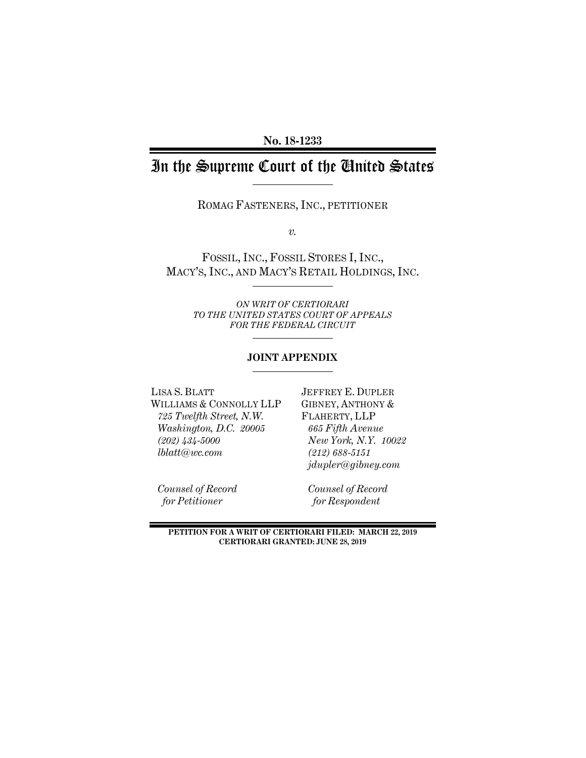**No. 18-1233** 

# In the Supreme Court of the United States

ROMAG FASTENERS, INC., PETITIONER

*v.* 

FOSSIL, INC., FOSSIL STORES I, INC., MACY'S, INC., AND MACY'S RETAIL HOLDINGS, INC.

> *ON WRIT OF CERTIORARI TO THE UNITED STATES COURT OF APPEALS FOR THE FEDERAL CIRCUIT*

#### **JOINT APPENDIX**

LISA S. BLATT WILLIAMS & CONNOLLY LLP *725 Twelfth Street, N.W. Washington, D.C. 20005 (202) 434-5000 lblatt@wc.com* 

*Counsel of Record for Petitioner* 

JEFFREY E. DUPLER GIBNEY, ANTHONY & FLAHERTY, LLP *665 Fifth Avenue New York, N.Y. 10022 (212) 688-5151 jdupler@gibney.com* 

*Counsel of Record for Respondent* 

**PETITION FOR A WRIT OF CERTIORARI FILED: MARCH 22, 2019 CERTIORARI GRANTED: JUNE 28, 2019**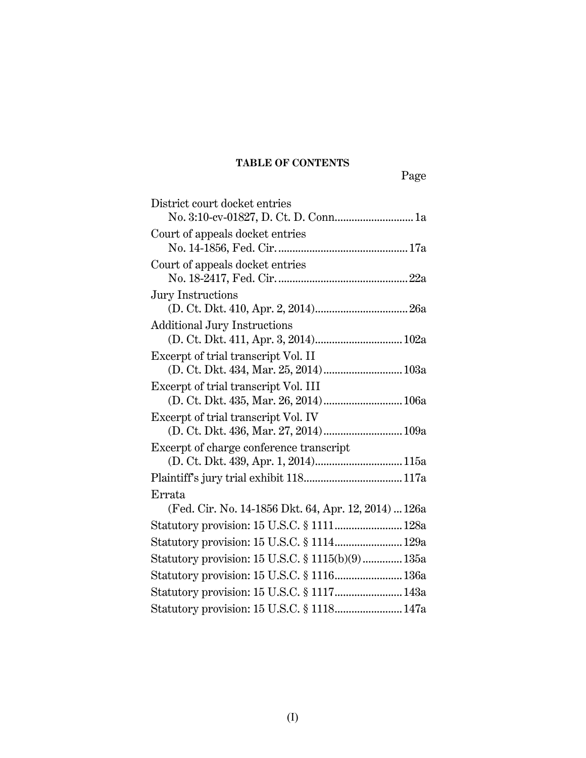## **TABLE OF CONTENTS**

| District court docket entries                        |
|------------------------------------------------------|
|                                                      |
| Court of appeals docket entries                      |
|                                                      |
| Court of appeals docket entries                      |
|                                                      |
| Jury Instructions                                    |
|                                                      |
| <b>Additional Jury Instructions</b>                  |
|                                                      |
| Excerpt of trial transcript Vol. II                  |
| (D. Ct. Dkt. 434, Mar. 25, 2014) 103a                |
| Excerpt of trial transcript Vol. III                 |
| (D. Ct. Dkt. 435, Mar. 26, 2014) 106a                |
| Excerpt of trial transcript Vol. IV                  |
| (D. Ct. Dkt. 436, Mar. 27, 2014) 109a                |
| Excerpt of charge conference transcript              |
|                                                      |
|                                                      |
| Errata                                               |
| (Fed. Cir. No. 14-1856 Dkt. 64, Apr. 12, 2014)  126a |
| Statutory provision: 15 U.S.C. § 1111 128a           |
| Statutory provision: 15 U.S.C. § 1114 129a           |
| Statutory provision: 15 U.S.C. § 1115(b)(9) 135a     |
| Statutory provision: 15 U.S.C. § 1116 136a           |
| Statutory provision: 15 U.S.C. § 1117 143a           |
| Statutory provision: 15 U.S.C. § 1118 147a           |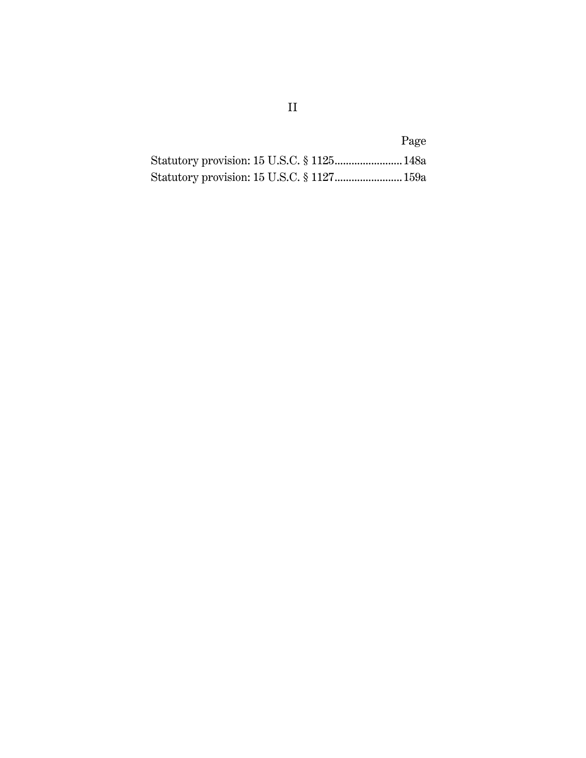|--|

| Statutory provision: 15 U.S.C. § 1125 148a |  |  |  |
|--------------------------------------------|--|--|--|
| Statutory provision: 15 U.S.C. § 1127 159a |  |  |  |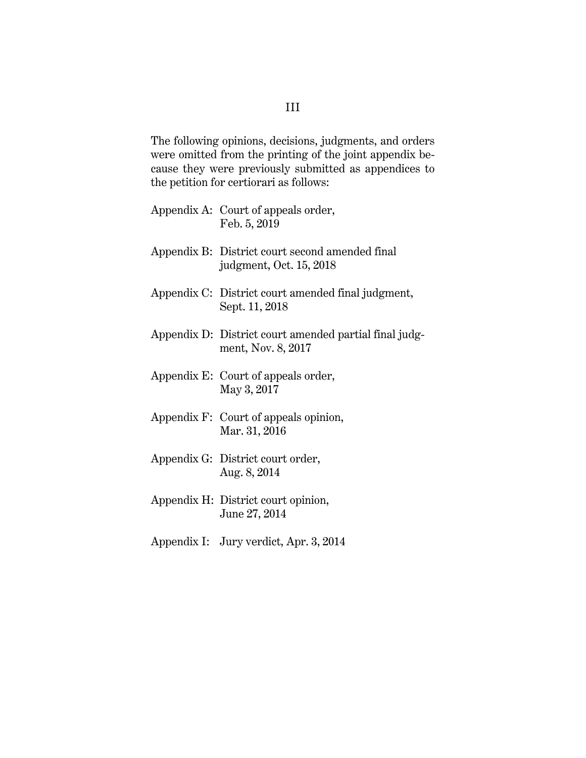The following opinions, decisions, judgments, and orders were omitted from the printing of the joint appendix because they were previously submitted as appendices to the petition for certiorari as follows:

- Appendix A: Court of appeals order, Feb. 5, 2019
- Appendix B: District court second amended final judgment, Oct. 15, 2018
- Appendix C: District court amended final judgment, Sept. 11, 2018
- Appendix D: District court amended partial final judgment, Nov. 8, 2017
- Appendix E: Court of appeals order, May 3, 2017
- Appendix F: Court of appeals opinion, Mar. 31, 2016
- Appendix G: District court order, Aug. 8, 2014
- Appendix H: District court opinion, June 27, 2014
- Appendix I: Jury verdict, Apr. 3, 2014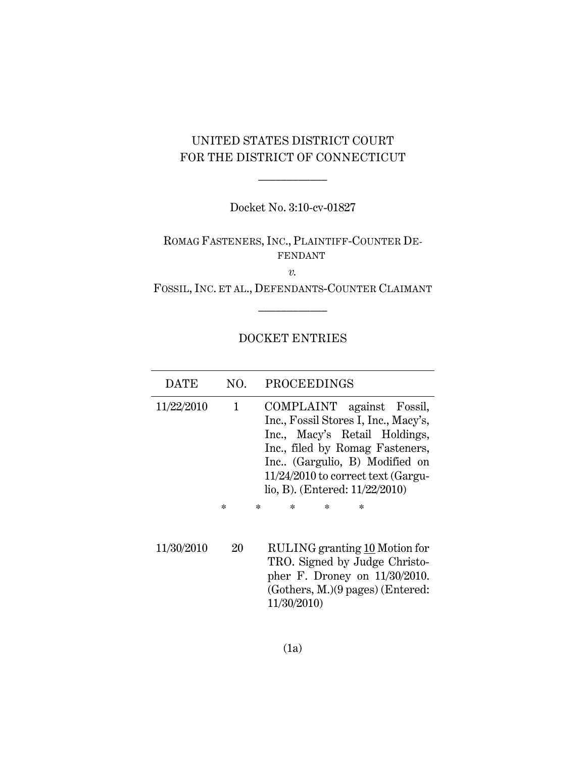# UNITED STATES DISTRICT COURT FOR THE DISTRICT OF CONNECTICUT

 $\mathcal{L}_\text{max}$ 

Docket No. 3:10-cv-01827

ROMAG FASTENERS, INC., PLAINTIFF-COUNTER DE-FENDANT

*v.*

FOSSIL, INC. ET AL., DEFENDANTS-COUNTER CLAIMANT  $\mathcal{L}_\text{max}$ 

# DOCKET ENTRIES

| DATE       | NO.    | <b>PROCEEDINGS</b>                                                                                                                                                                                                                               |
|------------|--------|--------------------------------------------------------------------------------------------------------------------------------------------------------------------------------------------------------------------------------------------------|
| 11/22/2010 | 1      | COMPLAINT against Fossil,<br>Inc., Fossil Stores I, Inc., Macy's,<br>Inc., Macy's Retail Holdings,<br>Inc., filed by Romag Fasteners,<br>Inc (Gargulio, B) Modified on<br>$11/24/2010$ to correct text (Gargu-<br>lio, B). (Entered: 11/22/2010) |
|            | $\ast$ | $\mathbf{x}$<br>$\ast$<br>$\ast$<br>$\ast$                                                                                                                                                                                                       |
| 11/30/2010 | 20     | RULING granting 10 Motion for<br>TRO. Signed by Judge Christo-<br>pher F. Droney on 11/30/2010.<br>(Gothers, M.)(9 pages) (Entered:<br>11/30/2010)                                                                                               |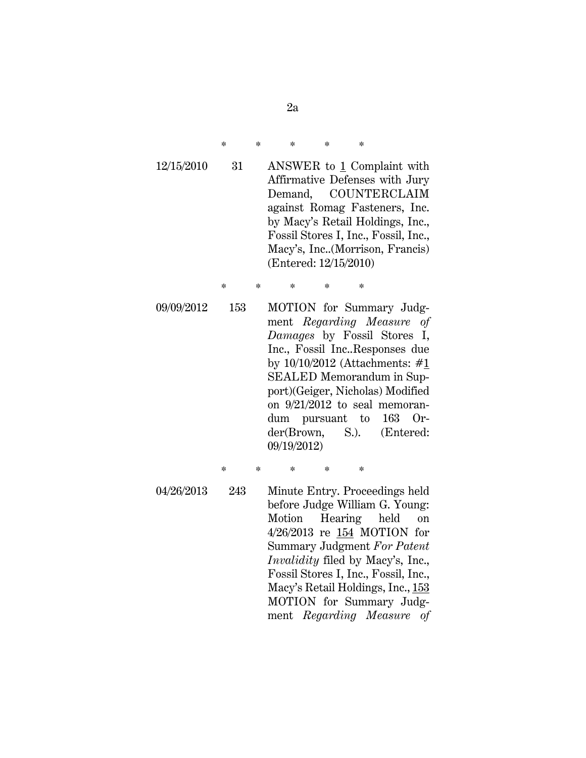\* \* \* \* \*

 $12/15/2010$  31 ANSWER to 1 Complaint with Affirmative Defenses with Jury Demand, COUNTERCLAIM against Romag Fasteners, Inc. by Macy's Retail Holdings, Inc., Fossil Stores I, Inc., Fossil, Inc., Macy's, Inc..(Morrison, Francis) (Entered: 12/15/2010)

\* \* \* \* \*

09/09/2012 153 MOTION for Summary Judgment *Regarding Measure of Damages* by Fossil Stores I, Inc., Fossil Inc..Responses due by 10/10/2012 (Attachments: #1 SEALED Memorandum in Support)(Geiger, Nicholas) Modified on 9/21/2012 to seal memorandum pursuant to 163 Order(Brown, S.). (Entered: 09/19/2012)

\* \* \* \* \*

04/26/2013 243 Minute Entry. Proceedings held before Judge William G. Young: Motion Hearing held on 4/26/2013 re 154 MOTION for Summary Judgment *For Patent Invalidity* filed by Macy's, Inc., Fossil Stores I, Inc., Fossil, Inc., Macy's Retail Holdings, Inc., 153 MOTION for Summary Judgment *Regarding Measure of*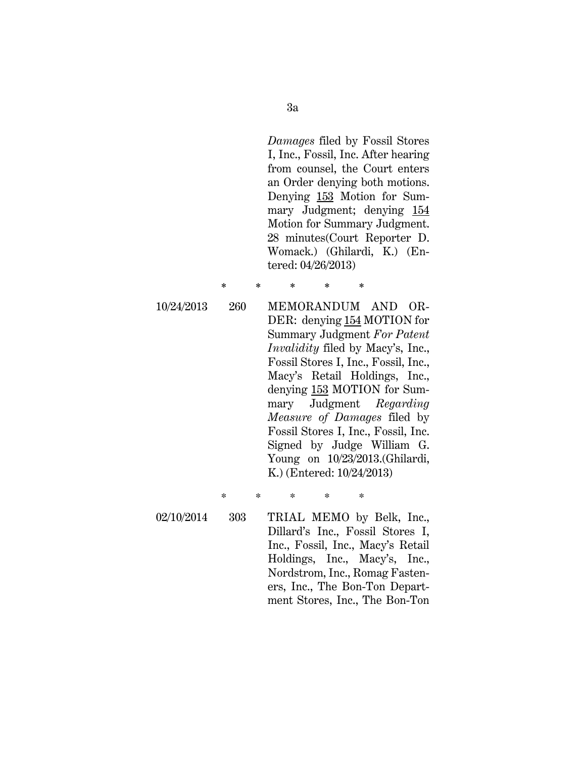*Damages* filed by Fossil Stores I, Inc., Fossil, Inc. After hearing from counsel, the Court enters an Order denying both motions. Denying 153 Motion for Summary Judgment; denying 154 Motion for Summary Judgment. 28 minutes(Court Reporter D. Womack.) (Ghilardi, K.) (Entered: 04/26/2013)

\* \* \* \* \*

10/24/2013 260 MEMORANDUM AND OR-DER: denying 154 MOTION for Summary Judgment *For Patent Invalidity* filed by Macy's, Inc., Fossil Stores I, Inc., Fossil, Inc., Macy's Retail Holdings, Inc., denying 153 MOTION for Summary Judgment *Regarding Measure of Damages* filed by Fossil Stores I, Inc., Fossil, Inc. Signed by Judge William G. Young on 10/23/2013.(Ghilardi, K.) (Entered: 10/24/2013)

\* \* \* \* \*

02/10/2014 303 TRIAL MEMO by Belk, Inc., Dillard's Inc., Fossil Stores I, Inc., Fossil, Inc., Macy's Retail Holdings, Inc., Macy's, Inc., Nordstrom, Inc., Romag Fasteners, Inc., The Bon-Ton Department Stores, Inc., The Bon-Ton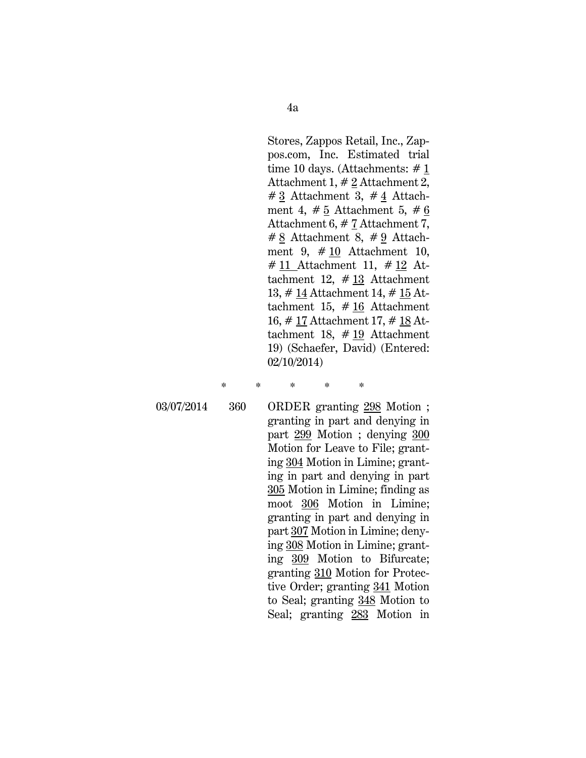Stores, Zappos Retail, Inc., Zappos.com, Inc. Estimated trial time 10 days. (Attachments: #1 Attachment 1, # 2 Attachment 2, # 3 Attachment 3, # 4 Attachment 4,  $\# 5$  Attachment 5,  $\# 6$ Attachment 6, # 7 Attachment 7, # 8 Attachment 8, # 9 Attachment 9,  $\# 10$  Attachment 10,  $# 11$  Attachment 11,  $# 12$  Attachment 12, # 13 Attachment 13, # 14 Attachment 14, # 15 Attachment 15,  $\#$  16 Attachment 16, # 17 Attachment 17, # 18 Attachment 18,  $\# 19$  Attachment 19) (Schaefer, David) (Entered: 02/10/2014)

03/07/2014 360 ORDER granting 298 Motion ; granting in part and denying in part 299 Motion ; denying 300 Motion for Leave to File; granting 304 Motion in Limine; granting in part and denying in part 305 Motion in Limine; finding as moot 306 Motion in Limine; granting in part and denying in part 307 Motion in Limine; denying 308 Motion in Limine; granting 309 Motion to Bifurcate; granting 310 Motion for Protective Order; granting 341 Motion to Seal; granting 348 Motion to Seal; granting 283 Motion in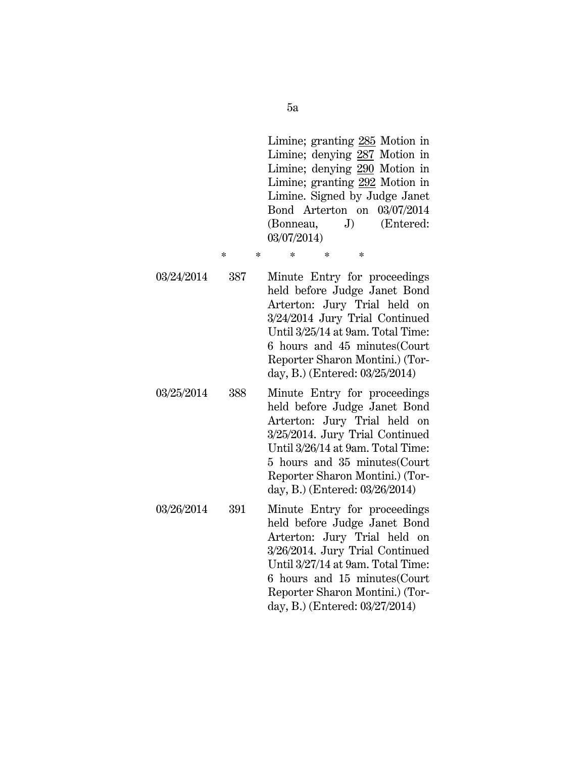Limine; granting 285 Motion in Limine; denying 287 Motion in Limine; denying 290 Motion in Limine; granting 292 Motion in Limine. Signed by Judge Janet Bond Arterton on 03/07/2014 (Bonneau, J) (Entered: 03/07/2014)

\* \* \* \* \*

03/24/2014 387 Minute Entry for proceedings held before Judge Janet Bond Arterton: Jury Trial held on 3/24/2014 Jury Trial Continued Until 3/25/14 at 9am. Total Time: 6 hours and 45 minutes(Court Reporter Sharon Montini.) (Torday, B.) (Entered: 03/25/2014)

- 03/25/2014 388 Minute Entry for proceedings held before Judge Janet Bond Arterton: Jury Trial held on 3/25/2014. Jury Trial Continued Until 3/26/14 at 9am. Total Time: 5 hours and 35 minutes(Court Reporter Sharon Montini.) (Torday, B.) (Entered: 03/26/2014)
- 03/26/2014 391 Minute Entry for proceedings held before Judge Janet Bond Arterton: Jury Trial held on 3/26/2014. Jury Trial Continued Until 3/27/14 at 9am. Total Time: 6 hours and 15 minutes(Court Reporter Sharon Montini.) (Torday, B.) (Entered: 03/27/2014)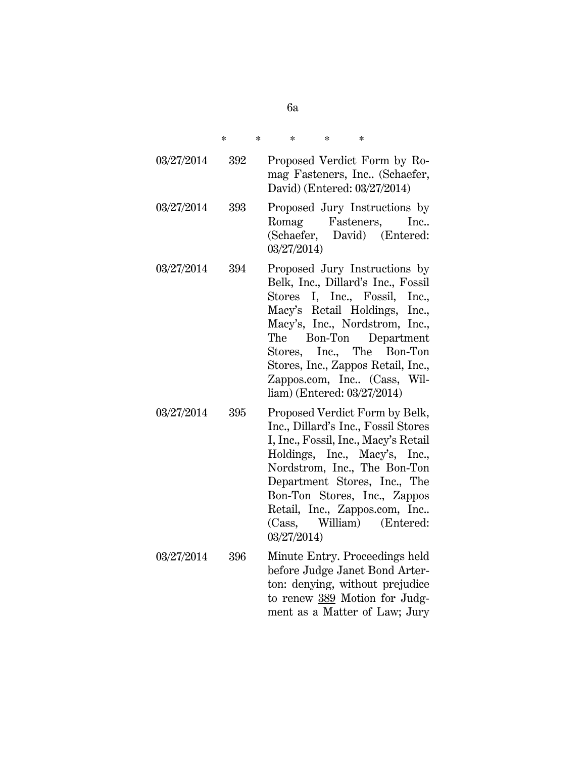|            | $\ast$<br>ж | $\ast$<br>×.<br>ж                                                                                                                                                                                                                                                                                                                  |
|------------|-------------|------------------------------------------------------------------------------------------------------------------------------------------------------------------------------------------------------------------------------------------------------------------------------------------------------------------------------------|
| 03/27/2014 | 392         | Proposed Verdict Form by Ro-<br>mag Fasteners, Inc (Schaefer,<br>David) (Entered: 03/27/2014)                                                                                                                                                                                                                                      |
| 03/27/2014 | 393         | Proposed Jury Instructions by<br>Romag Fasteners,<br>Inc<br>(Schaefer, David) (Entered:<br>03/27/2014)                                                                                                                                                                                                                             |
| 03/27/2014 | 394         | Proposed Jury Instructions by<br>Belk, Inc., Dillard's Inc., Fossil<br>Stores I, Inc., Fossil, Inc.,<br>Macy's Retail Holdings, Inc.,<br>Macy's, Inc., Nordstrom, Inc.,<br>The Bon-Ton Department<br>Stores, Inc., The Bon-Ton<br>Stores, Inc., Zappos Retail, Inc.,<br>Zappos.com, Inc (Cass, Wil-<br>liam) (Entered: 03/27/2014) |
| 03/27/2014 | 395         | Proposed Verdict Form by Belk,                                                                                                                                                                                                                                                                                                     |

- Inc., Dillard's Inc., Fossil Stores I, Inc., Fossil, Inc., Macy's Retail Holdings, Inc., Macy's, Inc., Nordstrom, Inc., The Bon-Ton Department Stores, Inc., The Bon-Ton Stores, Inc., Zappos Retail, Inc., Zappos.com, Inc..<br>(Cass, William) (Entered: (Cass, William) (Entered: 03/27/2014)
- 03/27/2014 396 Minute Entry. Proceedings held before Judge Janet Bond Arterton: denying, without prejudice to renew 389 Motion for Judgment as a Matter of Law; Jury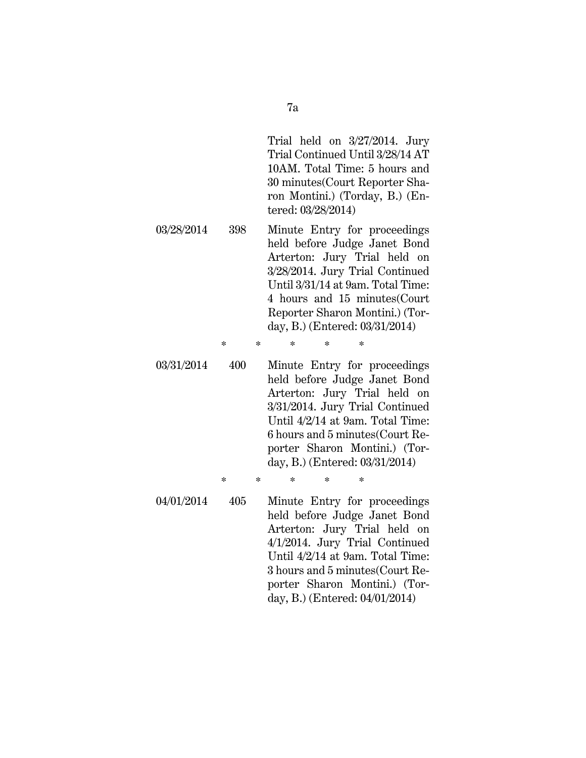Trial held on 3/27/2014. Jury Trial Continued Until 3/28/14 AT 10AM. Total Time: 5 hours and 30 minutes(Court Reporter Sharon Montini.) (Torday, B.) (Entered: 03/28/2014)

- 03/28/2014 398 Minute Entry for proceedings held before Judge Janet Bond Arterton: Jury Trial held on 3/28/2014. Jury Trial Continued Until 3/31/14 at 9am. Total Time: 4 hours and 15 minutes(Court Reporter Sharon Montini.) (Torday, B.) (Entered: 03/31/2014)
	- \* \* \* \* \*
- 03/31/2014 400 Minute Entry for proceedings held before Judge Janet Bond Arterton: Jury Trial held on 3/31/2014. Jury Trial Continued Until 4/2/14 at 9am. Total Time: 6 hours and 5 minutes(Court Reporter Sharon Montini.) (Torday, B.) (Entered: 03/31/2014)

\* \* \* \* \*

04/01/2014 405 Minute Entry for proceedings held before Judge Janet Bond Arterton: Jury Trial held on 4/1/2014. Jury Trial Continued Until 4/2/14 at 9am. Total Time: 3 hours and 5 minutes(Court Reporter Sharon Montini.) (Torday, B.) (Entered: 04/01/2014)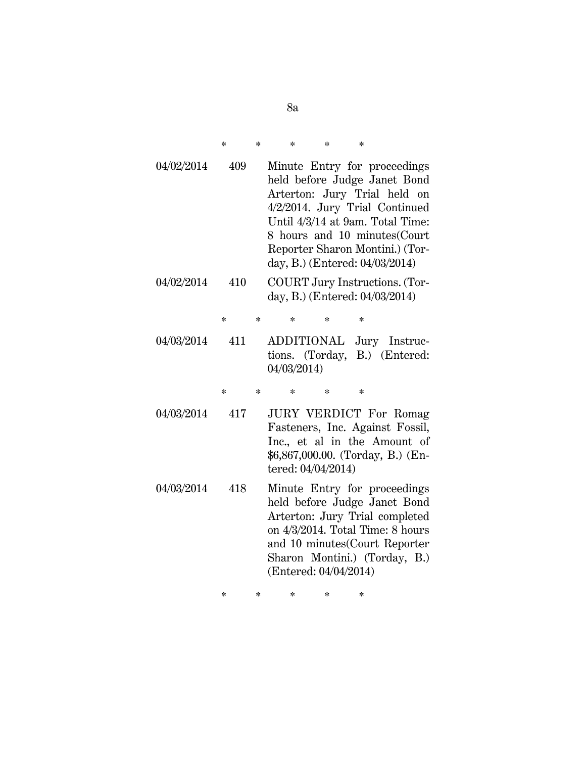|            | $\star$ | $\ast$  | $\ast$                                       | $\star$ | $\ast$ |                                                                                                                                                                                                                                                                         |
|------------|---------|---------|----------------------------------------------|---------|--------|-------------------------------------------------------------------------------------------------------------------------------------------------------------------------------------------------------------------------------------------------------------------------|
| 04/02/2014 | 409     |         |                                              |         |        | Minute Entry for proceedings<br>held before Judge Janet Bond<br>Arterton: Jury Trial held on<br>4/2/2014. Jury Trial Continued<br>Until 4/3/14 at 9am. Total Time:<br>8 hours and 10 minutes(Court<br>Reporter Sharon Montini.) (Tor-<br>day, B.) (Entered: 04/03/2014) |
| 04/02/2014 | 410     |         |                                              |         |        | COURT Jury Instructions. (Tor-<br>day, B.) (Entered: 04/03/2014)                                                                                                                                                                                                        |
|            | $\ast$  | $\star$ | $\ast$                                       | $\ast$  | $\ast$ |                                                                                                                                                                                                                                                                         |
| 04/03/2014 | 411     |         | ADDITIONAL<br>tions. (Torday,<br>04/03/2014) |         |        | Jury<br>Instruc-<br>B.) (Entered:                                                                                                                                                                                                                                       |
|            | $\star$ | $\star$ | $\ast$                                       | $\star$ | $\ast$ |                                                                                                                                                                                                                                                                         |
| 04/03/2014 | 417     |         | tered: 04/04/2014)                           |         |        | JURY VERDICT For Romag<br>Fasteners, Inc. Against Fossil,<br>Inc., et al in the Amount of<br>\$6,867,000.00. (Torday, B.) (En-                                                                                                                                          |
| 04/03/2014 | 418     |         | (Entered: 04/04/2014)                        |         |        | Minute Entry for proceedings<br>held before Judge Janet Bond<br>Arterton: Jury Trial completed<br>on 4/3/2014. Total Time: 8 hours<br>and 10 minutes(Court Reporter<br>Sharon Montini.) (Torday, B.)                                                                    |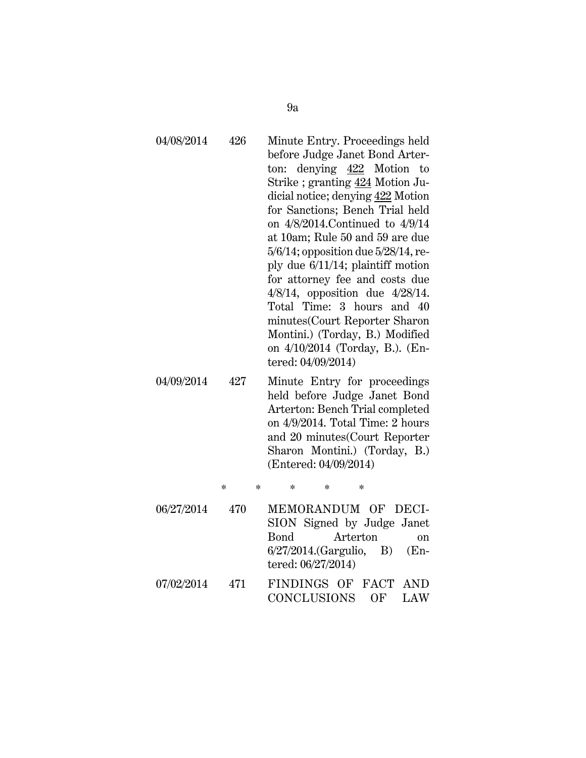04/08/2014 426 Minute Entry. Proceedings held before Judge Janet Bond Arterton: denying 422 Motion to Strike ; granting 424 Motion Judicial notice; denying 422 Motion for Sanctions; Bench Trial held on 4/8/2014.Continued to 4/9/14 at 10am; Rule 50 and 59 are due 5/6/14; opposition due 5/28/14, reply due 6/11/14; plaintiff motion for attorney fee and costs due 4/8/14, opposition due 4/28/14. Total Time: 3 hours and 40 minutes(Court Reporter Sharon Montini.) (Torday, B.) Modified on 4/10/2014 (Torday, B.). (Entered: 04/09/2014)

04/09/2014 427 Minute Entry for proceedings held before Judge Janet Bond Arterton: Bench Trial completed on 4/9/2014. Total Time: 2 hours and 20 minutes(Court Reporter Sharon Montini.) (Torday, B.) (Entered: 04/09/2014)

- 06/27/2014 470 MEMORANDUM OF DECI-SION Signed by Judge Janet Bond Arterton on 6/27/2014.(Gargulio, B) (Entered: 06/27/2014)
- 07/02/2014 471 FINDINGS OF FACT AND CONCLUSIONS OF LAW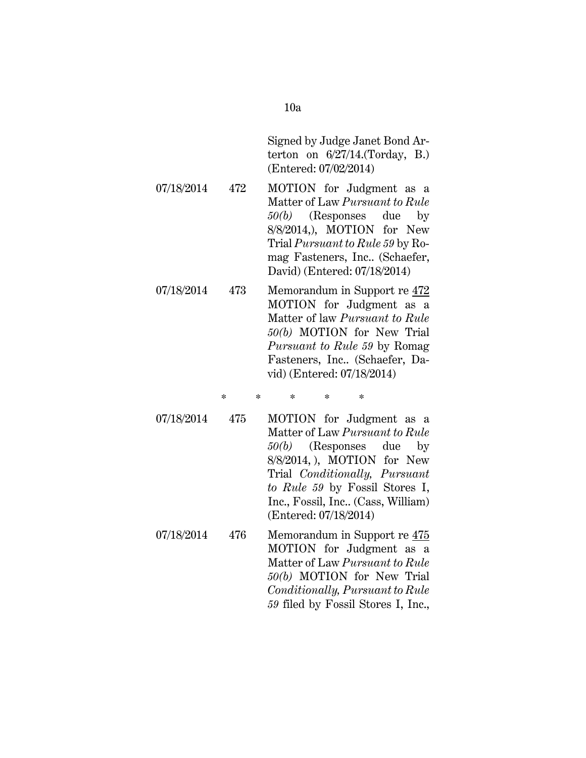Signed by Judge Janet Bond Arterton on  $6/27/14$ . (Torday, B.) (Entered: 07/02/2014)

- 07/18/2014 472 MOTION for Judgment as a Matter of Law *Pursuant to Rule 50(b)* (Responses due by 8/8/2014,), MOTION for New Trial *Pursuant to Rule 59* by Romag Fasteners, Inc.. (Schaefer, David) (Entered: 07/18/2014)
- 07/18/2014 473 Memorandum in Support re 472 MOTION for Judgment as a Matter of law *Pursuant to Rule 50(b)* MOTION for New Trial *Pursuant to Rule 59* by Romag Fasteners, Inc.. (Schaefer, David) (Entered: 07/18/2014)

- 07/18/2014 475 MOTION for Judgment as a Matter of Law *Pursuant to Rule 50(b)* (Responses due by 8/8/2014, ), MOTION for New Trial *Conditionally, Pursuant to Rule 59* by Fossil Stores I, Inc., Fossil, Inc.. (Cass, William) (Entered: 07/18/2014)
- $07/18/2014$  476 Memorandum in Support re  $\frac{475}{10}$ MOTION for Judgment as a Matter of Law *Pursuant to Rule 50(b)* MOTION for New Trial *Conditionally, Pursuant to Rule 59* filed by Fossil Stores I, Inc.,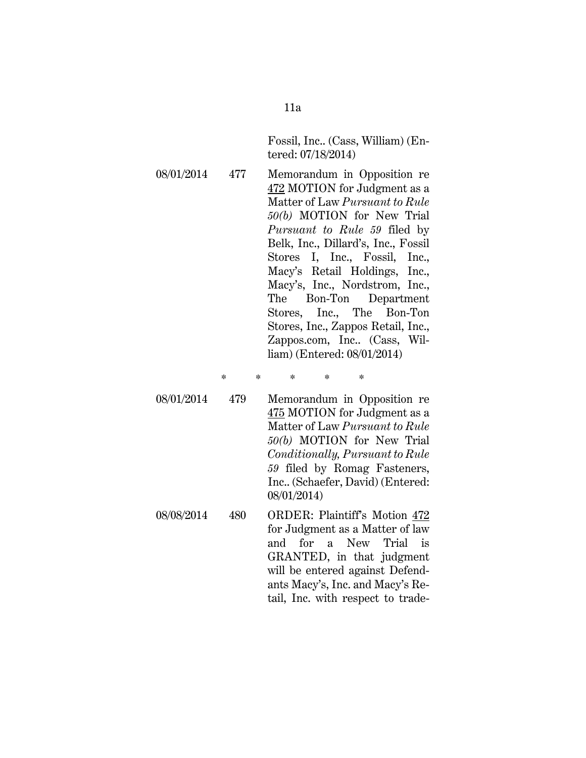Fossil, Inc.. (Cass, William) (Entered: 07/18/2014)

08/01/2014 477 Memorandum in Opposition re 472 MOTION for Judgment as a Matter of Law *Pursuant to Rule 50(b)* MOTION for New Trial *Pursuant to Rule 59* filed by Belk, Inc., Dillard's, Inc., Fossil Stores I, Inc., Fossil, Inc., Macy's Retail Holdings, Inc., Macy's, Inc., Nordstrom, Inc., The Bon-Ton Department Stores, Inc., The Bon-Ton Stores, Inc., Zappos Retail, Inc., Zappos.com, Inc.. (Cass, William) (Entered: 08/01/2014)

- 08/01/2014 479 Memorandum in Opposition re 475 MOTION for Judgment as a Matter of Law *Pursuant to Rule 50(b)* MOTION for New Trial *Conditionally, Pursuant to Rule 59* filed by Romag Fasteners, Inc.. (Schaefer, David) (Entered: 08/01/2014)
- 08/08/2014 480 ORDER: Plaintiff's Motion 472 for Judgment as a Matter of law and for a New Trial is GRANTED, in that judgment will be entered against Defendants Macy's, Inc. and Macy's Retail, Inc. with respect to trade-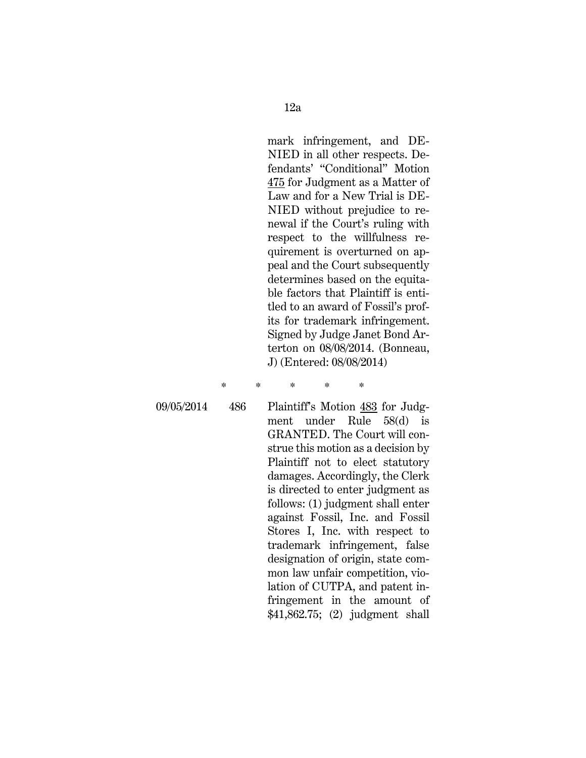mark infringement, and DE-NIED in all other respects. Defendants' "Conditional" Motion 475 for Judgment as a Matter of Law and for a New Trial is DE-NIED without prejudice to renewal if the Court's ruling with respect to the willfulness requirement is overturned on appeal and the Court subsequently determines based on the equitable factors that Plaintiff is entitled to an award of Fossil's profits for trademark infringement. Signed by Judge Janet Bond Arterton on 08/08/2014. (Bonneau, J) (Entered: 08/08/2014)

09/05/2014 486 Plaintiff's Motion 483 for Judgment under Rule 58(d) is GRANTED. The Court will construe this motion as a decision by Plaintiff not to elect statutory damages. Accordingly, the Clerk is directed to enter judgment as follows: (1) judgment shall enter against Fossil, Inc. and Fossil Stores I, Inc. with respect to trademark infringement, false designation of origin, state common law unfair competition, violation of CUTPA, and patent infringement in the amount of \$41,862.75; (2) judgment shall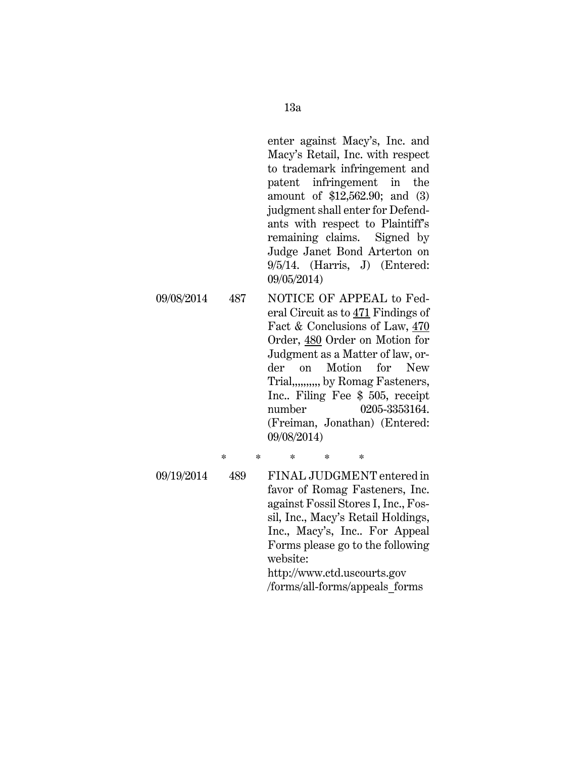enter against Macy's, Inc. and Macy's Retail, Inc. with respect to trademark infringement and patent infringement in the amount of \$12,562.90; and (3) judgment shall enter for Defendants with respect to Plaintiff's remaining claims. Signed by Judge Janet Bond Arterton on 9/5/14. (Harris, J) (Entered: 09/05/2014)

- 09/08/2014 487 NOTICE OF APPEAL to Federal Circuit as to 471 Findings of Fact & Conclusions of Law, 470 Order, 480 Order on Motion for Judgment as a Matter of law, order on Motion for New Trial,,,,,,,,,, by Romag Fasteners, Inc.. Filing Fee \$ 505, receipt number 0205-3353164. (Freiman, Jonathan) (Entered: 09/08/2014)
	- \* \* \* \* \* 09/19/2014 489 FINAL JUDGMENT entered in favor of Romag Fasteners, Inc. against Fossil Stores I, Inc., Fossil, Inc., Macy's Retail Holdings, Inc., Macy's, Inc.. For Appeal Forms please go to the following website: http://www.ctd.uscourts.gov /forms/all-forms/appeals\_forms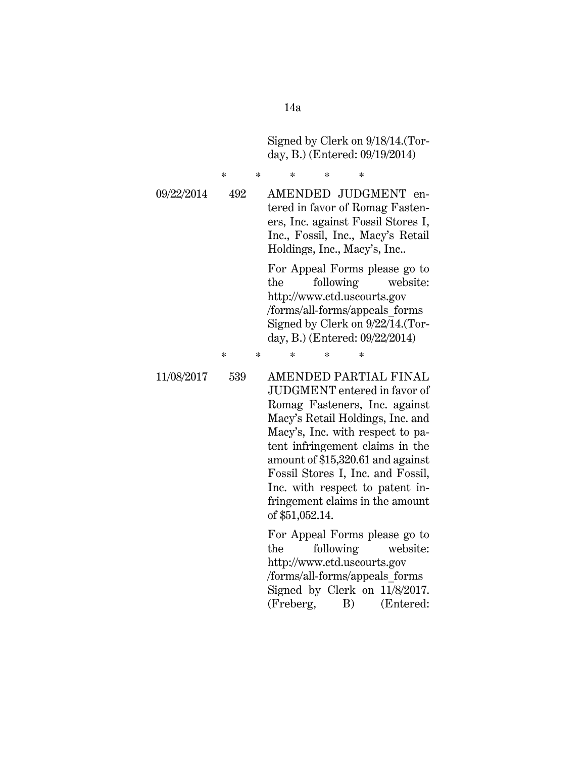\* \* \* \* \*

Signed by Clerk on 9/18/14.(Torday, B.) (Entered: 09/19/2014)

09/22/2014 492 AMENDED JUDGMENT entered in favor of Romag Fasteners, Inc. against Fossil Stores I, Inc., Fossil, Inc., Macy's Retail Holdings, Inc., Macy's, Inc..

> For Appeal Forms please go to the following website: http://www.ctd.uscourts.gov /forms/all-forms/appeals\_forms Signed by Clerk on 9/22/14.(Torday, B.) (Entered: 09/22/2014)

\* \* \* \* \*

11/08/2017 539 AMENDED PARTIAL FINAL JUDGMENT entered in favor of Romag Fasteners, Inc. against Macy's Retail Holdings, Inc. and Macy's, Inc. with respect to patent infringement claims in the amount of \$15,320.61 and against Fossil Stores I, Inc. and Fossil, Inc. with respect to patent infringement claims in the amount of \$51,052.14.

> For Appeal Forms please go to the following website: http://www.ctd.uscourts.gov /forms/all-forms/appeals\_forms Signed by Clerk on 11/8/2017. (Freberg, B) (Entered: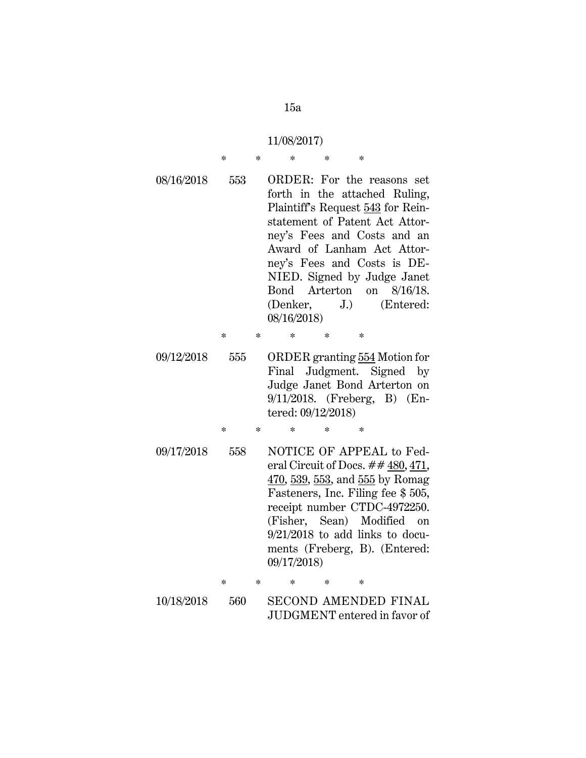#### 11/08/2017)

\* \* \* \* \* 08/16/2018 553 ORDER: For the reasons set forth in the attached Ruling, Plaintiff's Request 543 for Reinstatement of Patent Act Attorney's Fees and Costs and an Award of Lanham Act Attorney's Fees and Costs is DE-NIED. Signed by Judge Janet Bond Arterton on 8/16/18. (Denker, J.) (Entered: 08/16/2018)

\* \* \* \* \*

09/12/2018 555 ORDER granting 554 Motion for Final Judgment. Signed by Judge Janet Bond Arterton on 9/11/2018. (Freberg, B) (Entered: 09/12/2018)

\* \* \* \* \*

09/17/2018 558 NOTICE OF APPEAL to Federal Circuit of Docs.  $# 480,471,$ 470, 539, 553, and 555 by Romag Fasteners, Inc. Filing fee \$ 505, receipt number CTDC-4972250. (Fisher, Sean) Modified on 9/21/2018 to add links to documents (Freberg, B). (Entered: 09/17/2018)

```
* * * * * 
10/18/2018 560 SECOND AMENDED FINAL 
              JUDGMENT entered in favor of
```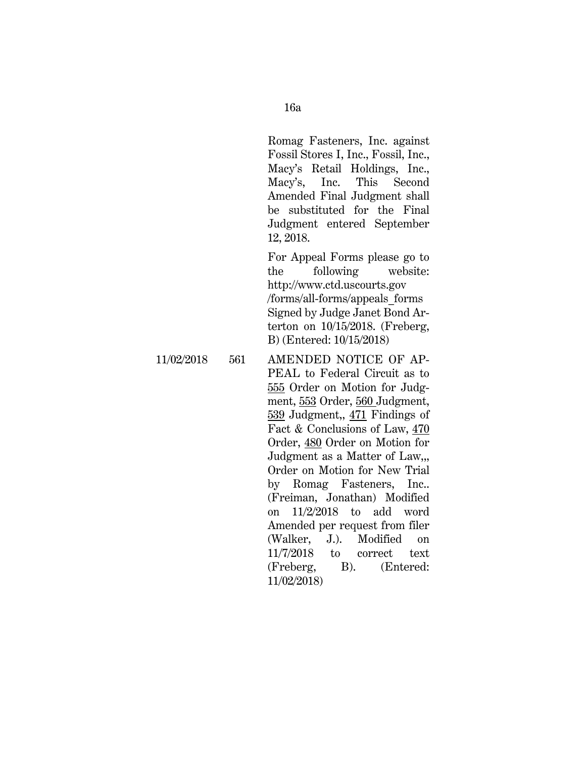Romag Fasteners, Inc. against Fossil Stores I, Inc., Fossil, Inc., Macy's Retail Holdings, Inc., Macy's, Inc. This Second Amended Final Judgment shall be substituted for the Final Judgment entered September 12, 2018.

For Appeal Forms please go to the following website: http://www.ctd.uscourts.gov /forms/all-forms/appeals\_forms Signed by Judge Janet Bond Arterton on 10/15/2018. (Freberg, B) (Entered: 10/15/2018)

11/02/2018 561 AMENDED NOTICE OF AP-PEAL to Federal Circuit as to 555 Order on Motion for Judgment, 553 Order, 560 Judgment, 539 Judgment,, 471 Findings of Fact & Conclusions of Law, 470 Order, 480 Order on Motion for Judgment as a Matter of Law,,, Order on Motion for New Trial by Romag Fasteners, Inc.. (Freiman, Jonathan) Modified on 11/2/2018 to add word Amended per request from filer (Walker, J.). Modified on 11/7/2018 to correct text (Freberg, B). (Entered: 11/02/2018)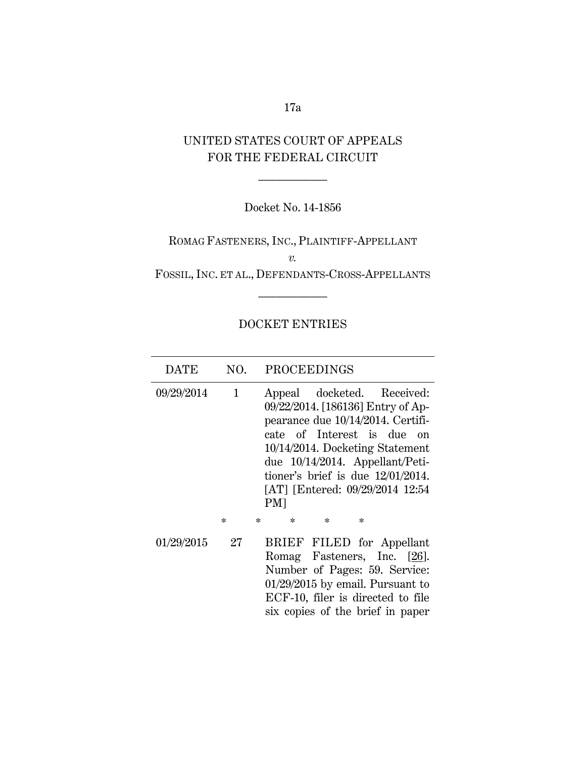# UNITED STATES COURT OF APPEALS FOR THE FEDERAL CIRCUIT

 $\mathcal{L}_\text{max}$ 

Docket No. 14-1856

ROMAG FASTENERS, INC., PLAINTIFF-APPELLANT

*v.*

FOSSIL, INC. ET AL., DEFENDANTS-CROSS-APPELLANTS  $\frac{1}{2}$ 

## DOCKET ENTRIES

| <b>DATE</b> | NO.    | PROCEEDINGS                                                                                                                                                                                                                                                                                               |
|-------------|--------|-----------------------------------------------------------------------------------------------------------------------------------------------------------------------------------------------------------------------------------------------------------------------------------------------------------|
| 09/29/2014  | 1      | Appeal docketed. Received:<br>09/22/2014. [186136] Entry of Ap-<br>pearance due 10/14/2014. Certifi-<br>cate of Interest is due<br>on<br>10/14/2014. Docketing Statement<br>due 10/14/2014. Appellant/Peti-<br>tioner's brief is due $12/01/2014$ .<br>[AT] [Entered: 09/29/2014 12:54<br>PM <sub>1</sub> |
|             | $\ast$ | $\ast$<br>$\star$<br>$\ast$<br>$\ast$                                                                                                                                                                                                                                                                     |
| 01/29/2015  | 27     | BRIEF FILED for Appellant<br>Romag Fasteners, Inc. [26].<br>Number of Pages: 59. Service:<br>$01/29/2015$ by email. Pursuant to<br>ECF-10, filer is directed to file<br>six copies of the brief in paper                                                                                                  |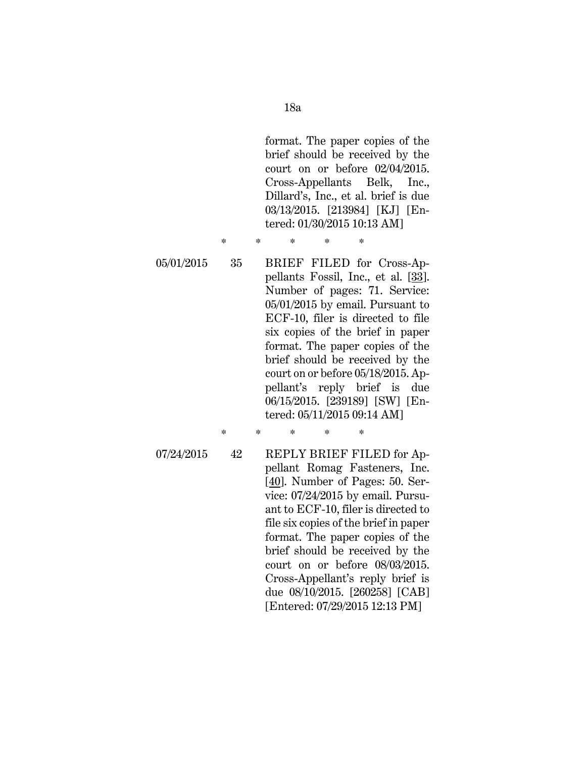format. The paper copies of the brief should be received by the court on or before 02/04/2015. Cross-Appellants Belk, Inc., Dillard's, Inc., et al. brief is due 03/13/2015. [213984] [KJ] [Entered: 01/30/2015 10:13 AM]

\* \* \* \* \*

05/01/2015 35 BRIEF FILED for Cross-Appellants Fossil, Inc., et al. [33]. Number of pages: 71. Service: 05/01/2015 by email. Pursuant to ECF-10, filer is directed to file six copies of the brief in paper format. The paper copies of the brief should be received by the court on or before 05/18/2015. Appellant's reply brief is due 06/15/2015. [239189] [SW] [Entered: 05/11/2015 09:14 AM]

\* \* \* \* \*

07/24/2015 42 REPLY BRIEF FILED for Appellant Romag Fasteners, Inc. [40]. Number of Pages: 50. Service: 07/24/2015 by email. Pursuant to ECF-10, filer is directed to file six copies of the brief in paper format. The paper copies of the brief should be received by the court on or before 08/03/2015. Cross-Appellant's reply brief is due 08/10/2015. [260258] [CAB] [Entered: 07/29/2015 12:13 PM]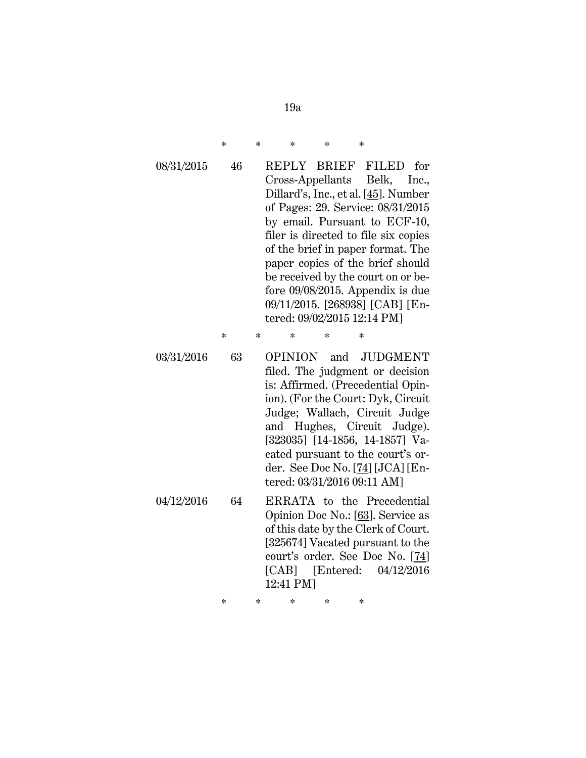\* \* \* \* \*

08/31/2015 46 REPLY BRIEF FILED for Cross-Appellants Belk, Inc., Dillard's, Inc., et al. [45]. Number of Pages: 29. Service: 08/31/2015 by email. Pursuant to ECF-10, filer is directed to file six copies of the brief in paper format. The paper copies of the brief should be received by the court on or before 09/08/2015. Appendix is due 09/11/2015. [268938] [CAB] [Entered: 09/02/2015 12:14 PM]

- 03/31/2016 63 OPINION and JUDGMENT filed. The judgment or decision is: Affirmed. (Precedential Opinion). (For the Court: Dyk, Circuit Judge; Wallach, Circuit Judge and Hughes, Circuit Judge). [323035] [14-1856, 14-1857] Vacated pursuant to the court's order. See Doc No. [74] [JCA] [Entered: 03/31/2016 09:11 AM]
- 04/12/2016 64 ERRATA to the Precedential Opinion Doc No.: [63]. Service as of this date by the Clerk of Court. [325674] Vacated pursuant to the court's order. See Doc No. [74] [CAB] [Entered: 04/12/2016 12:41 PM]
	- \* \* \* \* \*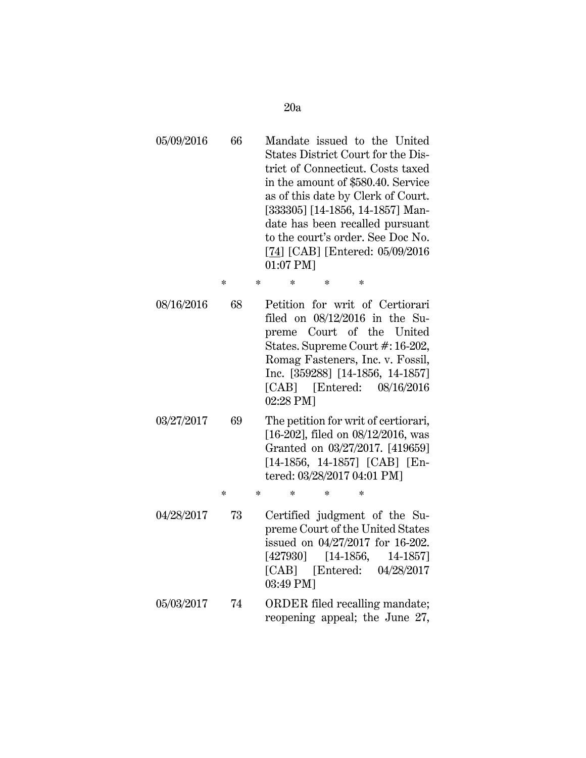- 05/09/2016 66 Mandate issued to the United States District Court for the District of Connecticut. Costs taxed in the amount of \$580.40. Service as of this date by Clerk of Court. [333305] [14-1856, 14-1857] Mandate has been recalled pursuant to the court's order. See Doc No. [74] [CAB] [Entered: 05/09/2016 01:07 PM]
	- \* \* \* \* \*
- 08/16/2016 68 Petition for writ of Certiorari filed on 08/12/2016 in the Supreme Court of the United States. Supreme Court #: 16-202, Romag Fasteners, Inc. v. Fossil, Inc. [359288] [14-1856, 14-1857] [CAB] [Entered: 08/16/2016 02:28 PM]
- 03/27/2017 69 The petition for writ of certiorari, [16-202], filed on 08/12/2016, was Granted on 03/27/2017. [419659] [14-1856, 14-1857] [CAB] [Entered: 03/28/2017 04:01 PM]

- 04/28/2017 73 Certified judgment of the Supreme Court of the United States issued on 04/27/2017 for 16-202. [427930] [14-1856, 14-1857] [CAB] [Entered: 04/28/2017 03:49 PM]
- 05/03/2017 74 ORDER filed recalling mandate; reopening appeal; the June 27,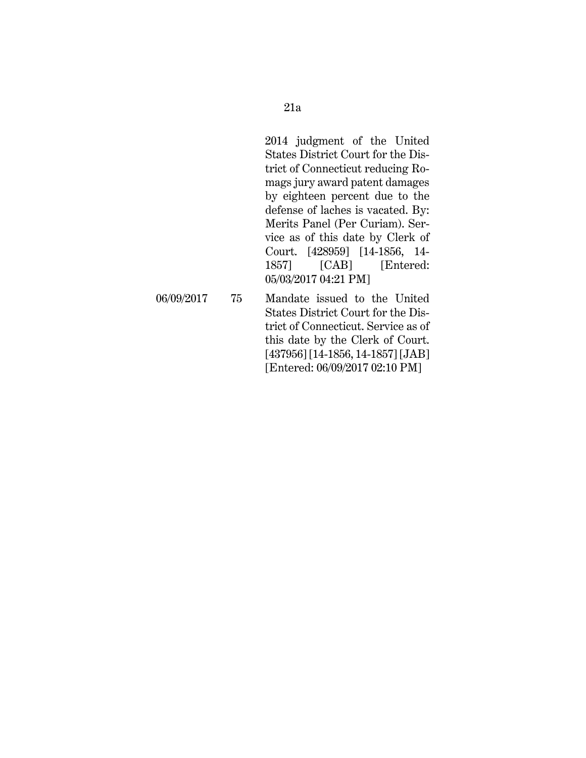2014 judgment of the United States District Court for the District of Connecticut reducing Romags jury award patent damages by eighteen percent due to the defense of laches is vacated. By: Merits Panel (Per Curiam). Service as of this date by Clerk of Court. [428959] [14-1856, 14- 1857] [CAB] [Entered: 05/03/2017 04:21 PM]

06/09/2017 75 Mandate issued to the United States District Court for the District of Connecticut. Service as of this date by the Clerk of Court. [437956] [14-1856, 14-1857] [JAB] [Entered: 06/09/2017 02:10 PM]

21a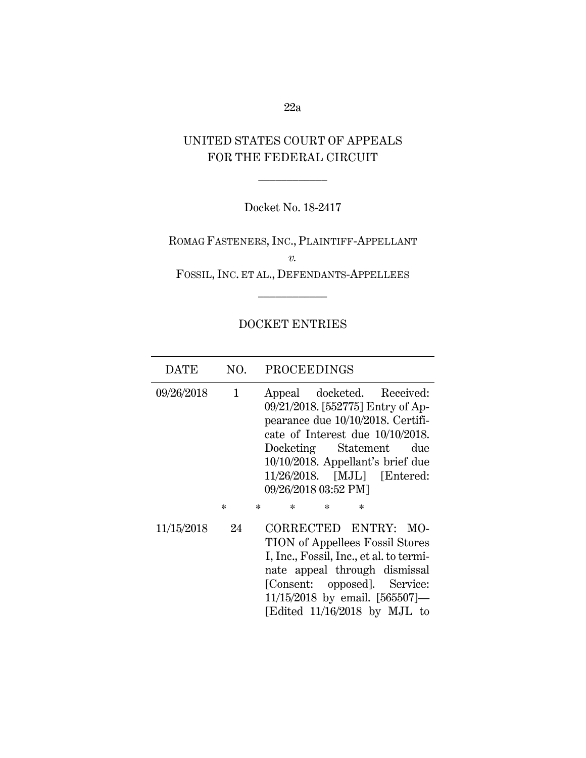# UNITED STATES COURT OF APPEALS FOR THE FEDERAL CIRCUIT

 $\mathcal{L}_\text{max}$ 

Docket No. 18-2417

ROMAG FASTENERS, INC., PLAINTIFF-APPELLANT

*v.*

FOSSIL, INC. ET AL., DEFENDANTS-APPELLEES  $\frac{1}{2}$ 

#### DOCKET ENTRIES

| <b>DATE</b> | NO.          | <b>PROCEEDINGS</b>                                                                                                                                                                                                                                                       |
|-------------|--------------|--------------------------------------------------------------------------------------------------------------------------------------------------------------------------------------------------------------------------------------------------------------------------|
| 09/26/2018  | 1            | Appeal docketed. Received:<br>09/21/2018. [552775] Entry of Ap-<br>pearance due 10/10/2018. Certifi-<br>cate of Interest due $10/10/2018$ .<br>Docketing Statement<br>due<br>$10/10/2018$ . Appellant's brief due<br>11/26/2018. [MJL] [Entered:<br>09/26/2018 03:52 PM] |
| 11/15/2018  | $\ast$<br>24 | $\ast$<br>$\star$<br>$\ast$<br>ж<br>CORRECTED ENTRY:<br>$M()$ -<br><b>TION</b> of Appellees Fossil Stores<br>I, Inc., Fossil, Inc., et al. to termi-                                                                                                                     |

nate appeal through dismissal [Consent: opposed]. Service: 11/15/2018 by email. [565507]— [Edited 11/16/2018 by MJL to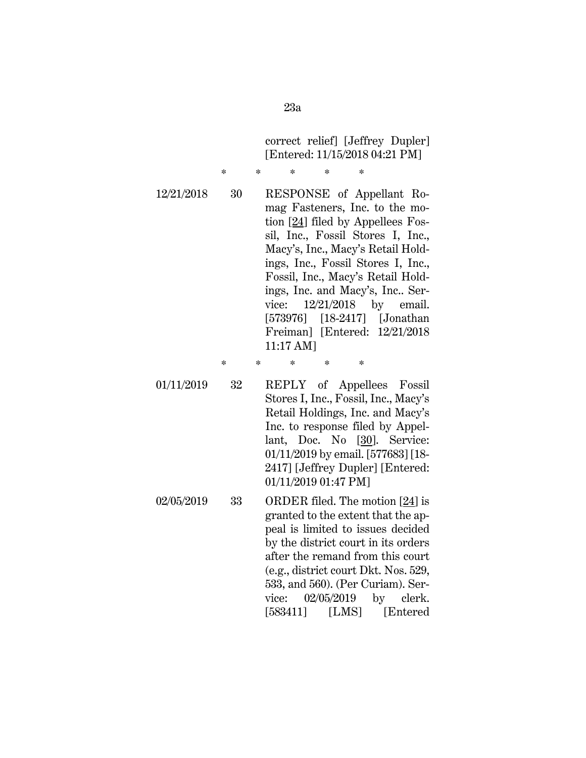correct relief] [Jeffrey Dupler] [Entered: 11/15/2018 04:21 PM]

12/21/2018 30 RESPONSE of Appellant Romag Fasteners, Inc. to the motion [24] filed by Appellees Fossil, Inc., Fossil Stores I, Inc., Macy's, Inc., Macy's Retail Holdings, Inc., Fossil Stores I, Inc., Fossil, Inc., Macy's Retail Holdings, Inc. and Macy's, Inc.. Service: 12/21/2018 by email. [573976] [18-2417] [Jonathan Freiman] [Entered: 12/21/2018 11:17 AM]

\* \* \* \* \*

01/11/2019 32 REPLY of Appellees Fossil Stores I, Inc., Fossil, Inc., Macy's Retail Holdings, Inc. and Macy's Inc. to response filed by Appellant, Doc. No [30]. Service: 01/11/2019 by email. [577683] [18- 2417] [Jeffrey Dupler] [Entered: 01/11/2019 01:47 PM]

02/05/2019 33 ORDER filed. The motion [24] is granted to the extent that the appeal is limited to issues decided by the district court in its orders after the remand from this court (e.g., district court Dkt. Nos. 529, 533, and 560). (Per Curiam). Service: 02/05/2019 by clerk. [583411] [LMS] [Entered]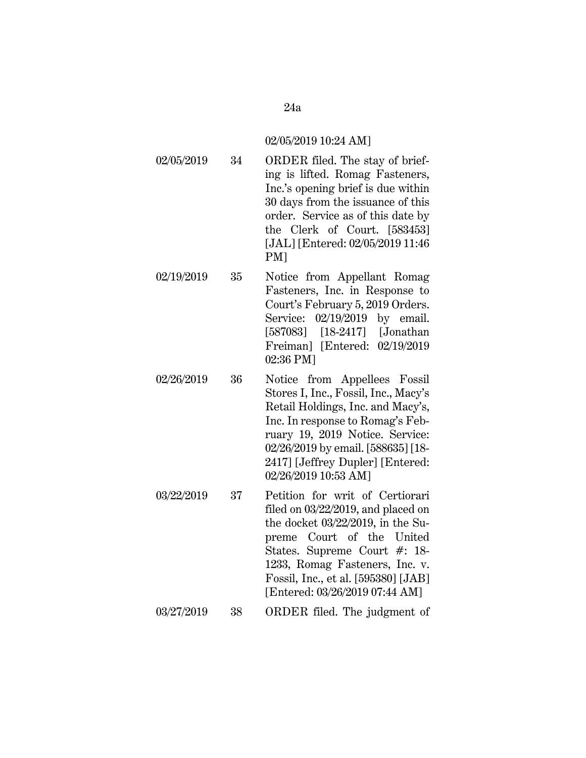#### 02/05/2019 10:24 AM]

- 02/05/2019 34 ORDER filed. The stay of briefing is lifted. Romag Fasteners, Inc.'s opening brief is due within 30 days from the issuance of this order. Service as of this date by the Clerk of Court. [583453] [JAL] [Entered: 02/05/2019 11:46 PM]
- 02/19/2019 35 Notice from Appellant Romag Fasteners, Inc. in Response to Court's February 5, 2019 Orders. Service: 02/19/2019 by email. [587083] [18-2417] [Jonathan Freiman] [Entered: 02/19/2019 02:36 PM]
- 02/26/2019 36 Notice from Appellees Fossil Stores I, Inc., Fossil, Inc., Macy's Retail Holdings, Inc. and Macy's, Inc. In response to Romag's February 19, 2019 Notice. Service: 02/26/2019 by email. [588635] [18- 2417] [Jeffrey Dupler] [Entered: 02/26/2019 10:53 AM]
- 03/22/2019 37 Petition for writ of Certiorari filed on 03/22/2019, and placed on the docket 03/22/2019, in the Supreme Court of the United States. Supreme Court #: 18- 1233, Romag Fasteners, Inc. v. Fossil, Inc., et al. [595380] [JAB] [Entered: 03/26/2019 07:44 AM]
- 03/27/2019 38 ORDER filed. The judgment of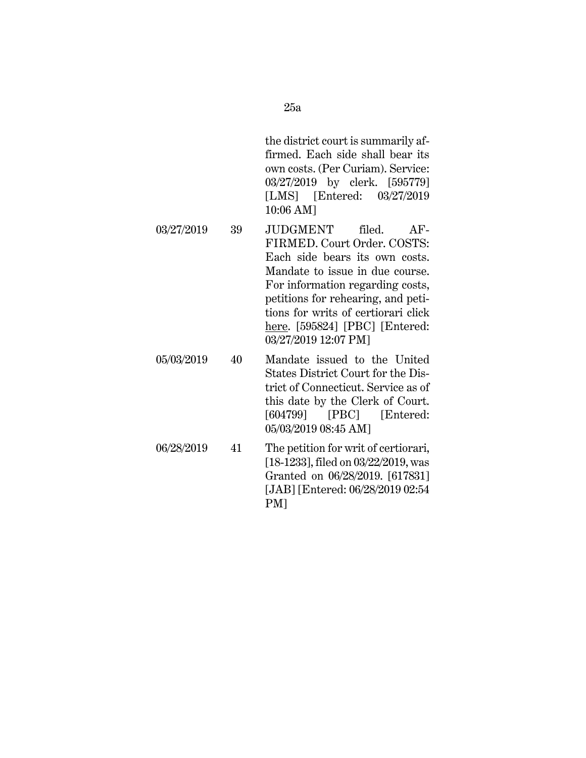the district court is summarily affirmed. Each side shall bear its own costs. (Per Curiam). Service: 03/27/2019 by clerk. [595779] [LMS] [Entered: 03/27/2019 10:06 AM]

- 03/27/2019 39 JUDGMENT filed. AF-FIRMED. Court Order. COSTS: Each side bears its own costs. Mandate to issue in due course. For information regarding costs, petitions for rehearing, and petitions for writs of certiorari click here. [595824] [PBC] [Entered: 03/27/2019 12:07 PM]
- 05/03/2019 40 Mandate issued to the United States District Court for the District of Connecticut. Service as of this date by the Clerk of Court. [604799] [PBC] [Entered: 05/03/2019 08:45 AM]
- 06/28/2019 41 The petition for writ of certiorari, [18-1233], filed on 03/22/2019, was Granted on 06/28/2019. [617831] [JAB] [Entered: 06/28/2019 02:54 PM]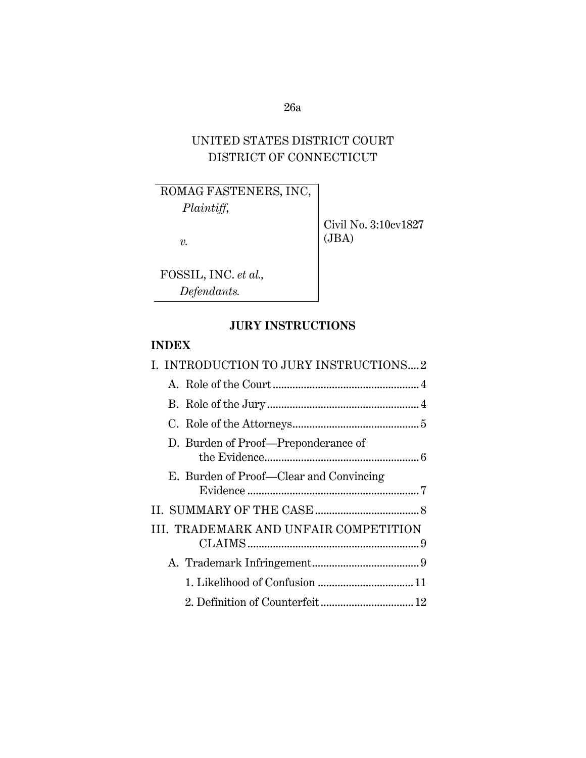# UNITED STATES DISTRICT COURT DISTRICT OF CONNECTICUT

# ROMAG FASTENERS, INC, *Plaintiff*,

*v.*

Civil No. 3:10cv1827 (JBA)

FOSSIL, INC. *et al., Defendants.*

### **JURY INSTRUCTIONS**

# **INDEX**

| I. INTRODUCTION TO JURY INSTRUCTIONS2   |
|-----------------------------------------|
|                                         |
|                                         |
|                                         |
| D. Burden of Proof—Preponderance of     |
| E. Burden of Proof—Clear and Convincing |
|                                         |
| III. TRADEMARK AND UNFAIR COMPETITION   |
|                                         |
|                                         |
|                                         |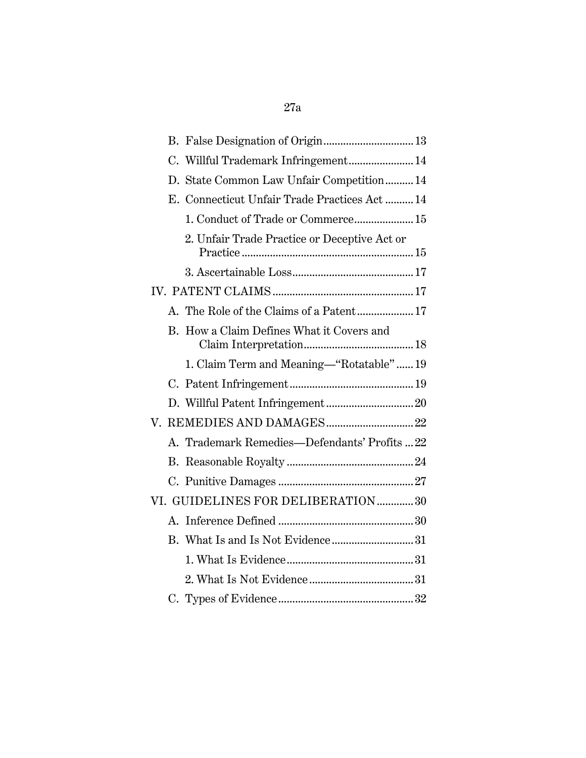| C. Willful Trademark Infringement 14         |
|----------------------------------------------|
| D. State Common Law Unfair Competition14     |
| E. Connecticut Unfair Trade Practices Act14  |
| 1. Conduct of Trade or Commerce 15           |
| 2. Unfair Trade Practice or Deceptive Act or |
|                                              |
|                                              |
| A. The Role of the Claims of a Patent 17     |
| B. How a Claim Defines What it Covers and    |
| 1. Claim Term and Meaning-"Rotatable" 19     |
|                                              |
|                                              |
|                                              |
| A. Trademark Remedies-Defendants' Profits 22 |
|                                              |
|                                              |
| VI. GUIDELINES FOR DELIBERATION30            |
|                                              |
|                                              |
|                                              |
|                                              |
|                                              |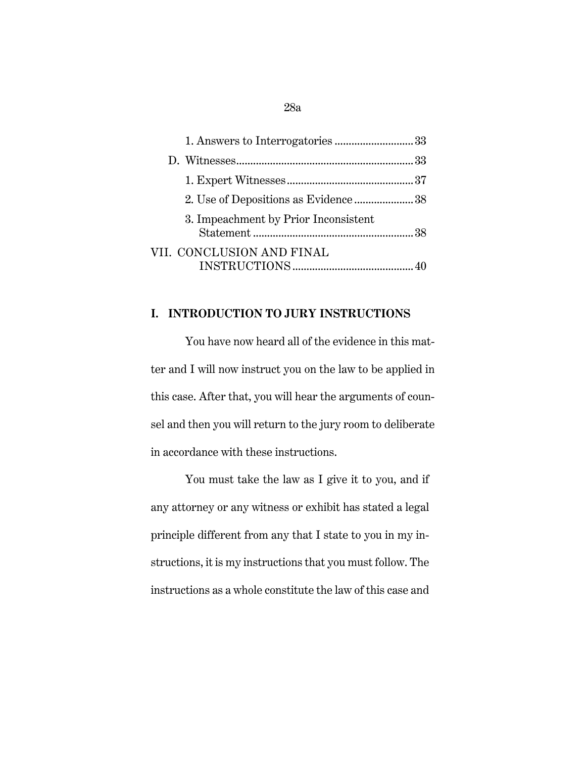| 2. Use of Depositions as Evidence38  |  |
|--------------------------------------|--|
| 3. Impeachment by Prior Inconsistent |  |
| VII. CONCLUSION AND FINAL            |  |

### **I. INTRODUCTION TO JURY INSTRUCTIONS**

 You have now heard all of the evidence in this matter and I will now instruct you on the law to be applied in this case. After that, you will hear the arguments of counsel and then you will return to the jury room to deliberate in accordance with these instructions.

You must take the law as I give it to you, and if any attorney or any witness or exhibit has stated a legal principle different from any that I state to you in my instructions, it is my instructions that you must follow. The instructions as a whole constitute the law of this case and

28a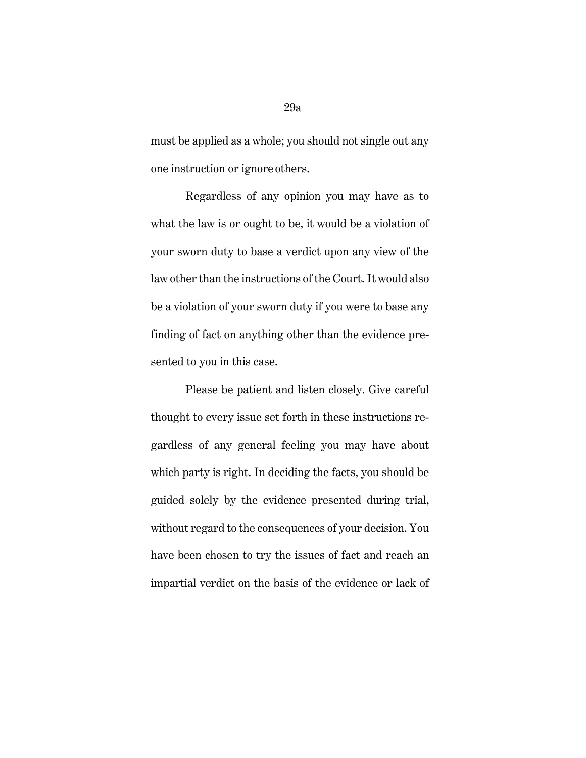must be applied as a whole; you should not single out any one instruction or ignore others.

Regardless of any opinion you may have as to what the law is or ought to be, it would be a violation of your sworn duty to base a verdict upon any view of the law other than the instructions of the Court. It would also be a violation of your sworn duty if you were to base any finding of fact on anything other than the evidence presented to you in this case.

Please be patient and listen closely. Give careful thought to every issue set forth in these instructions regardless of any general feeling you may have about which party is right. In deciding the facts, you should be guided solely by the evidence presented during trial, without regard to the consequences of your decision. You have been chosen to try the issues of fact and reach an impartial verdict on the basis of the evidence or lack of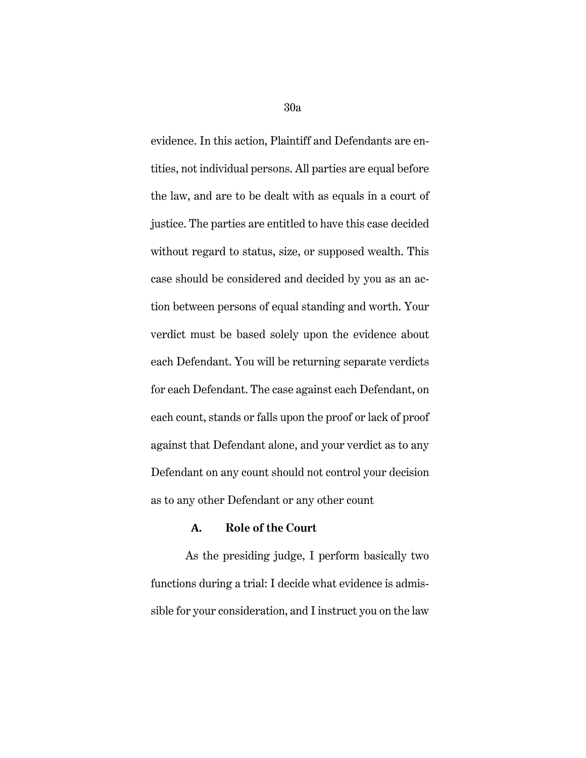evidence. In this action, Plaintiff and Defendants are entities, not individual persons. All parties are equal before the law, and are to be dealt with as equals in a court of justice. The parties are entitled to have this case decided without regard to status, size, or supposed wealth. This case should be considered and decided by you as an action between persons of equal standing and worth. Your verdict must be based solely upon the evidence about each Defendant. You will be returning separate verdicts for each Defendant. The case against each Defendant, on each count, stands or falls upon the proof or lack of proof against that Defendant alone, and your verdict as to any Defendant on any count should not control your decision as to any other Defendant or any other count

#### **A. Role of the Court**

As the presiding judge, I perform basically two functions during a trial: I decide what evidence is admissible for your consideration, and I instruct you on the law

30a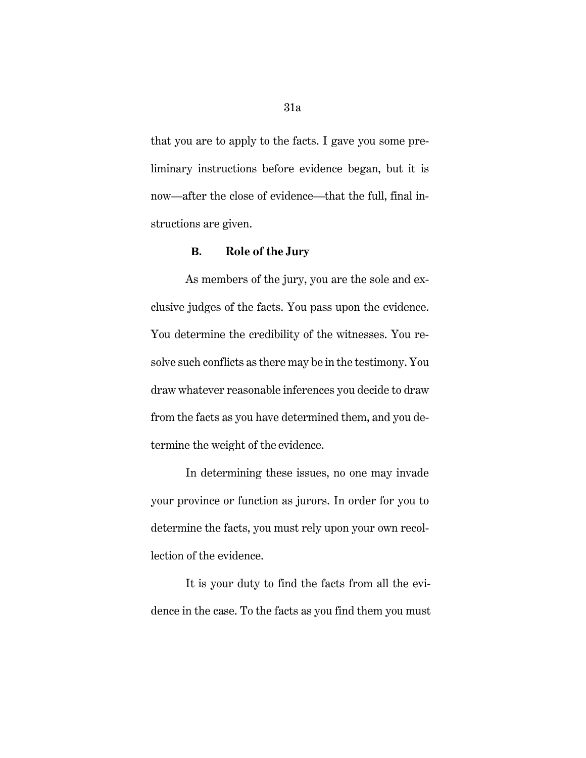that you are to apply to the facts. I gave you some preliminary instructions before evidence began, but it is now—after the close of evidence—that the full, final instructions are given.

#### **B. Role of the Jury**

As members of the jury, you are the sole and exclusive judges of the facts. You pass upon the evidence. You determine the credibility of the witnesses. You resolve such conflicts as there may be in the testimony. You draw whatever reasonable inferences you decide to draw from the facts as you have determined them, and you determine the weight of the evidence.

In determining these issues, no one may invade your province or function as jurors. In order for you to determine the facts, you must rely upon your own recollection of the evidence.

It is your duty to find the facts from all the evidence in the case. To the facts as you find them you must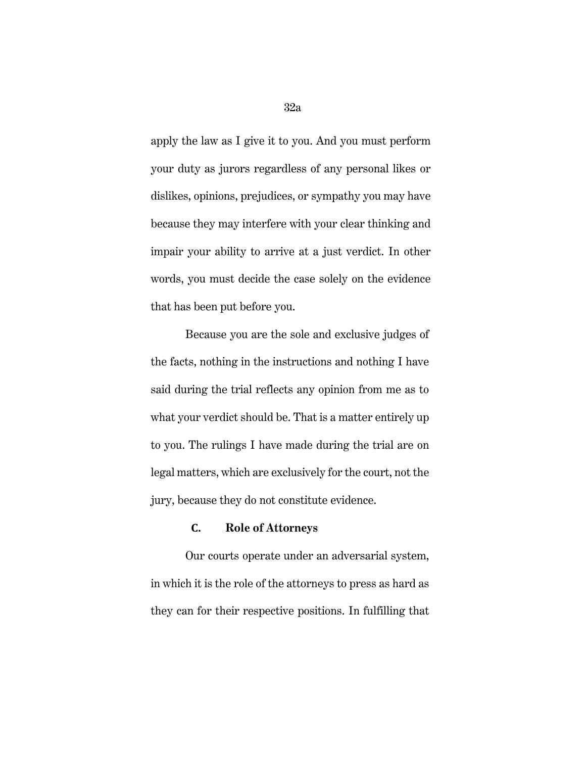apply the law as I give it to you. And you must perform your duty as jurors regardless of any personal likes or dislikes, opinions, prejudices, or sympathy you may have because they may interfere with your clear thinking and impair your ability to arrive at a just verdict. In other words, you must decide the case solely on the evidence that has been put before you.

Because you are the sole and exclusive judges of the facts, nothing in the instructions and nothing I have said during the trial reflects any opinion from me as to what your verdict should be. That is a matter entirely up to you. The rulings I have made during the trial are on legal matters, which are exclusively for the court, not the jury, because they do not constitute evidence.

#### **C. Role of Attorneys**

Our courts operate under an adversarial system, in which it is the role of the attorneys to press as hard as they can for their respective positions. In fulfilling that

32a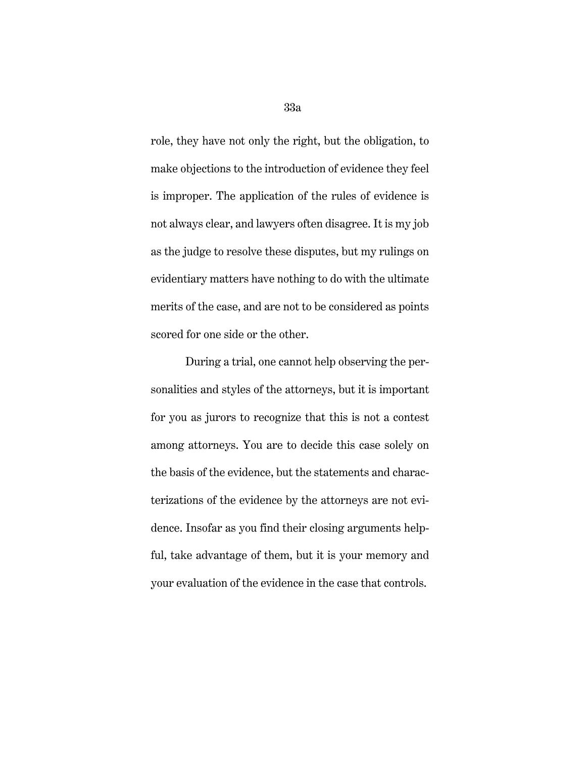role, they have not only the right, but the obligation, to make objections to the introduction of evidence they feel is improper. The application of the rules of evidence is not always clear, and lawyers often disagree. It is my job as the judge to resolve these disputes, but my rulings on evidentiary matters have nothing to do with the ultimate merits of the case, and are not to be considered as points scored for one side or the other.

During a trial, one cannot help observing the personalities and styles of the attorneys, but it is important for you as jurors to recognize that this is not a contest among attorneys. You are to decide this case solely on the basis of the evidence, but the statements and characterizations of the evidence by the attorneys are not evidence. Insofar as you find their closing arguments helpful, take advantage of them, but it is your memory and your evaluation of the evidence in the case that controls.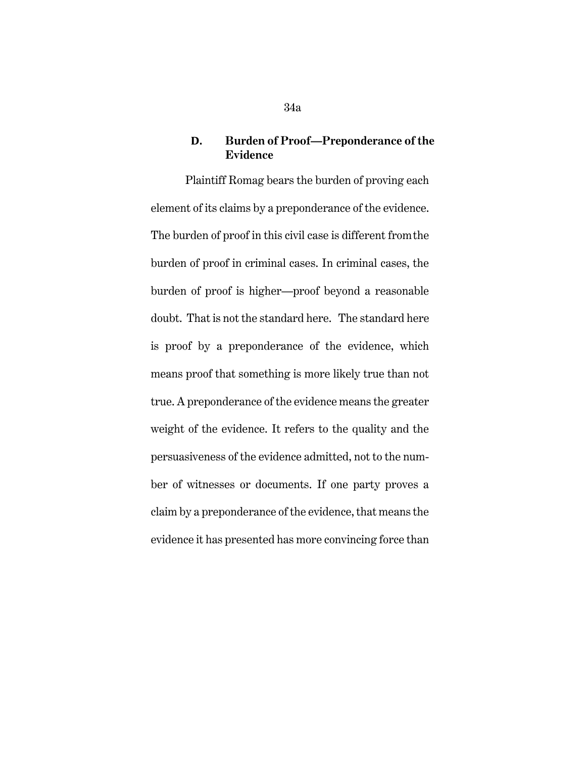## **D. Burden of Proof—Preponderance of the Evidence**

Plaintiff Romag bears the burden of proving each element of its claims by a preponderance of the evidence. The burden of proof in this civil case is different from the burden of proof in criminal cases. In criminal cases, the burden of proof is higher—proof beyond a reasonable doubt. That is not the standard here. The standard here is proof by a preponderance of the evidence, which means proof that something is more likely true than not true. A preponderance of the evidence means the greater weight of the evidence. It refers to the quality and the persuasiveness of the evidence admitted, not to the number of witnesses or documents. If one party proves a claim by a preponderance of the evidence, that means the evidence it has presented has more convincing force than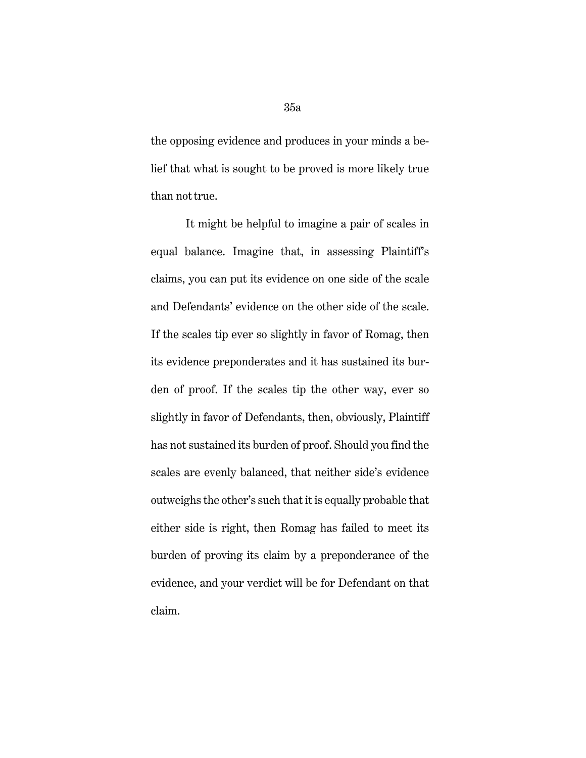the opposing evidence and produces in your minds a belief that what is sought to be proved is more likely true than not true.

It might be helpful to imagine a pair of scales in equal balance. Imagine that, in assessing Plaintiff's claims, you can put its evidence on one side of the scale and Defendants' evidence on the other side of the scale. If the scales tip ever so slightly in favor of Romag, then its evidence preponderates and it has sustained its burden of proof. If the scales tip the other way, ever so slightly in favor of Defendants, then, obviously, Plaintiff has not sustained its burden of proof. Should you find the scales are evenly balanced, that neither side's evidence outweighs the other's such that it is equally probable that either side is right, then Romag has failed to meet its burden of proving its claim by a preponderance of the evidence, and your verdict will be for Defendant on that claim.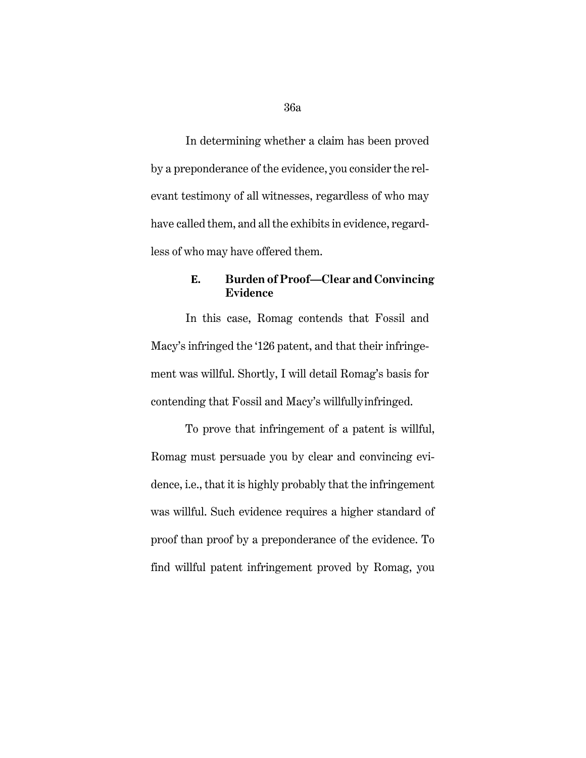In determining whether a claim has been proved by a preponderance of the evidence, you consider the relevant testimony of all witnesses, regardless of who may have called them, and all the exhibits in evidence, regardless of who may have offered them.

## **E. Burden of Proof—Clear and Convincing Evidence**

In this case, Romag contends that Fossil and Macy's infringed the '126 patent, and that their infringement was willful. Shortly, I will detail Romag's basis for contending that Fossil and Macy's willfully infringed.

To prove that infringement of a patent is willful, Romag must persuade you by clear and convincing evidence, i.e., that it is highly probably that the infringement was willful. Such evidence requires a higher standard of proof than proof by a preponderance of the evidence. To find willful patent infringement proved by Romag, you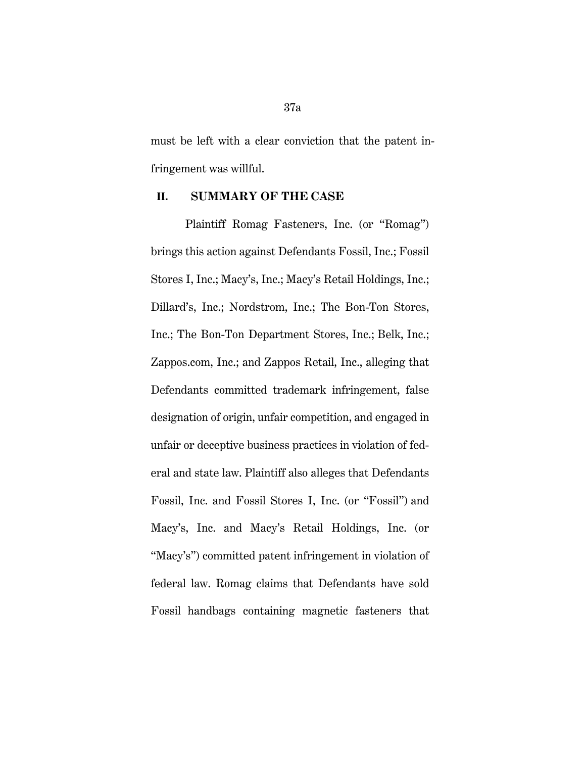must be left with a clear conviction that the patent infringement was willful.

## **II. SUMMARY OF THE CASE**

Plaintiff Romag Fasteners, Inc. (or "Romag") brings this action against Defendants Fossil, Inc.; Fossil Stores I, Inc.; Macy's, Inc.; Macy's Retail Holdings, Inc.; Dillard's, Inc.; Nordstrom, Inc.; The Bon-Ton Stores, Inc.; The Bon-Ton Department Stores, Inc.; Belk, Inc.; Zappos.com, Inc.; and Zappos Retail, Inc., alleging that Defendants committed trademark infringement, false designation of origin, unfair competition, and engaged in unfair or deceptive business practices in violation of federal and state law. Plaintiff also alleges that Defendants Fossil, Inc. and Fossil Stores I, Inc. (or "Fossil") and Macy's, Inc. and Macy's Retail Holdings, Inc. (or "Macy's") committed patent infringement in violation of federal law. Romag claims that Defendants have sold Fossil handbags containing magnetic fasteners that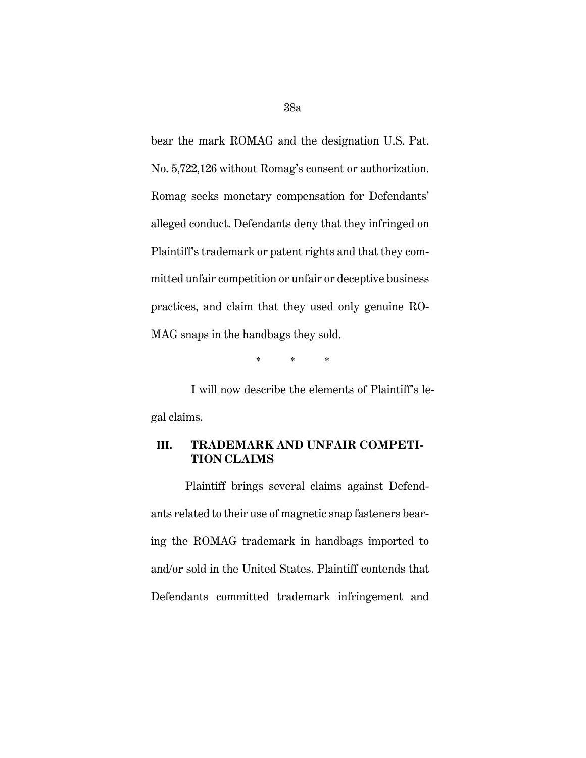bear the mark ROMAG and the designation U.S. Pat. No. 5,722,126 without Romag's consent or authorization. Romag seeks monetary compensation for Defendants' alleged conduct. Defendants deny that they infringed on Plaintiff's trademark or patent rights and that they committed unfair competition or unfair or deceptive business practices, and claim that they used only genuine RO-MAG snaps in the handbags they sold.

\* \* \*

I will now describe the elements of Plaintiff's legal claims.

# **III. TRADEMARK AND UNFAIR COMPETI-TION CLAIMS**

Plaintiff brings several claims against Defendants related to their use of magnetic snap fasteners bearing the ROMAG trademark in handbags imported to and/or sold in the United States. Plaintiff contends that Defendants committed trademark infringement and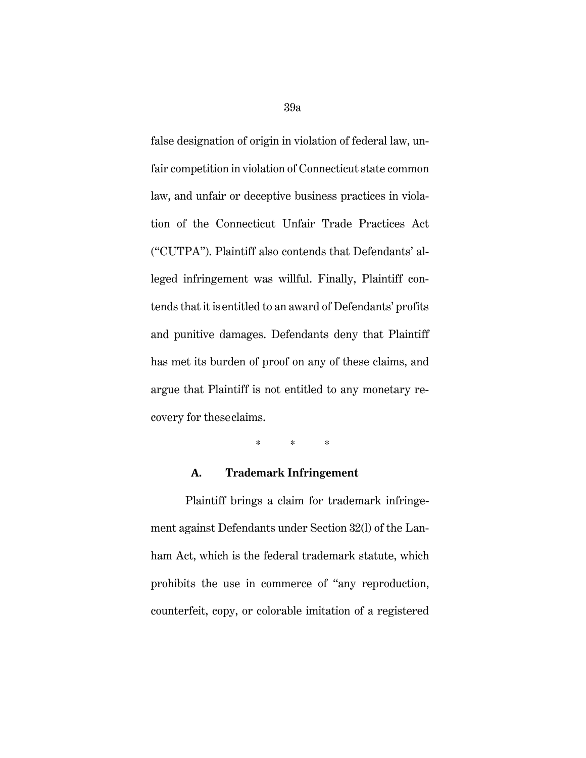false designation of origin in violation of federal law, unfair competition in violation of Connecticut state common law, and unfair or deceptive business practices in violation of the Connecticut Unfair Trade Practices Act ("CUTPA"). Plaintiff also contends that Defendants' alleged infringement was willful. Finally, Plaintiff contends that it is entitled to an award of Defendants' profits and punitive damages. Defendants deny that Plaintiff has met its burden of proof on any of these claims, and argue that Plaintiff is not entitled to any monetary recovery for these claims.

\* \* \*

#### **A. Trademark Infringement**

Plaintiff brings a claim for trademark infringement against Defendants under Section 32(l) of the Lanham Act, which is the federal trademark statute, which prohibits the use in commerce of "any reproduction, counterfeit, copy, or colorable imitation of a registered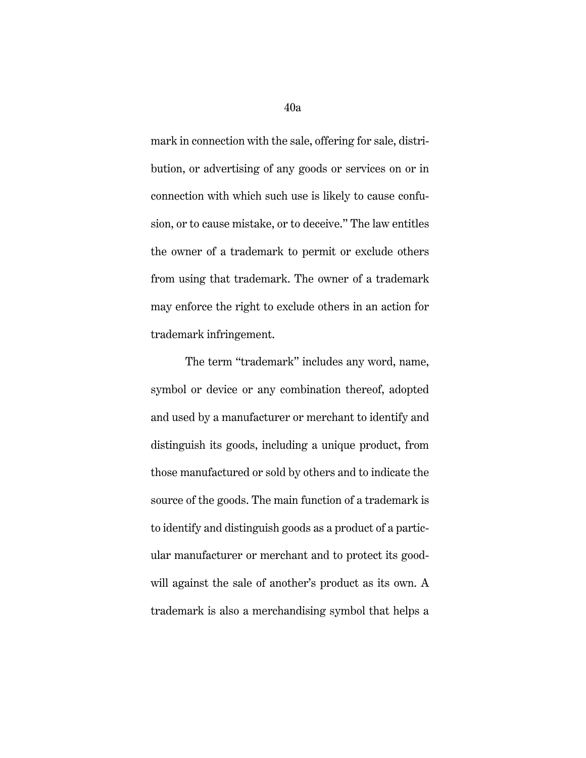mark in connection with the sale, offering for sale, distribution, or advertising of any goods or services on or in connection with which such use is likely to cause confusion, or to cause mistake, or to deceive." The law entitles the owner of a trademark to permit or exclude others from using that trademark. The owner of a trademark may enforce the right to exclude others in an action for trademark infringement.

The term "trademark" includes any word, name, symbol or device or any combination thereof, adopted and used by a manufacturer or merchant to identify and distinguish its goods, including a unique product, from those manufactured or sold by others and to indicate the source of the goods. The main function of a trademark is to identify and distinguish goods as a product of a particular manufacturer or merchant and to protect its goodwill against the sale of another's product as its own. A trademark is also a merchandising symbol that helps a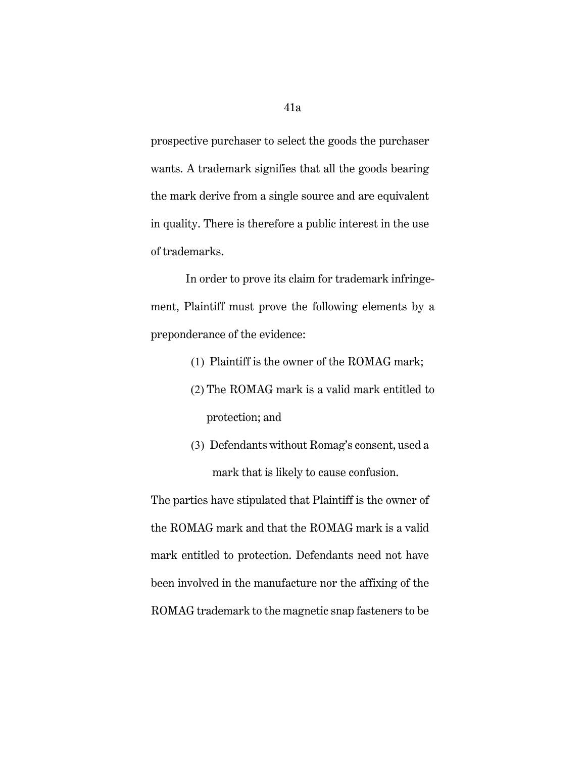prospective purchaser to select the goods the purchaser wants. A trademark signifies that all the goods bearing the mark derive from a single source and are equivalent in quality. There is therefore a public interest in the use of trademarks.

In order to prove its claim for trademark infringement, Plaintiff must prove the following elements by a preponderance of the evidence:

- (1) Plaintiff is the owner of the ROMAG mark;
- (2) The ROMAG mark is a valid mark entitled to protection; and
- (3) Defendants without Romag's consent, used a mark that is likely to cause confusion.

The parties have stipulated that Plaintiff is the owner of the ROMAG mark and that the ROMAG mark is a valid mark entitled to protection. Defendants need not have been involved in the manufacture nor the affixing of the ROMAG trademark to the magnetic snap fasteners to be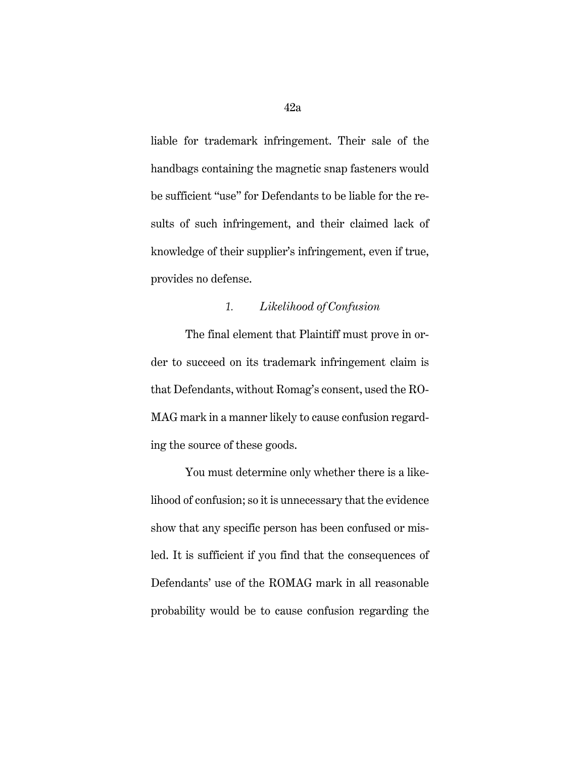liable for trademark infringement. Their sale of the handbags containing the magnetic snap fasteners would be sufficient "use" for Defendants to be liable for the results of such infringement, and their claimed lack of knowledge of their supplier's infringement, even if true, provides no defense.

## *1. Likelihood of Confusion*

The final element that Plaintiff must prove in order to succeed on its trademark infringement claim is that Defendants, without Romag's consent, used the RO-MAG mark in a manner likely to cause confusion regarding the source of these goods.

You must determine only whether there is a likelihood of confusion; so it is unnecessary that the evidence show that any specific person has been confused or misled. It is sufficient if you find that the consequences of Defendants' use of the ROMAG mark in all reasonable probability would be to cause confusion regarding the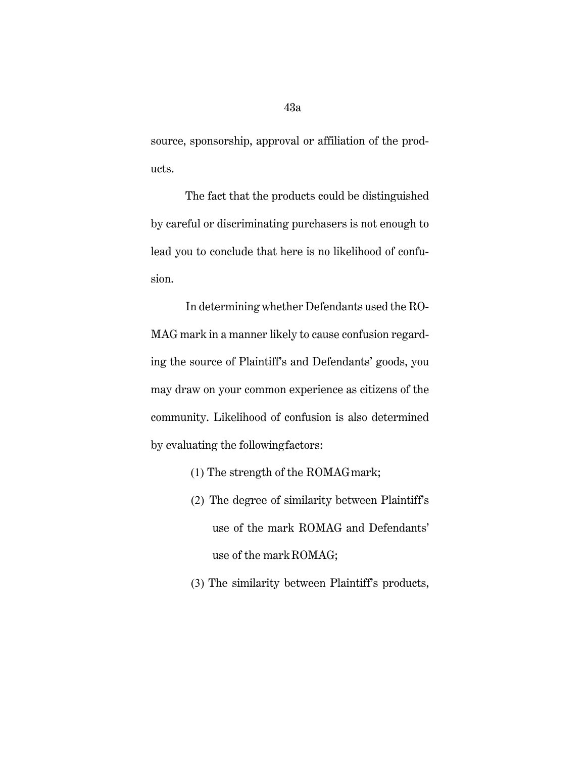source, sponsorship, approval or affiliation of the products.

The fact that the products could be distinguished by careful or discriminating purchasers is not enough to lead you to conclude that here is no likelihood of confusion.

In determining whether Defendants used the RO-MAG mark in a manner likely to cause confusion regarding the source of Plaintiff's and Defendants' goods, you may draw on your common experience as citizens of the community. Likelihood of confusion is also determined by evaluating the following factors:

- (1) The strength of the ROMAG mark;
- (2) The degree of similarity between Plaintiff's use of the mark ROMAG and Defendants' use of the mark ROMAG;
- (3) The similarity between Plaintiff's products,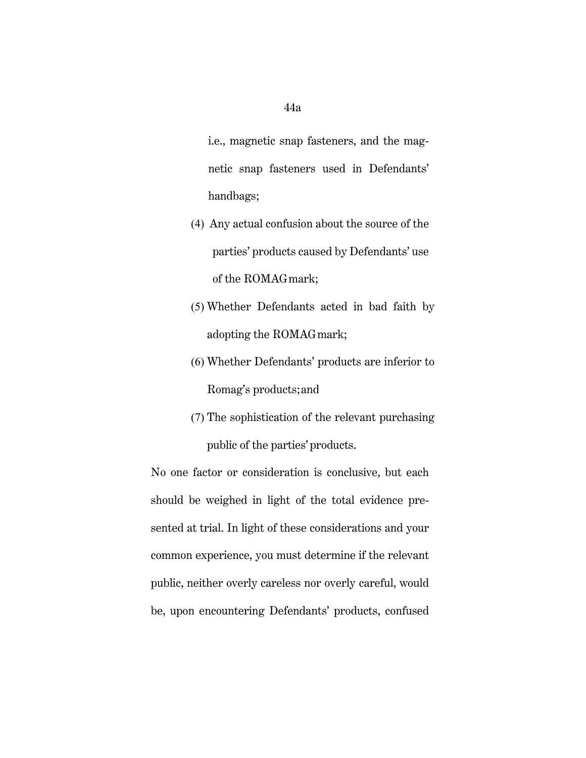i.e., magnetic snap fasteners, and the magnetic snap fasteners used in Defendants' handbags;

- (4) Any actual confusion about the source of the parties' products caused by Defendants' use of the ROMAG mark;
- (5) Whether Defendants acted in bad faith by adopting the ROMAG mark;
- (6) Whether Defendants' products are inferior to Romag's products; and
- (7) The sophistication of the relevant purchasing public of the parties' products.

No one factor or consideration is conclusive, but each should be weighed in light of the total evidence presented at trial. In light of these considerations and your common experience, you must determine if the relevant public, neither overly careless nor overly careful, would be, upon encountering Defendants' products, confused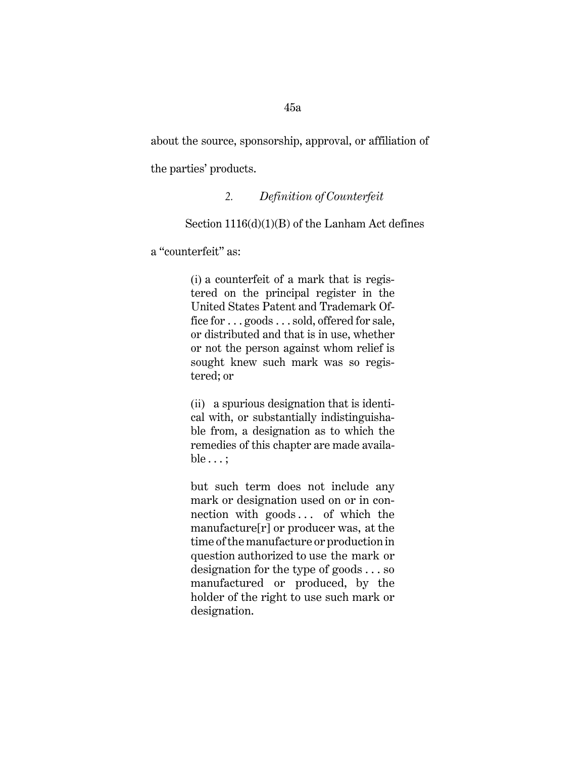about the source, sponsorship, approval, or affiliation of

the parties' products.

## *2. Definition of Counterfeit*

Section 1116(d)(1)(B) of the Lanham Act defines

a "counterfeit" as:

(i) a counterfeit of a mark that is registered on the principal register in the United States Patent and Trademark Office for . . . goods . . . sold, offered for sale, or distributed and that is in use, whether or not the person against whom relief is sought knew such mark was so registered; or

(ii) a spurious designation that is identical with, or substantially indistinguishable from, a designation as to which the remedies of this chapter are made available . . . ;

but such term does not include any mark or designation used on or in connection with goods... of which the manufacture[r] or producer was, at the time of the manufacture or production in question authorized to use the mark or designation for the type of goods . . . so manufactured or produced, by the holder of the right to use such mark or designation.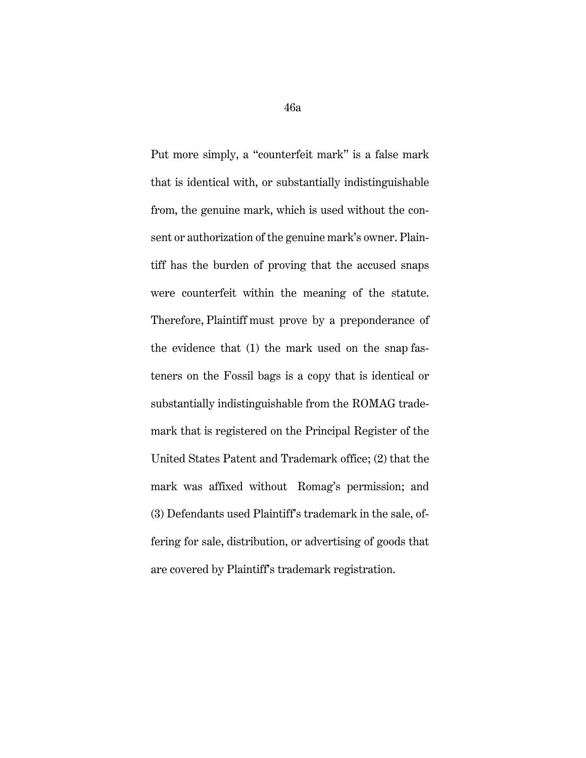Put more simply, a "counterfeit mark" is a false mark that is identical with, or substantially indistinguishable from, the genuine mark, which is used without the consent or authorization of the genuine mark's owner. Plaintiff has the burden of proving that the accused snaps were counterfeit within the meaning of the statute. Therefore, Plaintiff must prove by a preponderance of the evidence that (1) the mark used on the snap fasteners on the Fossil bags is a copy that is identical or substantially indistinguishable from the ROMAG trademark that is registered on the Principal Register of the United States Patent and Trademark office; (2) that the mark was affixed without Romag's permission; and (3) Defendants used Plaintiff's trademark in the sale, offering for sale, distribution, or advertising of goods that are covered by Plaintiff's trademark registration.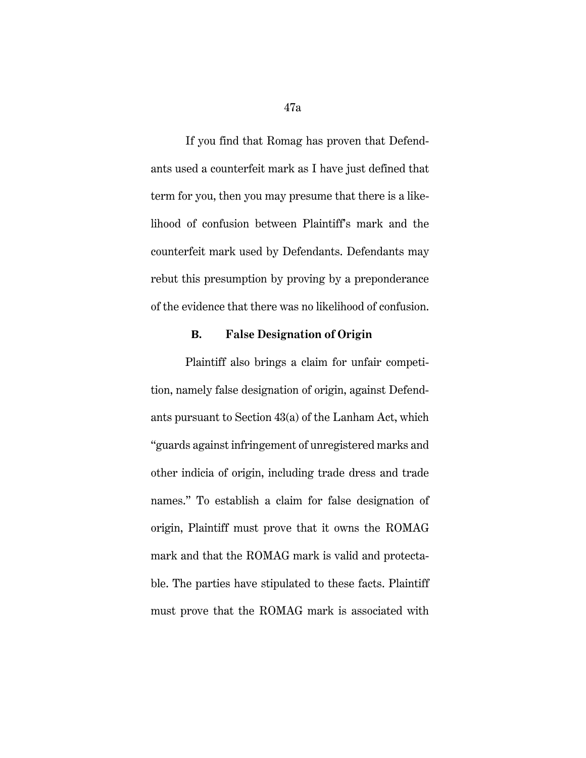If you find that Romag has proven that Defendants used a counterfeit mark as I have just defined that term for you, then you may presume that there is a likelihood of confusion between Plaintiff's mark and the counterfeit mark used by Defendants. Defendants may rebut this presumption by proving by a preponderance of the evidence that there was no likelihood of confusion.

### **B. False Designation of Origin**

Plaintiff also brings a claim for unfair competition, namely false designation of origin, against Defendants pursuant to Section 43(a) of the Lanham Act, which "guards against infringement of unregistered marks and other indicia of origin, including trade dress and trade names." To establish a claim for false designation of origin, Plaintiff must prove that it owns the ROMAG mark and that the ROMAG mark is valid and protectable. The parties have stipulated to these facts. Plaintiff must prove that the ROMAG mark is associated with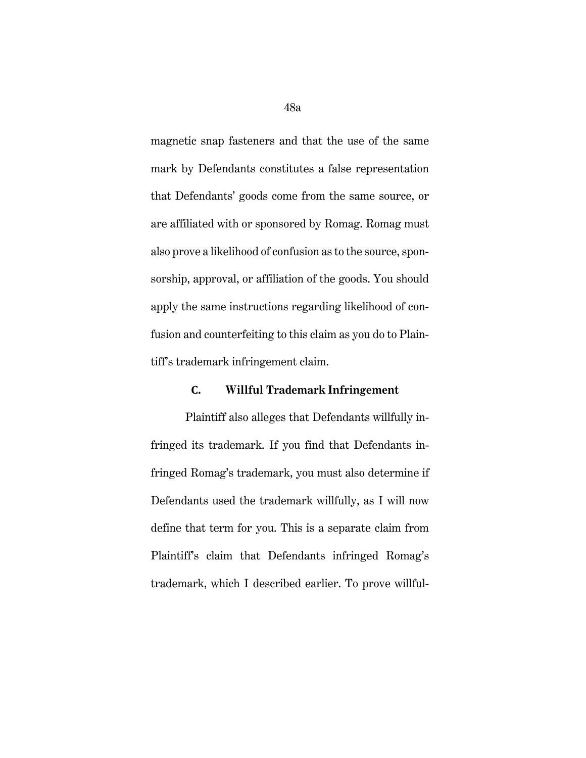magnetic snap fasteners and that the use of the same mark by Defendants constitutes a false representation that Defendants' goods come from the same source, or are affiliated with or sponsored by Romag. Romag must also prove a likelihood of confusion as to the source, sponsorship, approval, or affiliation of the goods. You should apply the same instructions regarding likelihood of confusion and counterfeiting to this claim as you do to Plaintiff's trademark infringement claim.

#### **C. Willful Trademark Infringement**

Plaintiff also alleges that Defendants willfully infringed its trademark. If you find that Defendants infringed Romag's trademark, you must also determine if Defendants used the trademark willfully, as I will now define that term for you. This is a separate claim from Plaintiff's claim that Defendants infringed Romag's trademark, which I described earlier. To prove willful-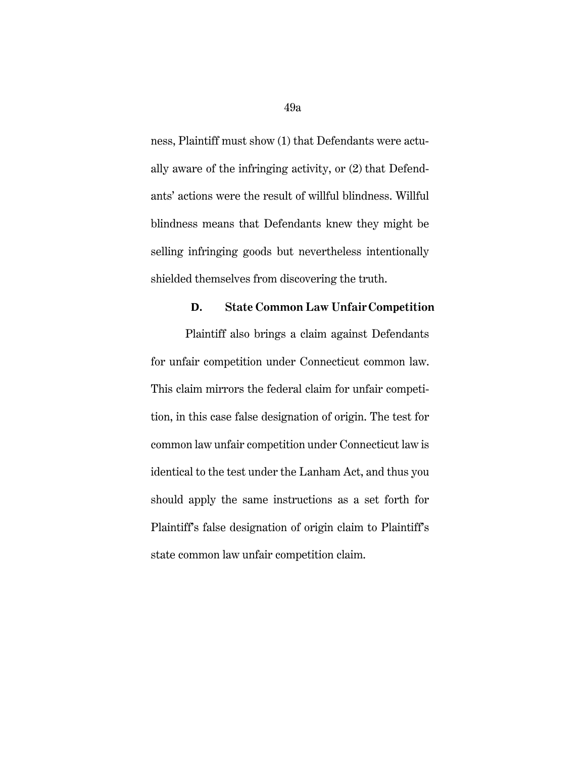ness, Plaintiff must show (1) that Defendants were actually aware of the infringing activity, or (2) that Defendants' actions were the result of willful blindness. Willful blindness means that Defendants knew they might be selling infringing goods but nevertheless intentionally shielded themselves from discovering the truth.

### **D. State Common Law Unfair Competition**

Plaintiff also brings a claim against Defendants for unfair competition under Connecticut common law. This claim mirrors the federal claim for unfair competition, in this case false designation of origin. The test for common law unfair competition under Connecticut law is identical to the test under the Lanham Act, and thus you should apply the same instructions as a set forth for Plaintiff's false designation of origin claim to Plaintiff's state common law unfair competition claim.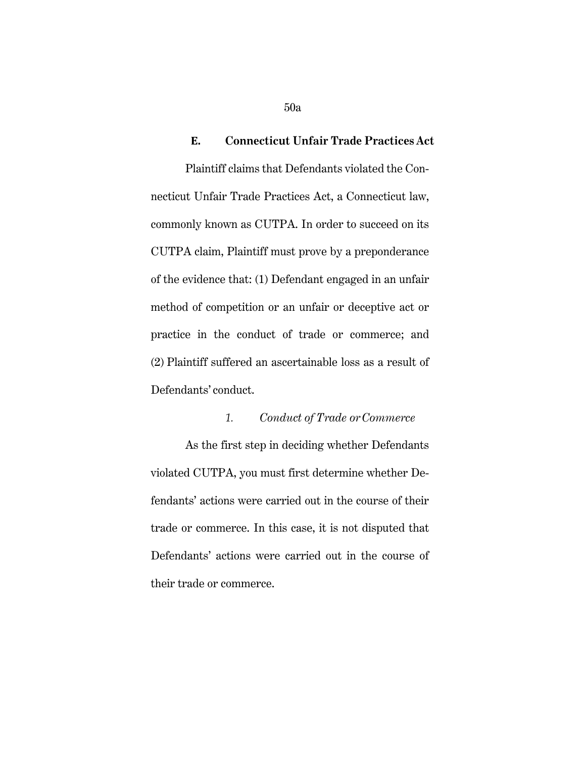### **E. Connecticut Unfair Trade Practices Act**

Plaintiff claims that Defendants violated the Connecticut Unfair Trade Practices Act, a Connecticut law, commonly known as CUTPA. In order to succeed on its CUTPA claim, Plaintiff must prove by a preponderance of the evidence that: (1) Defendant engaged in an unfair method of competition or an unfair or deceptive act or practice in the conduct of trade or commerce; and (2) Plaintiff suffered an ascertainable loss as a result of Defendants' conduct.

### *1. Conduct of Trade or Commerce*

As the first step in deciding whether Defendants violated CUTPA, you must first determine whether Defendants' actions were carried out in the course of their trade or commerce. In this case, it is not disputed that Defendants' actions were carried out in the course of their trade or commerce.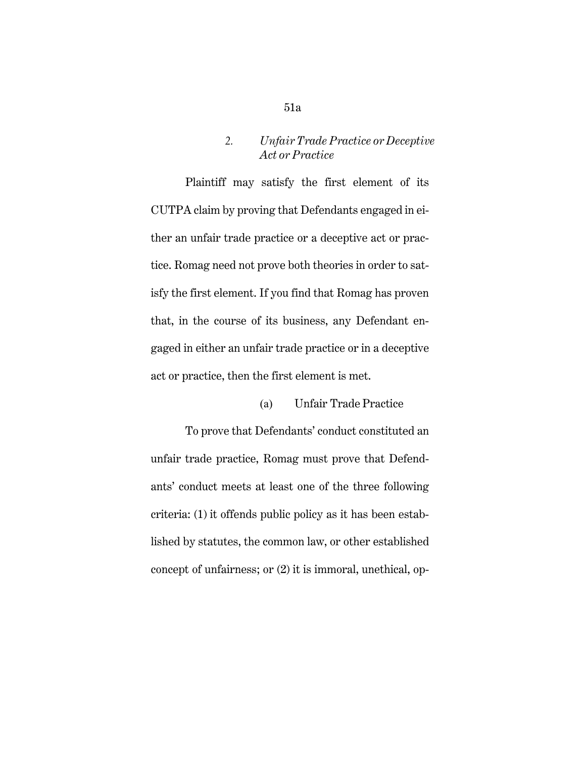### *2. Unfair Trade Practice or Deceptive Act or Practice*

Plaintiff may satisfy the first element of its CUTPA claim by proving that Defendants engaged in either an unfair trade practice or a deceptive act or practice. Romag need not prove both theories in order to satisfy the first element. If you find that Romag has proven that, in the course of its business, any Defendant engaged in either an unfair trade practice or in a deceptive act or practice, then the first element is met.

### (a) Unfair Trade Practice

To prove that Defendants' conduct constituted an unfair trade practice, Romag must prove that Defendants' conduct meets at least one of the three following criteria: (1) it offends public policy as it has been established by statutes, the common law, or other established concept of unfairness; or (2) it is immoral, unethical, op-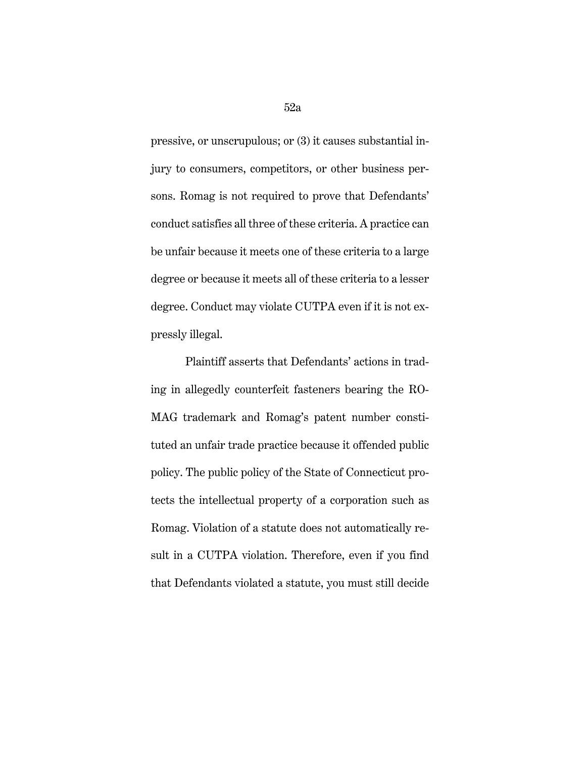pressive, or unscrupulous; or (3) it causes substantial injury to consumers, competitors, or other business persons. Romag is not required to prove that Defendants' conduct satisfies all three of these criteria. A practice can be unfair because it meets one of these criteria to a large degree or because it meets all of these criteria to a lesser degree. Conduct may violate CUTPA even if it is not expressly illegal.

Plaintiff asserts that Defendants' actions in trading in allegedly counterfeit fasteners bearing the RO-MAG trademark and Romag's patent number constituted an unfair trade practice because it offended public policy. The public policy of the State of Connecticut protects the intellectual property of a corporation such as Romag. Violation of a statute does not automatically result in a CUTPA violation. Therefore, even if you find that Defendants violated a statute, you must still decide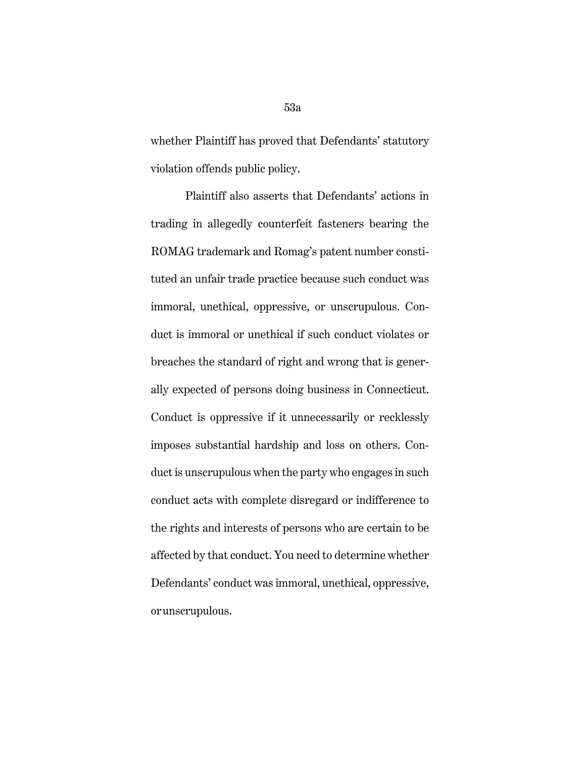whether Plaintiff has proved that Defendants' statutory violation offends public policy.

Plaintiff also asserts that Defendants' actions in trading in allegedly counterfeit fasteners bearing the ROMAG trademark and Romag's patent number constituted an unfair trade practice because such conduct was immoral, unethical, oppressive, or unscrupulous. Conduct is immoral or unethical if such conduct violates or breaches the standard of right and wrong that is generally expected of persons doing business in Connecticut. Conduct is oppressive if it unnecessarily or recklessly imposes substantial hardship and loss on others. Conduct is unscrupulous when the party who engages in such conduct acts with complete disregard or indifference to the rights and interests of persons who are certain to be affected by that conduct. You need to determine whether Defendants' conduct was immoral, unethical, oppressive, or unscrupulous.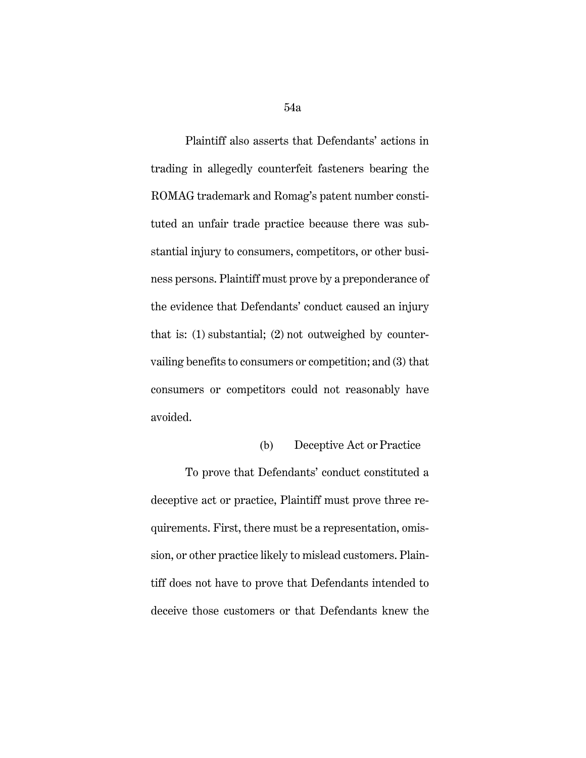Plaintiff also asserts that Defendants' actions in trading in allegedly counterfeit fasteners bearing the ROMAG trademark and Romag's patent number constituted an unfair trade practice because there was substantial injury to consumers, competitors, or other business persons. Plaintiff must prove by a preponderance of the evidence that Defendants' conduct caused an injury that is: (1) substantial; (2) not outweighed by countervailing benefits to consumers or competition; and (3) that consumers or competitors could not reasonably have avoided.

(b) Deceptive Act or Practice

To prove that Defendants' conduct constituted a deceptive act or practice, Plaintiff must prove three requirements. First, there must be a representation, omission, or other practice likely to mislead customers. Plaintiff does not have to prove that Defendants intended to deceive those customers or that Defendants knew the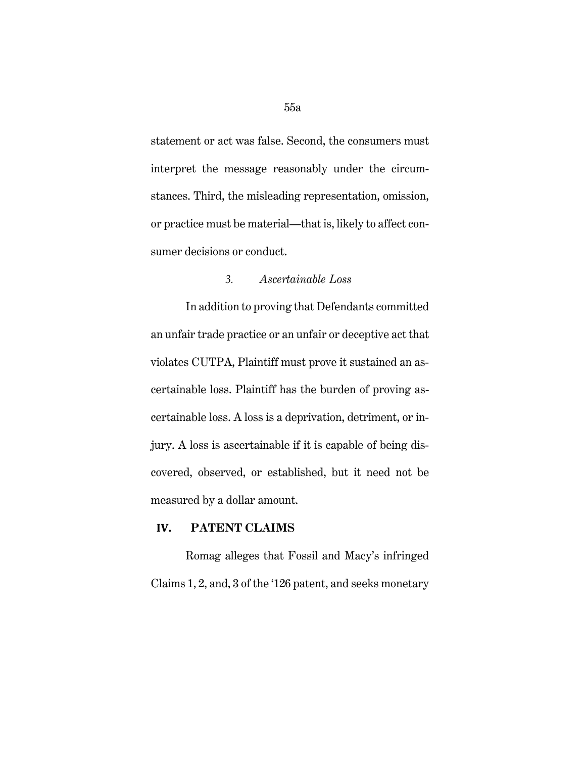statement or act was false. Second, the consumers must interpret the message reasonably under the circumstances. Third, the misleading representation, omission, or practice must be material—that is, likely to affect consumer decisions or conduct.

### *3. Ascertainable Loss*

In addition to proving that Defendants committed an unfair trade practice or an unfair or deceptive act that violates CUTPA, Plaintiff must prove it sustained an ascertainable loss. Plaintiff has the burden of proving ascertainable loss. A loss is a deprivation, detriment, or injury. A loss is ascertainable if it is capable of being discovered, observed, or established, but it need not be measured by a dollar amount.

## **IV. PATENT CLAIMS**

Romag alleges that Fossil and Macy's infringed Claims 1, 2, and, 3 of the '126 patent, and seeks monetary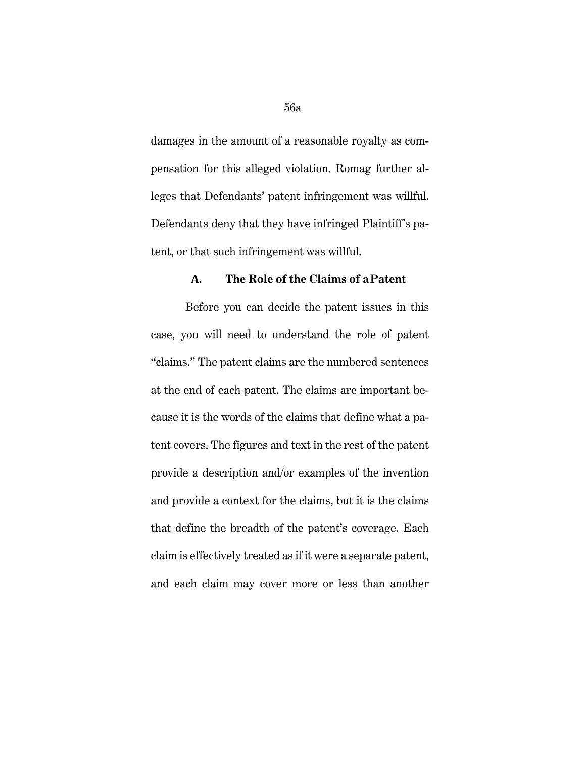damages in the amount of a reasonable royalty as compensation for this alleged violation. Romag further alleges that Defendants' patent infringement was willful. Defendants deny that they have infringed Plaintiff's patent, or that such infringement was willful.

## **A. The Role of the Claims of a Patent**

Before you can decide the patent issues in this case, you will need to understand the role of patent "claims." The patent claims are the numbered sentences at the end of each patent. The claims are important because it is the words of the claims that define what a patent covers. The figures and text in the rest of the patent provide a description and/or examples of the invention and provide a context for the claims, but it is the claims that define the breadth of the patent's coverage. Each claim is effectively treated as if it were a separate patent, and each claim may cover more or less than another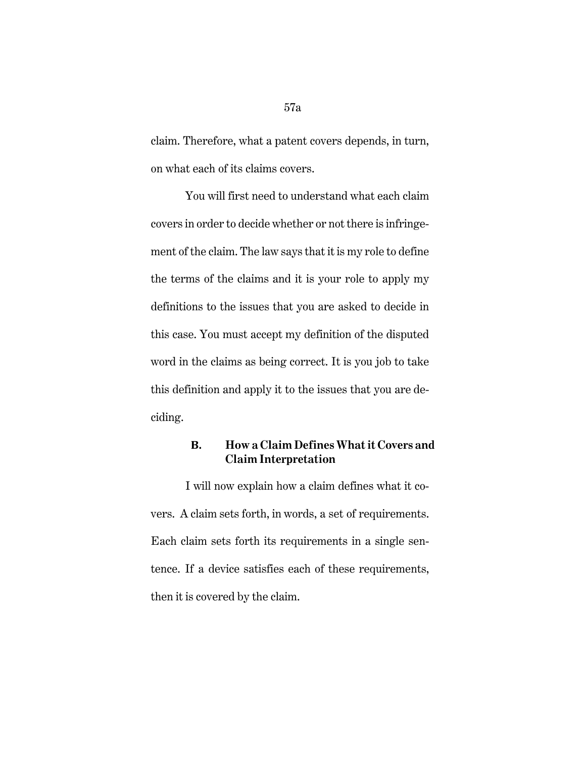claim. Therefore, what a patent covers depends, in turn, on what each of its claims covers.

You will first need to understand what each claim covers in order to decide whether or not there is infringement of the claim. The law says that it is my role to define the terms of the claims and it is your role to apply my definitions to the issues that you are asked to decide in this case. You must accept my definition of the disputed word in the claims as being correct. It is you job to take this definition and apply it to the issues that you are deciding.

# **B. How a Claim Defines What it Covers and Claim Interpretation**

I will now explain how a claim defines what it covers. A claim sets forth, in words, a set of requirements. Each claim sets forth its requirements in a single sentence. If a device satisfies each of these requirements, then it is covered by the claim.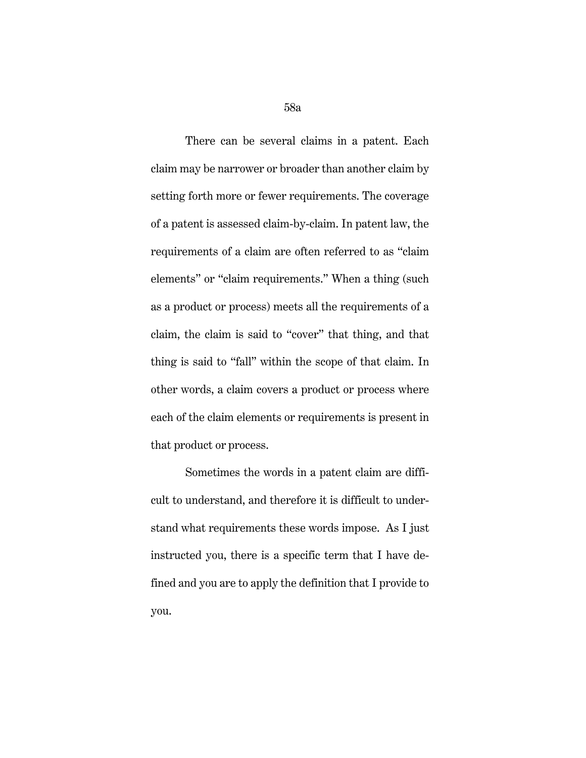There can be several claims in a patent. Each claim may be narrower or broader than another claim by setting forth more or fewer requirements. The coverage of a patent is assessed claim-by-claim. In patent law, the requirements of a claim are often referred to as "claim elements" or "claim requirements." When a thing (such as a product or process) meets all the requirements of a claim, the claim is said to "cover" that thing, and that thing is said to "fall" within the scope of that claim. In other words, a claim covers a product or process where each of the claim elements or requirements is present in that product or process.

Sometimes the words in a patent claim are difficult to understand, and therefore it is difficult to understand what requirements these words impose. As I just instructed you, there is a specific term that I have defined and you are to apply the definition that I provide to you.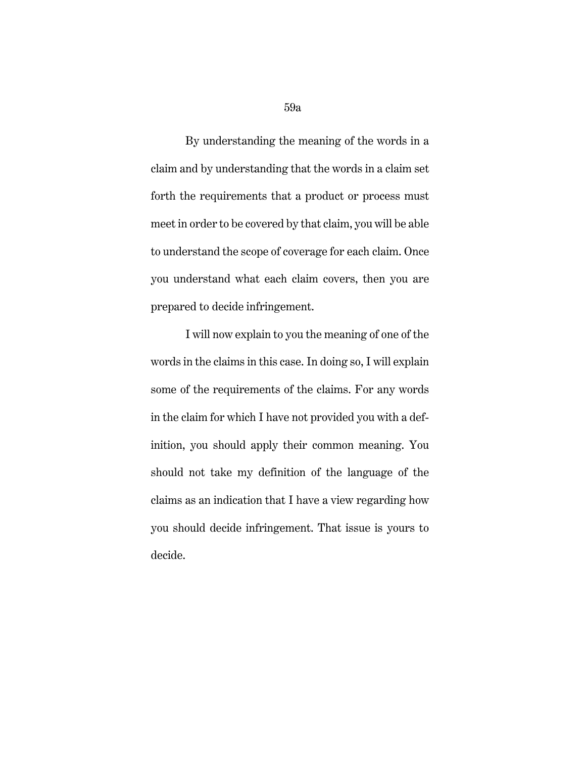By understanding the meaning of the words in a claim and by understanding that the words in a claim set forth the requirements that a product or process must meet in order to be covered by that claim, you will be able to understand the scope of coverage for each claim. Once you understand what each claim covers, then you are prepared to decide infringement.

I will now explain to you the meaning of one of the words in the claims in this case. In doing so, I will explain some of the requirements of the claims. For any words in the claim for which I have not provided you with a definition, you should apply their common meaning. You should not take my definition of the language of the claims as an indication that I have a view regarding how you should decide infringement. That issue is yours to decide.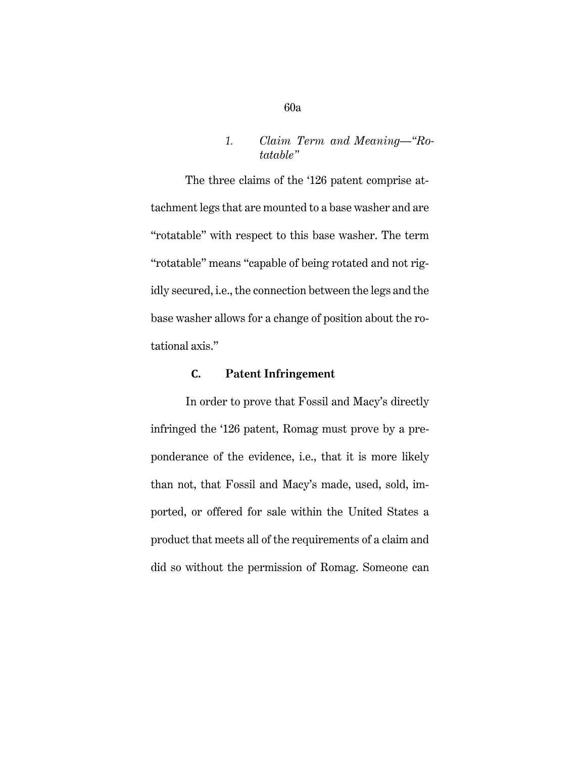### *1. Claim Term and Meaning—"Rotatable"*

The three claims of the '126 patent comprise attachment legs that are mounted to a base washer and are "rotatable" with respect to this base washer. The term "rotatable" means "capable of being rotated and not rigidly secured, i.e., the connection between the legs and the base washer allows for a change of position about the rotational axis."

### **C. Patent Infringement**

In order to prove that Fossil and Macy's directly infringed the '126 patent, Romag must prove by a preponderance of the evidence, i.e., that it is more likely than not, that Fossil and Macy's made, used, sold, imported, or offered for sale within the United States a product that meets all of the requirements of a claim and did so without the permission of Romag. Someone can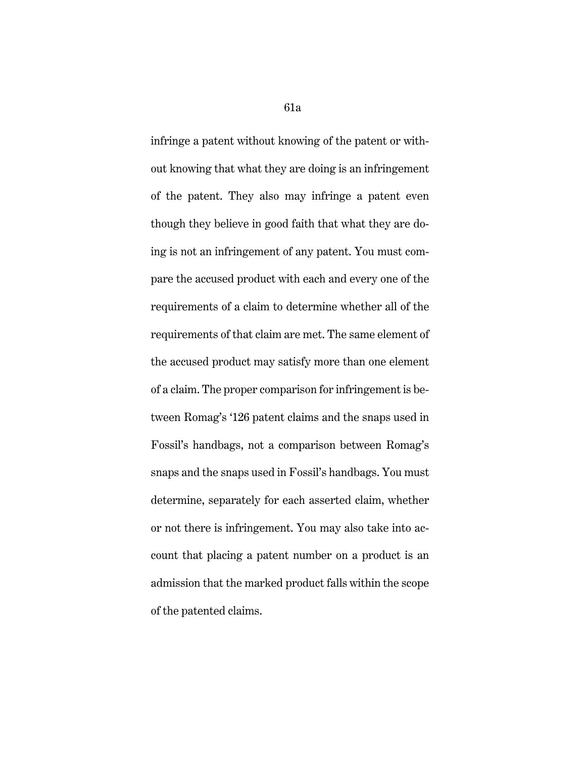infringe a patent without knowing of the patent or without knowing that what they are doing is an infringement of the patent. They also may infringe a patent even though they believe in good faith that what they are doing is not an infringement of any patent. You must compare the accused product with each and every one of the requirements of a claim to determine whether all of the requirements of that claim are met. The same element of the accused product may satisfy more than one element of a claim. The proper comparison for infringement is between Romag's '126 patent claims and the snaps used in Fossil's handbags, not a comparison between Romag's snaps and the snaps used in Fossil's handbags. You must determine, separately for each asserted claim, whether or not there is infringement. You may also take into account that placing a patent number on a product is an admission that the marked product falls within the scope of the patented claims.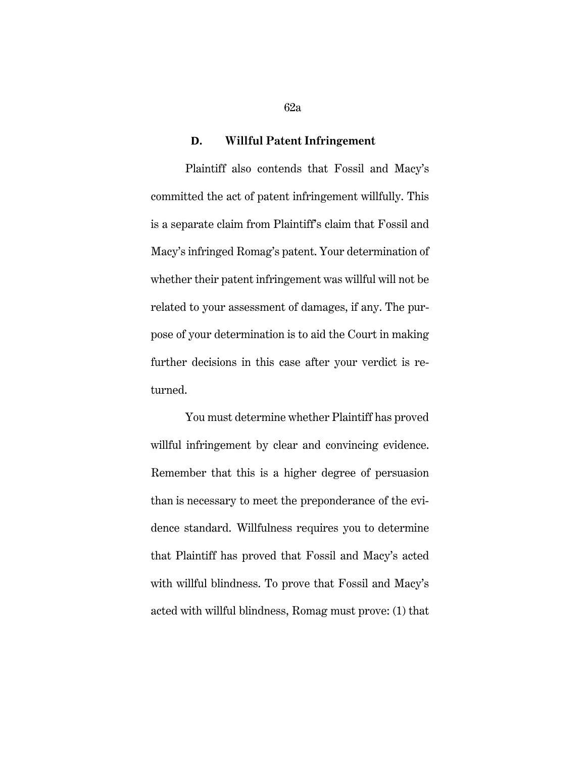#### **D. Willful Patent Infringement**

Plaintiff also contends that Fossil and Macy's committed the act of patent infringement willfully. This is a separate claim from Plaintiff's claim that Fossil and Macy's infringed Romag's patent. Your determination of whether their patent infringement was willful will not be related to your assessment of damages, if any. The purpose of your determination is to aid the Court in making further decisions in this case after your verdict is returned.

You must determine whether Plaintiff has proved willful infringement by clear and convincing evidence. Remember that this is a higher degree of persuasion than is necessary to meet the preponderance of the evidence standard. Willfulness requires you to determine that Plaintiff has proved that Fossil and Macy's acted with willful blindness. To prove that Fossil and Macy's acted with willful blindness, Romag must prove: (1) that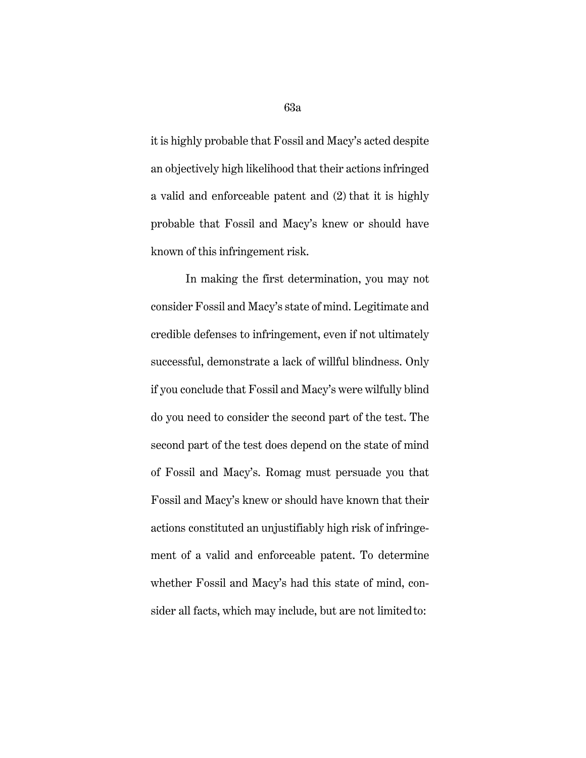it is highly probable that Fossil and Macy's acted despite an objectively high likelihood that their actions infringed a valid and enforceable patent and (2) that it is highly probable that Fossil and Macy's knew or should have known of this infringement risk.

In making the first determination, you may not consider Fossil and Macy's state of mind. Legitimate and credible defenses to infringement, even if not ultimately successful, demonstrate a lack of willful blindness. Only if you conclude that Fossil and Macy's were wilfully blind do you need to consider the second part of the test. The second part of the test does depend on the state of mind of Fossil and Macy's. Romag must persuade you that Fossil and Macy's knew or should have known that their actions constituted an unjustifiably high risk of infringement of a valid and enforceable patent. To determine whether Fossil and Macy's had this state of mind, consider all facts, which may include, but are not limited to: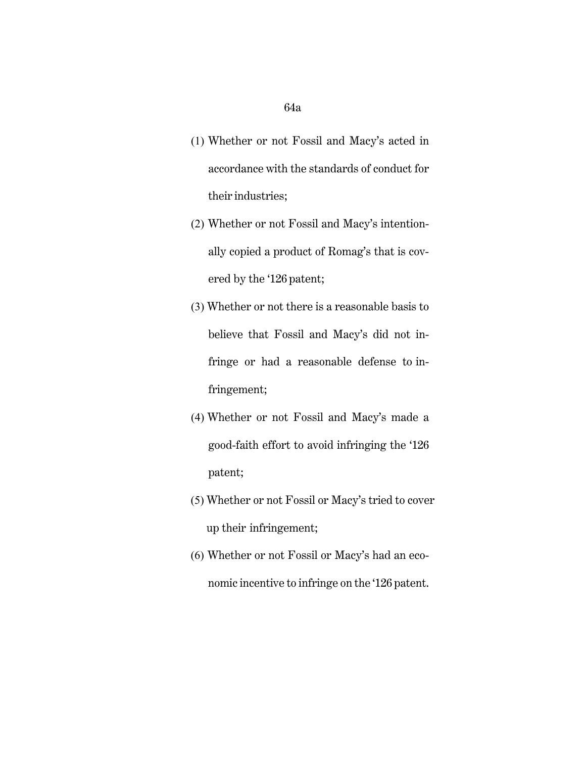- (1) Whether or not Fossil and Macy's acted in accordance with the standards of conduct for their industries;
- (2) Whether or not Fossil and Macy's intentionally copied a product of Romag's that is covered by the '126 patent;
- (3) Whether or not there is a reasonable basis to believe that Fossil and Macy's did not infringe or had a reasonable defense to infringement;
- (4) Whether or not Fossil and Macy's made a good-faith effort to avoid infringing the '126 patent;
- (5) Whether or not Fossil or Macy's tried to cover up their infringement;
- (6) Whether or not Fossil or Macy's had an economic incentive to infringe on the '126 patent.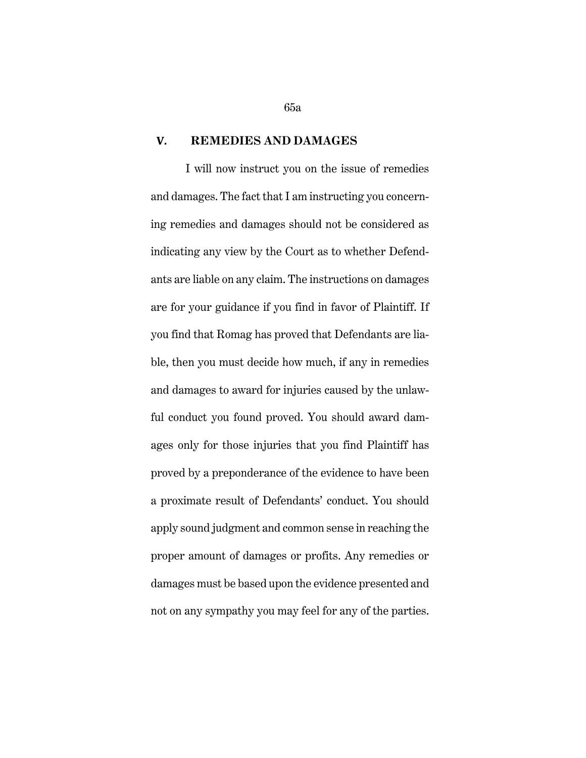#### **V. REMEDIES AND DAMAGES**

I will now instruct you on the issue of remedies and damages. The fact that I am instructing you concerning remedies and damages should not be considered as indicating any view by the Court as to whether Defendants are liable on any claim. The instructions on damages are for your guidance if you find in favor of Plaintiff. If you find that Romag has proved that Defendants are liable, then you must decide how much, if any in remedies and damages to award for injuries caused by the unlawful conduct you found proved. You should award damages only for those injuries that you find Plaintiff has proved by a preponderance of the evidence to have been a proximate result of Defendants' conduct. You should apply sound judgment and common sense in reaching the proper amount of damages or profits. Any remedies or damages must be based upon the evidence presented and not on any sympathy you may feel for any of the parties.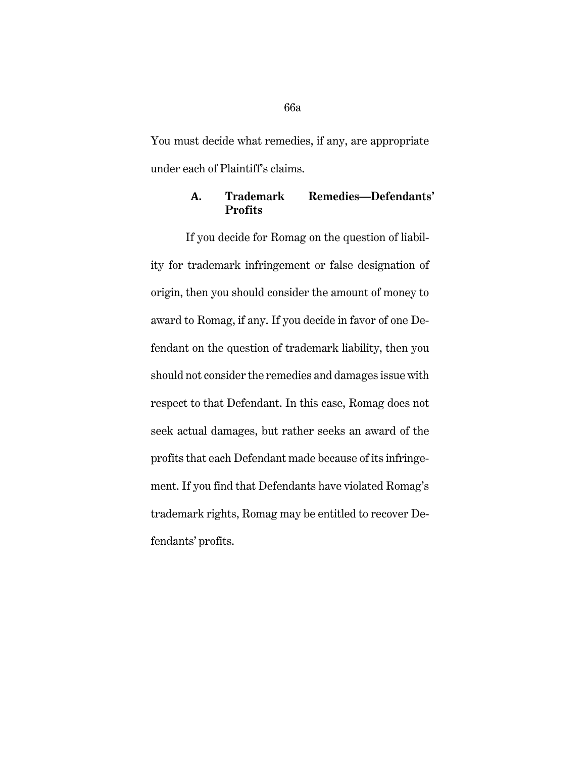You must decide what remedies, if any, are appropriate under each of Plaintiff's claims.

## **A. Trademark Remedies—Defendants' Profits**

If you decide for Romag on the question of liability for trademark infringement or false designation of origin, then you should consider the amount of money to award to Romag, if any. If you decide in favor of one Defendant on the question of trademark liability, then you should not consider the remedies and damages issue with respect to that Defendant. In this case, Romag does not seek actual damages, but rather seeks an award of the profits that each Defendant made because of its infringement. If you find that Defendants have violated Romag's trademark rights, Romag may be entitled to recover Defendants' profits.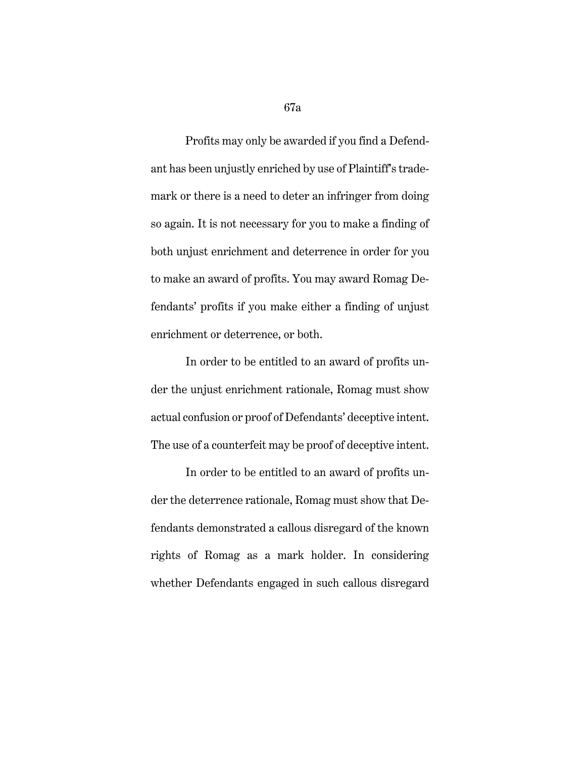Profits may only be awarded if you find a Defendant has been unjustly enriched by use of Plaintiff's trademark or there is a need to deter an infringer from doing so again. It is not necessary for you to make a finding of both unjust enrichment and deterrence in order for you to make an award of profits. You may award Romag Defendants' profits if you make either a finding of unjust enrichment or deterrence, or both.

In order to be entitled to an award of profits under the unjust enrichment rationale, Romag must show actual confusion or proof of Defendants' deceptive intent. The use of a counterfeit may be proof of deceptive intent.

In order to be entitled to an award of profits under the deterrence rationale, Romag must show that Defendants demonstrated a callous disregard of the known rights of Romag as a mark holder. In considering whether Defendants engaged in such callous disregard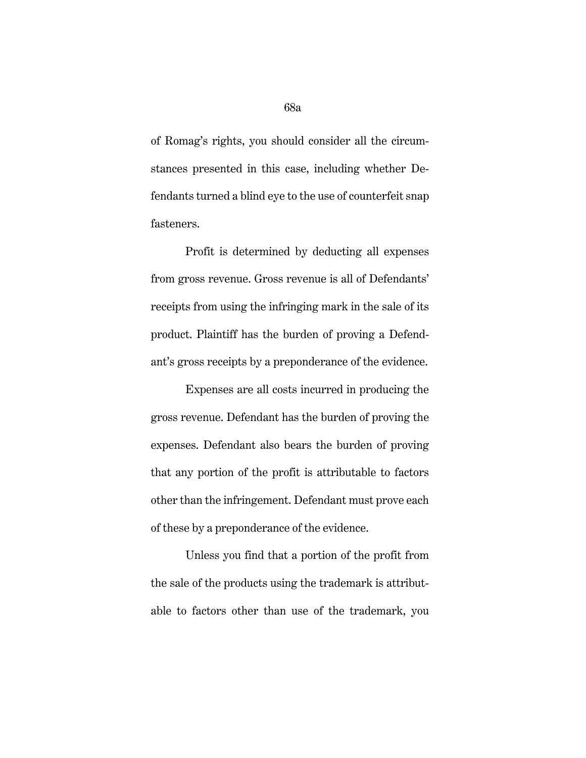of Romag's rights, you should consider all the circumstances presented in this case, including whether Defendants turned a blind eye to the use of counterfeit snap fasteners.

Profit is determined by deducting all expenses from gross revenue. Gross revenue is all of Defendants' receipts from using the infringing mark in the sale of its product. Plaintiff has the burden of proving a Defendant's gross receipts by a preponderance of the evidence.

Expenses are all costs incurred in producing the gross revenue. Defendant has the burden of proving the expenses. Defendant also bears the burden of proving that any portion of the profit is attributable to factors other than the infringement. Defendant must prove each of these by a preponderance of the evidence.

Unless you find that a portion of the profit from the sale of the products using the trademark is attributable to factors other than use of the trademark, you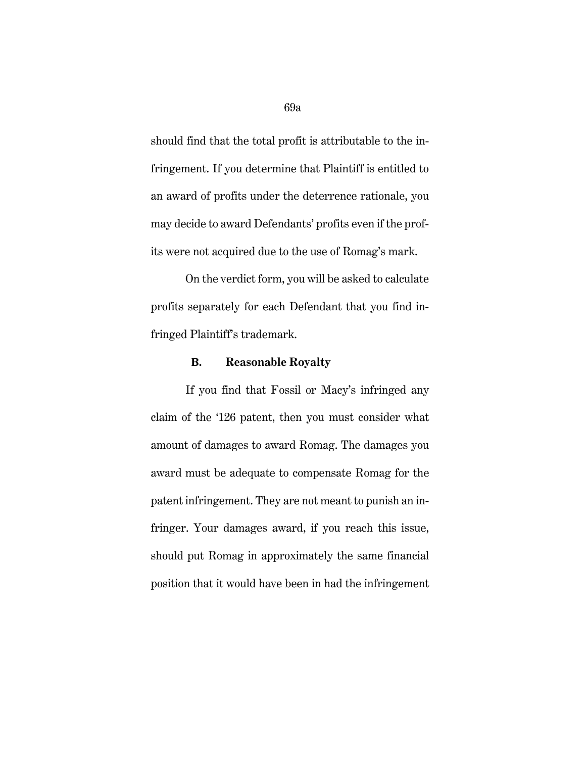should find that the total profit is attributable to the infringement. If you determine that Plaintiff is entitled to an award of profits under the deterrence rationale, you may decide to award Defendants' profits even if the profits were not acquired due to the use of Romag's mark.

On the verdict form, you will be asked to calculate profits separately for each Defendant that you find infringed Plaintiff's trademark.

#### **B. Reasonable Royalty**

If you find that Fossil or Macy's infringed any claim of the '126 patent, then you must consider what amount of damages to award Romag. The damages you award must be adequate to compensate Romag for the patent infringement. They are not meant to punish an infringer. Your damages award, if you reach this issue, should put Romag in approximately the same financial position that it would have been in had the infringement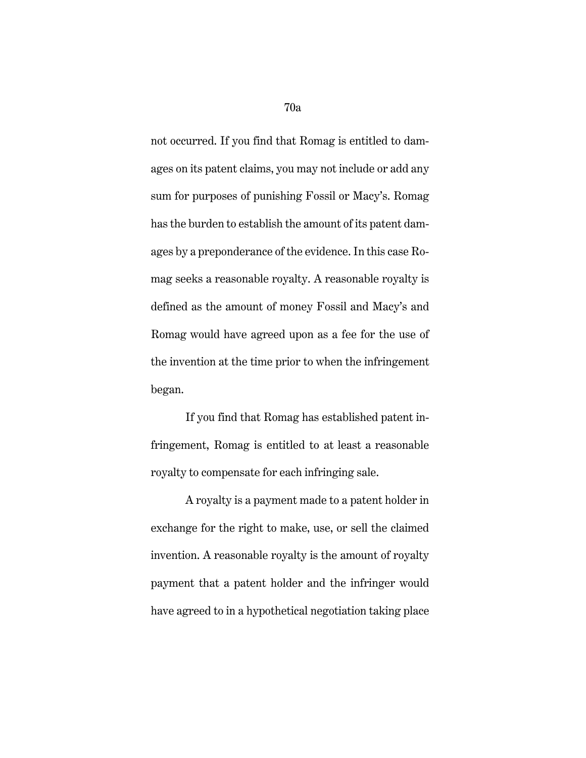not occurred. If you find that Romag is entitled to damages on its patent claims, you may not include or add any sum for purposes of punishing Fossil or Macy's. Romag has the burden to establish the amount of its patent damages by a preponderance of the evidence. In this case Romag seeks a reasonable royalty. A reasonable royalty is defined as the amount of money Fossil and Macy's and Romag would have agreed upon as a fee for the use of the invention at the time prior to when the infringement began.

If you find that Romag has established patent infringement, Romag is entitled to at least a reasonable royalty to compensate for each infringing sale.

A royalty is a payment made to a patent holder in exchange for the right to make, use, or sell the claimed invention. A reasonable royalty is the amount of royalty payment that a patent holder and the infringer would have agreed to in a hypothetical negotiation taking place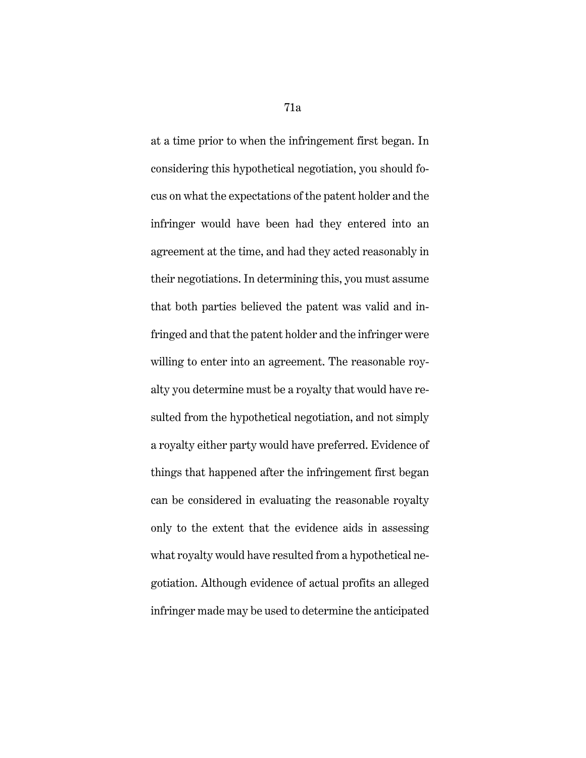at a time prior to when the infringement first began. In considering this hypothetical negotiation, you should focus on what the expectations of the patent holder and the infringer would have been had they entered into an agreement at the time, and had they acted reasonably in their negotiations. In determining this, you must assume that both parties believed the patent was valid and infringed and that the patent holder and the infringer were willing to enter into an agreement. The reasonable royalty you determine must be a royalty that would have resulted from the hypothetical negotiation, and not simply a royalty either party would have preferred. Evidence of things that happened after the infringement first began can be considered in evaluating the reasonable royalty only to the extent that the evidence aids in assessing what royalty would have resulted from a hypothetical negotiation. Although evidence of actual profits an alleged infringer made may be used to determine the anticipated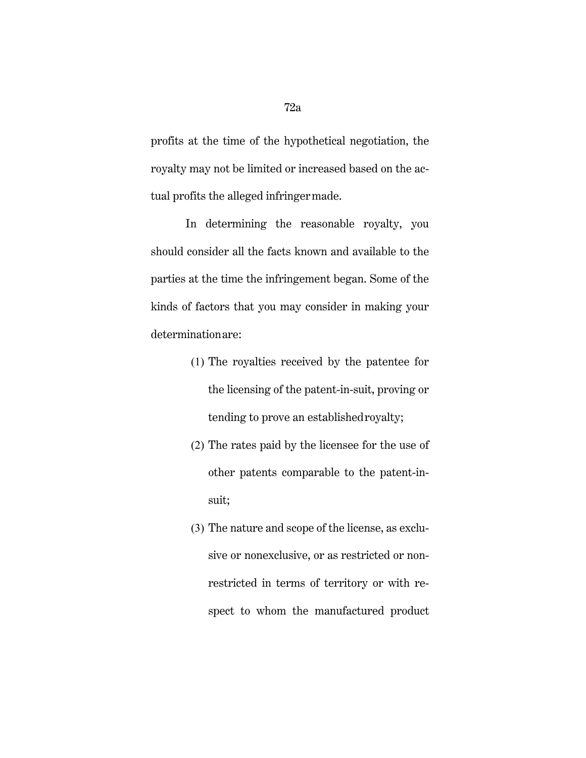profits at the time of the hypothetical negotiation, the royalty may not be limited or increased based on the actual profits the alleged infringer made.

In determining the reasonable royalty, you should consider all the facts known and available to the parties at the time the infringement began. Some of the kinds of factors that you may consider in making your determination are:

- (1) The royalties received by the patentee for the licensing of the patent-in-suit, proving or tending to prove an established royalty;
- (2) The rates paid by the licensee for the use of other patents comparable to the patent-insuit;
- (3) The nature and scope of the license, as exclusive or nonexclusive, or as restricted or nonrestricted in terms of territory or with respect to whom the manufactured product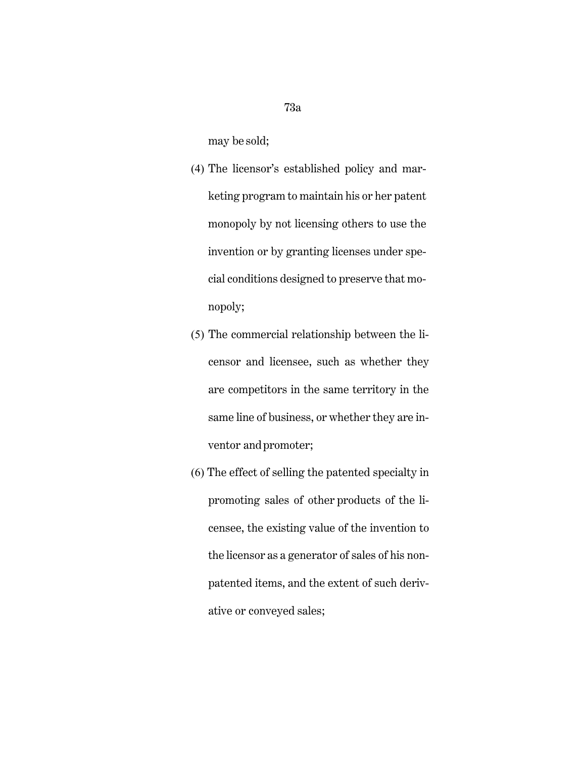may be sold;

- (4) The licensor's established policy and marketing program to maintain his or her patent monopoly by not licensing others to use the invention or by granting licenses under special conditions designed to preserve that monopoly;
- (5) The commercial relationship between the licensor and licensee, such as whether they are competitors in the same territory in the same line of business, or whether they are inventor and promoter;
- (6) The effect of selling the patented specialty in promoting sales of other products of the licensee, the existing value of the invention to the licensor as a generator of sales of his nonpatented items, and the extent of such derivative or conveyed sales;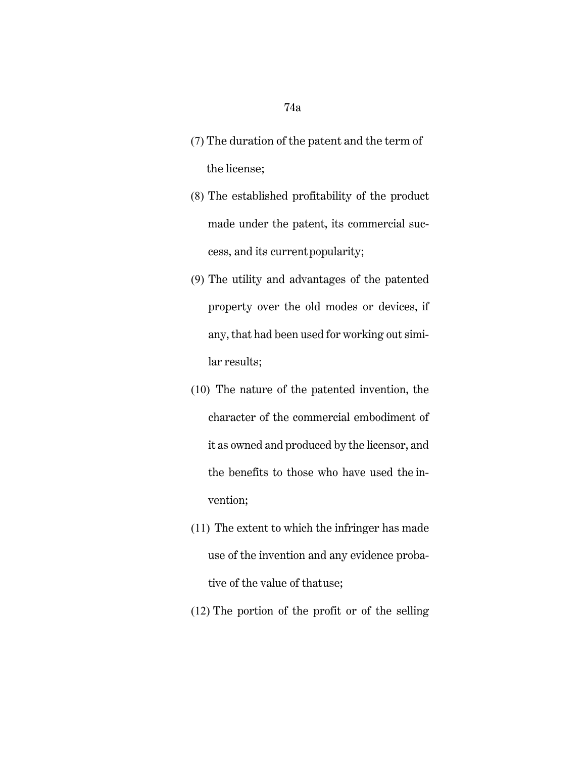- (7) The duration of the patent and the term of the license;
- (8) The established profitability of the product made under the patent, its commercial success, and its current popularity;
- (9) The utility and advantages of the patented property over the old modes or devices, if any, that had been used for working out similar results;
- (10) The nature of the patented invention, the character of the commercial embodiment of it as owned and produced by the licensor, and the benefits to those who have used the invention;
- (11) The extent to which the infringer has made use of the invention and any evidence probative of the value of that use;
- (12) The portion of the profit or of the selling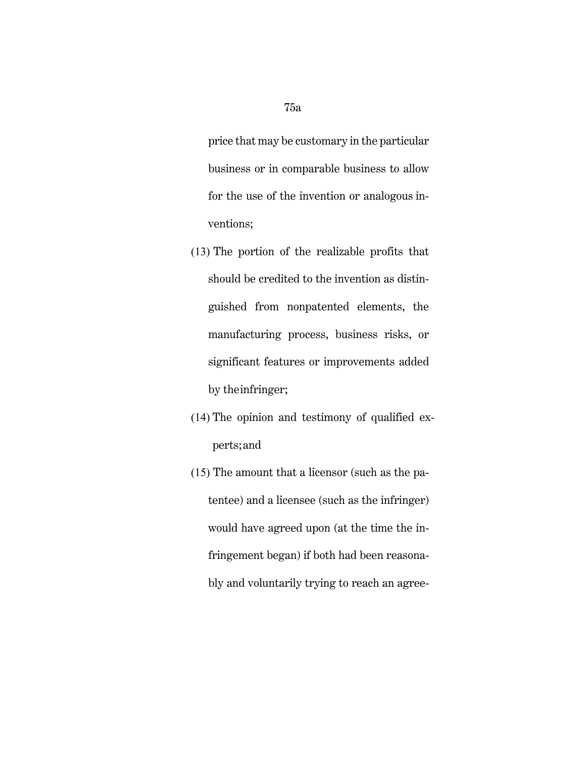price that may be customary in the particular business or in comparable business to allow for the use of the invention or analogous inventions;

- (13) The portion of the realizable profits that should be credited to the invention as distinguished from nonpatented elements, the manufacturing process, business risks, or significant features or improvements added by the infringer;
- (14) The opinion and testimony of qualified experts; and
- (15) The amount that a licensor (such as the patentee) and a licensee (such as the infringer) would have agreed upon (at the time the infringement began) if both had been reasonably and voluntarily trying to reach an agree-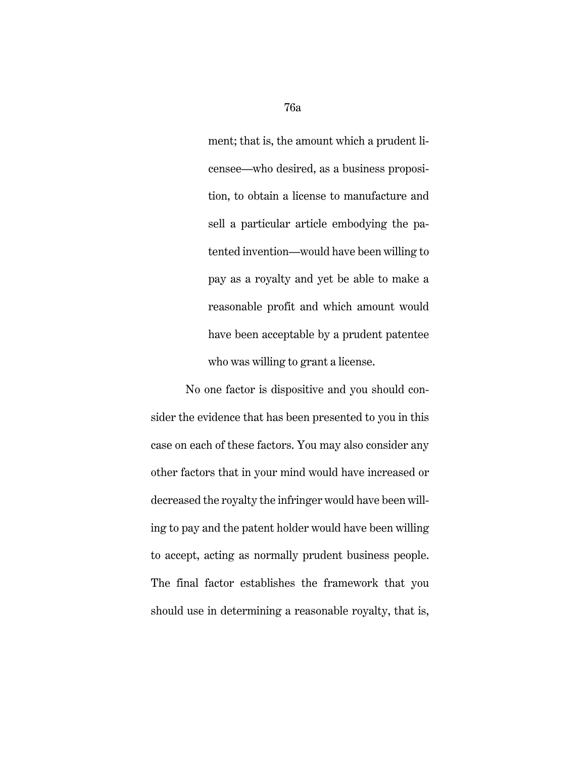ment; that is, the amount which a prudent licensee—who desired, as a business proposition, to obtain a license to manufacture and sell a particular article embodying the patented invention—would have been willing to pay as a royalty and yet be able to make a reasonable profit and which amount would have been acceptable by a prudent patentee who was willing to grant a license.

No one factor is dispositive and you should consider the evidence that has been presented to you in this case on each of these factors. You may also consider any other factors that in your mind would have increased or decreased the royalty the infringer would have been willing to pay and the patent holder would have been willing to accept, acting as normally prudent business people. The final factor establishes the framework that you should use in determining a reasonable royalty, that is,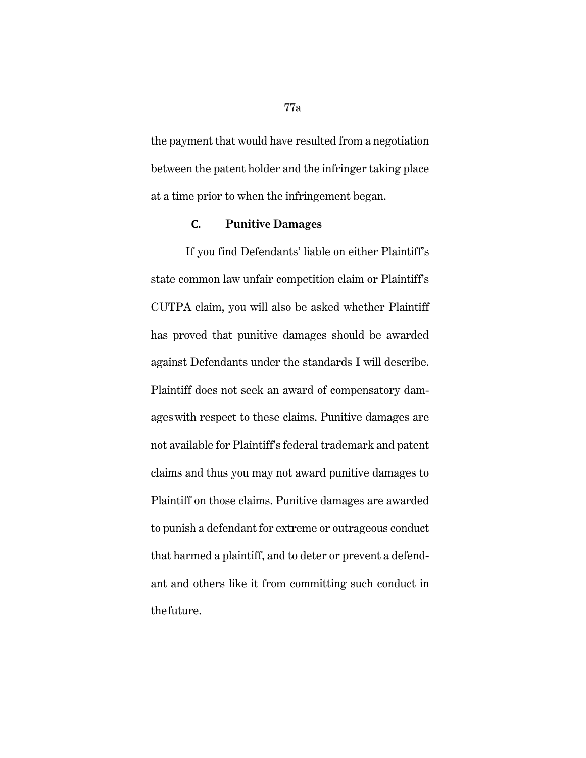the payment that would have resulted from a negotiation between the patent holder and the infringer taking place at a time prior to when the infringement began.

#### **C. Punitive Damages**

If you find Defendants' liable on either Plaintiff's state common law unfair competition claim or Plaintiff's CUTPA claim, you will also be asked whether Plaintiff has proved that punitive damages should be awarded against Defendants under the standards I will describe. Plaintiff does not seek an award of compensatory damages with respect to these claims. Punitive damages are not available for Plaintiff's federal trademark and patent claims and thus you may not award punitive damages to Plaintiff on those claims. Punitive damages are awarded to punish a defendant for extreme or outrageous conduct that harmed a plaintiff, and to deter or prevent a defendant and others like it from committing such conduct in the future.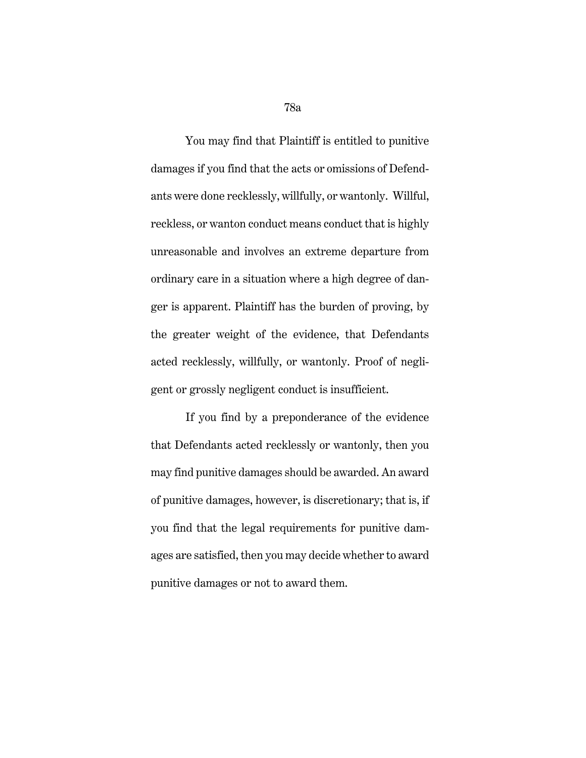You may find that Plaintiff is entitled to punitive damages if you find that the acts or omissions of Defendants were done recklessly, willfully, or wantonly. Willful, reckless, or wanton conduct means conduct that is highly unreasonable and involves an extreme departure from ordinary care in a situation where a high degree of danger is apparent. Plaintiff has the burden of proving, by the greater weight of the evidence, that Defendants acted recklessly, willfully, or wantonly. Proof of negligent or grossly negligent conduct is insufficient.

If you find by a preponderance of the evidence that Defendants acted recklessly or wantonly, then you may find punitive damages should be awarded. An award of punitive damages, however, is discretionary; that is, if you find that the legal requirements for punitive damages are satisfied, then you may decide whether to award punitive damages or not to award them.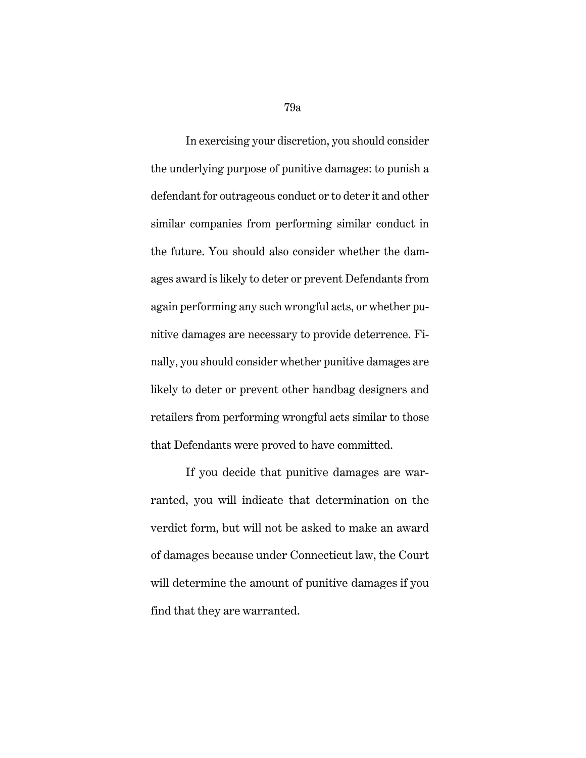In exercising your discretion, you should consider the underlying purpose of punitive damages: to punish a defendant for outrageous conduct or to deter it and other similar companies from performing similar conduct in the future. You should also consider whether the damages award is likely to deter or prevent Defendants from again performing any such wrongful acts, or whether punitive damages are necessary to provide deterrence. Finally, you should consider whether punitive damages are likely to deter or prevent other handbag designers and retailers from performing wrongful acts similar to those that Defendants were proved to have committed.

If you decide that punitive damages are warranted, you will indicate that determination on the verdict form, but will not be asked to make an award of damages because under Connecticut law, the Court will determine the amount of punitive damages if you find that they are warranted.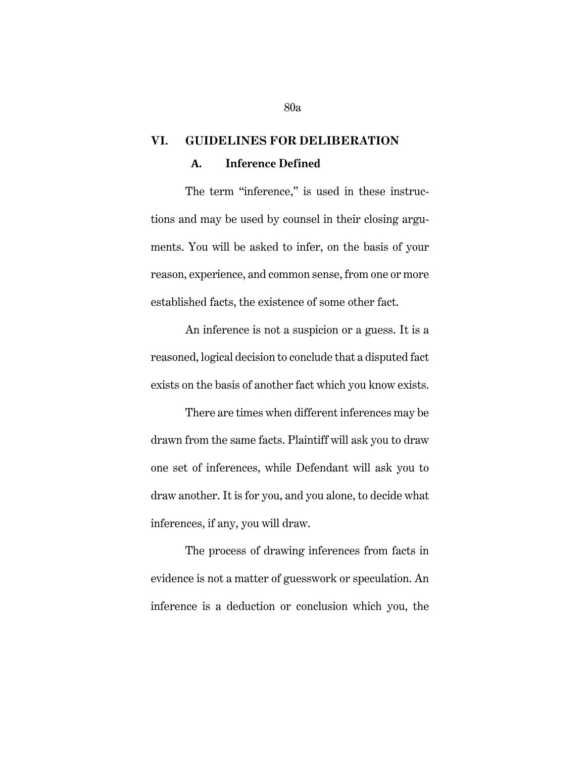# **VI. GUIDELINES FOR DELIBERATION A. Inference Defined**

The term "inference," is used in these instructions and may be used by counsel in their closing arguments. You will be asked to infer, on the basis of your reason, experience, and common sense, from one or more established facts, the existence of some other fact.

An inference is not a suspicion or a guess. It is a reasoned, logical decision to conclude that a disputed fact exists on the basis of another fact which you know exists.

There are times when different inferences may be drawn from the same facts. Plaintiff will ask you to draw one set of inferences, while Defendant will ask you to draw another. It is for you, and you alone, to decide what inferences, if any, you will draw.

The process of drawing inferences from facts in evidence is not a matter of guesswork or speculation. An inference is a deduction or conclusion which you, the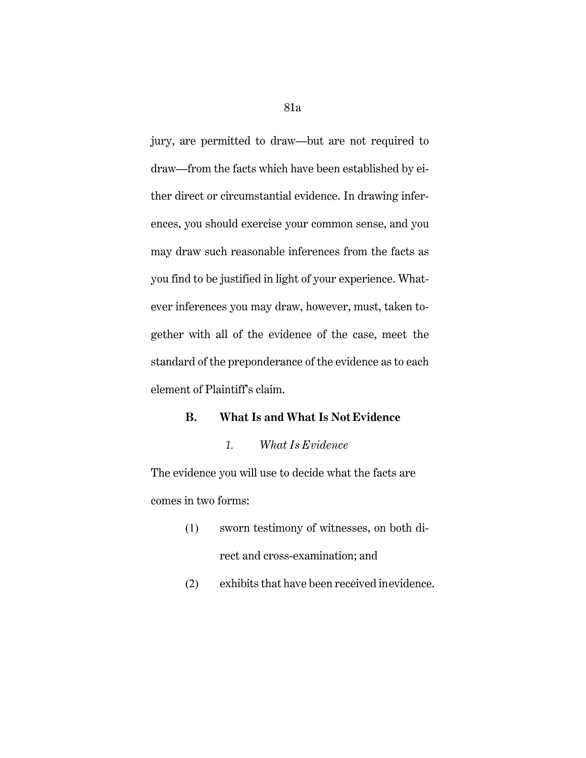jury, are permitted to draw—but are not required to draw—from the facts which have been established by either direct or circumstantial evidence. In drawing inferences, you should exercise your common sense, and you may draw such reasonable inferences from the facts as you find to be justified in light of your experience. Whatever inferences you may draw, however, must, taken together with all of the evidence of the case, meet the standard of the preponderance of the evidence as to each element of Plaintiff's claim.

# **B. What Is and What Is Not Evidence**

### *1. What Is Evidence*

The evidence you will use to decide what the facts are comes in two forms:

- (1) sworn testimony of witnesses, on both direct and cross-examination; and
- (2) exhibits that have been received in evidence.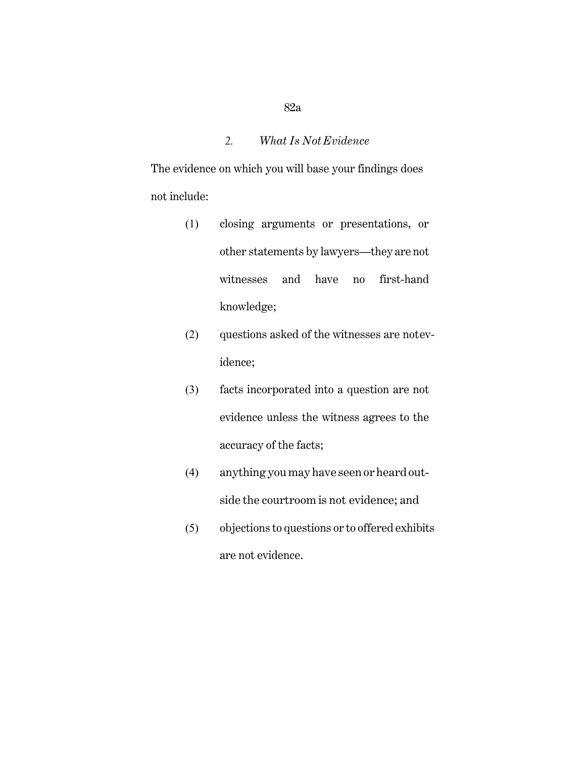### *2. What Is Not Evidence*

The evidence on which you will base your findings does not include:

- (1) closing arguments or presentations, or other statements by lawyers—they are not witnesses and have no first-hand knowledge;
- $(2)$  questions asked of the witnesses are notevidence;
- (3) facts incorporated into a question are not evidence unless the witness agrees to the accuracy of the facts;
- (4) anything you may have seen or heard outside the courtroom is not evidence; and
- (5) objections to questions or to offered exhibits are not evidence.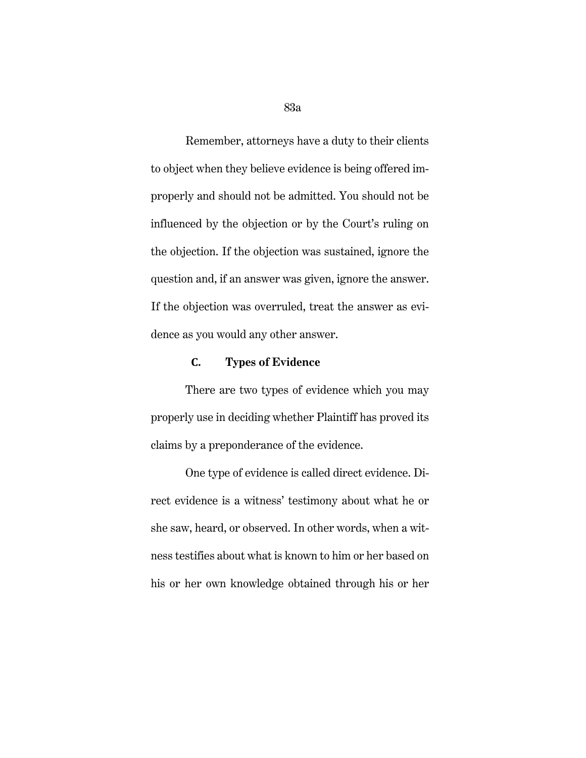Remember, attorneys have a duty to their clients to object when they believe evidence is being offered improperly and should not be admitted. You should not be influenced by the objection or by the Court's ruling on the objection. If the objection was sustained, ignore the question and, if an answer was given, ignore the answer. If the objection was overruled, treat the answer as evidence as you would any other answer.

#### **C. Types of Evidence**

There are two types of evidence which you may properly use in deciding whether Plaintiff has proved its claims by a preponderance of the evidence.

One type of evidence is called direct evidence. Direct evidence is a witness' testimony about what he or she saw, heard, or observed. In other words, when a witness testifies about what is known to him or her based on his or her own knowledge obtained through his or her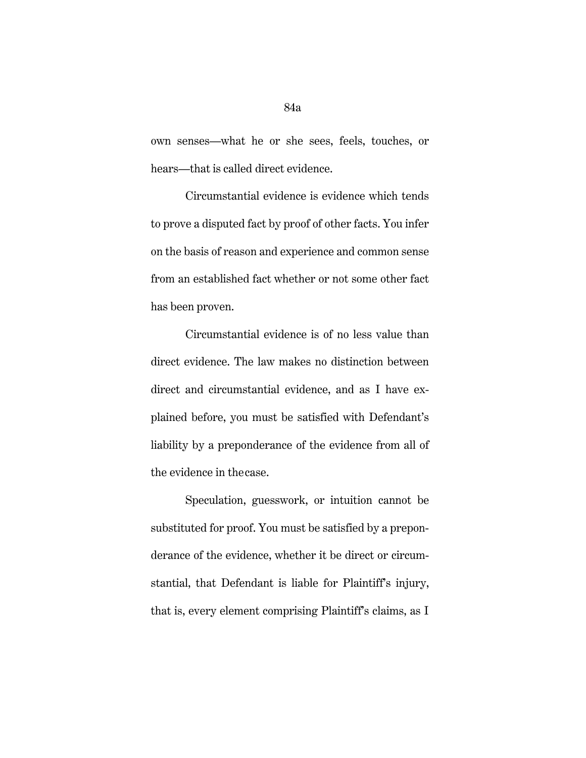own senses—what he or she sees, feels, touches, or hears—that is called direct evidence.

Circumstantial evidence is evidence which tends to prove a disputed fact by proof of other facts. You infer on the basis of reason and experience and common sense from an established fact whether or not some other fact has been proven.

Circumstantial evidence is of no less value than direct evidence. The law makes no distinction between direct and circumstantial evidence, and as I have explained before, you must be satisfied with Defendant's liability by a preponderance of the evidence from all of the evidence in the case.

Speculation, guesswork, or intuition cannot be substituted for proof. You must be satisfied by a preponderance of the evidence, whether it be direct or circumstantial, that Defendant is liable for Plaintiff's injury, that is, every element comprising Plaintiff's claims, as I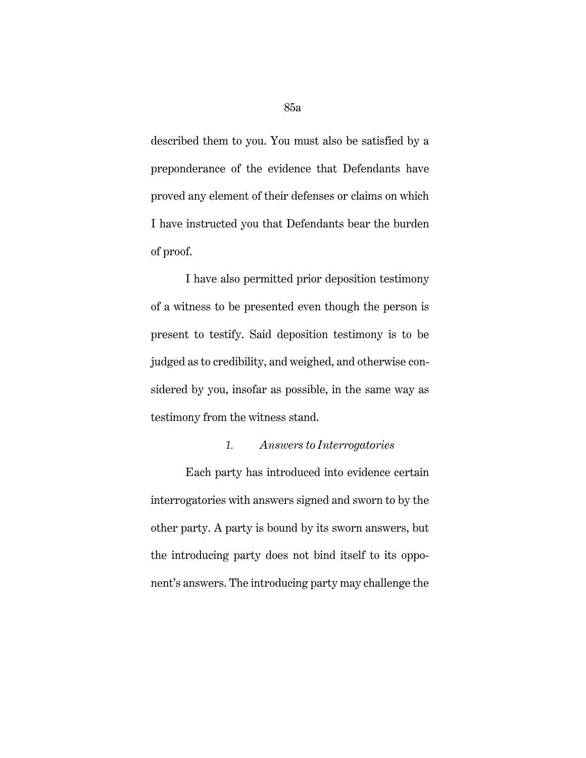described them to you. You must also be satisfied by a preponderance of the evidence that Defendants have proved any element of their defenses or claims on which I have instructed you that Defendants bear the burden of proof.

I have also permitted prior deposition testimony of a witness to be presented even though the person is present to testify. Said deposition testimony is to be judged as to credibility, and weighed, and otherwise considered by you, insofar as possible, in the same way as testimony from the witness stand.

#### *1. Answers to Interrogatories*

Each party has introduced into evidence certain interrogatories with answers signed and sworn to by the other party. A party is bound by its sworn answers, but the introducing party does not bind itself to its opponent's answers. The introducing party may challenge the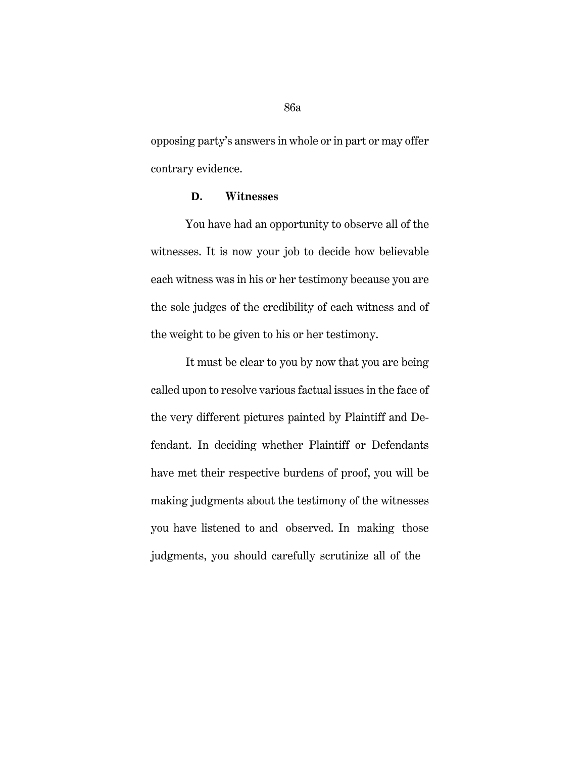opposing party's answers in whole or in part or may offer contrary evidence.

### **D. Witnesses**

You have had an opportunity to observe all of the witnesses. It is now your job to decide how believable each witness was in his or her testimony because you are the sole judges of the credibility of each witness and of the weight to be given to his or her testimony.

It must be clear to you by now that you are being called upon to resolve various factual issues in the face of the very different pictures painted by Plaintiff and Defendant. In deciding whether Plaintiff or Defendants have met their respective burdens of proof, you will be making judgments about the testimony of the witnesses you have listened to and observed. In making those judgments, you should carefully scrutinize all of the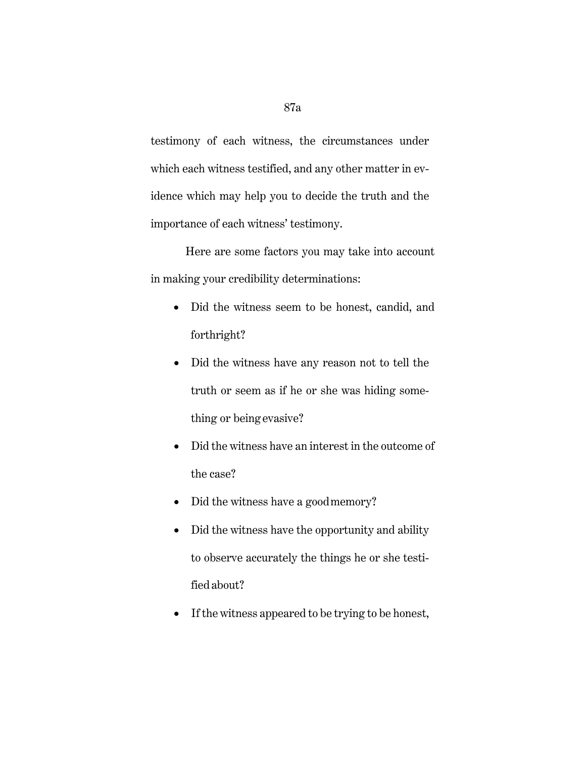testimony of each witness, the circumstances under which each witness testified, and any other matter in evidence which may help you to decide the truth and the importance of each witness' testimony.

Here are some factors you may take into account in making your credibility determinations:

- Did the witness seem to be honest, candid, and forthright?
- Did the witness have any reason not to tell the truth or seem as if he or she was hiding something or being evasive?
- Did the witness have an interest in the outcome of the case?
- Did the witness have a good memory?
- Did the witness have the opportunity and ability to observe accurately the things he or she testified about?
- If the witness appeared to be trying to be honest,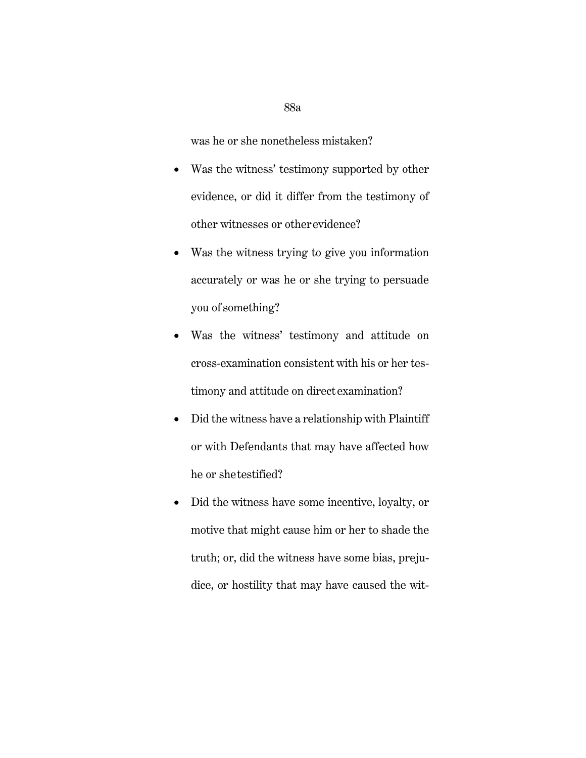was he or she nonetheless mistaken?

- Was the witness' testimony supported by other evidence, or did it differ from the testimony of other witnesses or other evidence?
- Was the witness trying to give you information accurately or was he or she trying to persuade you of something?
- Was the witness' testimony and attitude on cross-examination consistent with his or her testimony and attitude on direct examination?
- Did the witness have a relationship with Plaintiff or with Defendants that may have affected how he or she testified?
- Did the witness have some incentive, loyalty, or motive that might cause him or her to shade the truth; or, did the witness have some bias, prejudice, or hostility that may have caused the wit-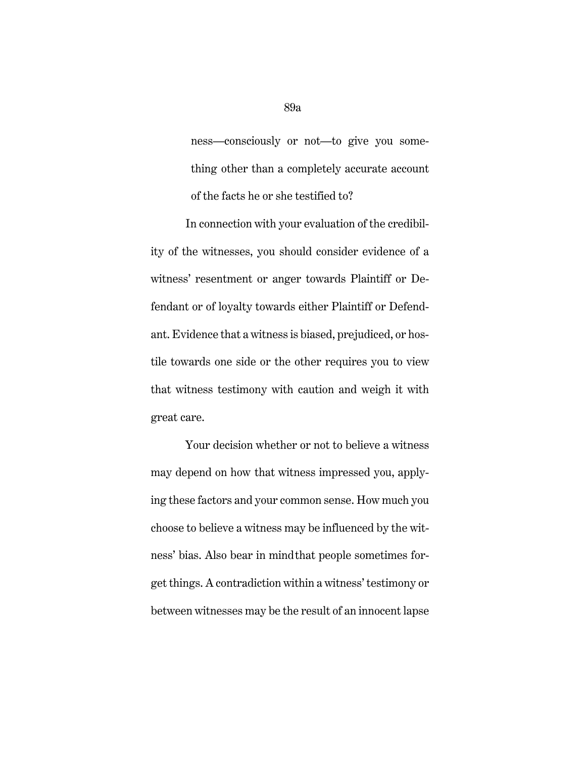ness—consciously or not—to give you something other than a completely accurate account of the facts he or she testified to?

In connection with your evaluation of the credibility of the witnesses, you should consider evidence of a witness' resentment or anger towards Plaintiff or Defendant or of loyalty towards either Plaintiff or Defendant. Evidence that a witness is biased, prejudiced, or hostile towards one side or the other requires you to view that witness testimony with caution and weigh it with great care.

Your decision whether or not to believe a witness may depend on how that witness impressed you, applying these factors and your common sense. How much you choose to believe a witness may be influenced by the witness' bias. Also bear in mind that people sometimes forget things. A contradiction within a witness' testimony or between witnesses may be the result of an innocent lapse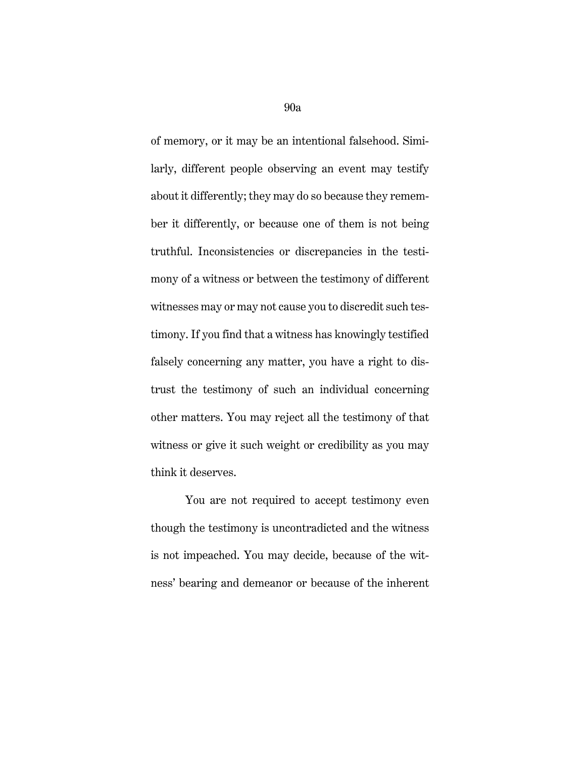of memory, or it may be an intentional falsehood. Similarly, different people observing an event may testify about it differently; they may do so because they remember it differently, or because one of them is not being truthful. Inconsistencies or discrepancies in the testimony of a witness or between the testimony of different witnesses may or may not cause you to discredit such testimony. If you find that a witness has knowingly testified falsely concerning any matter, you have a right to distrust the testimony of such an individual concerning other matters. You may reject all the testimony of that witness or give it such weight or credibility as you may think it deserves.

You are not required to accept testimony even though the testimony is uncontradicted and the witness is not impeached. You may decide, because of the witness' bearing and demeanor or because of the inherent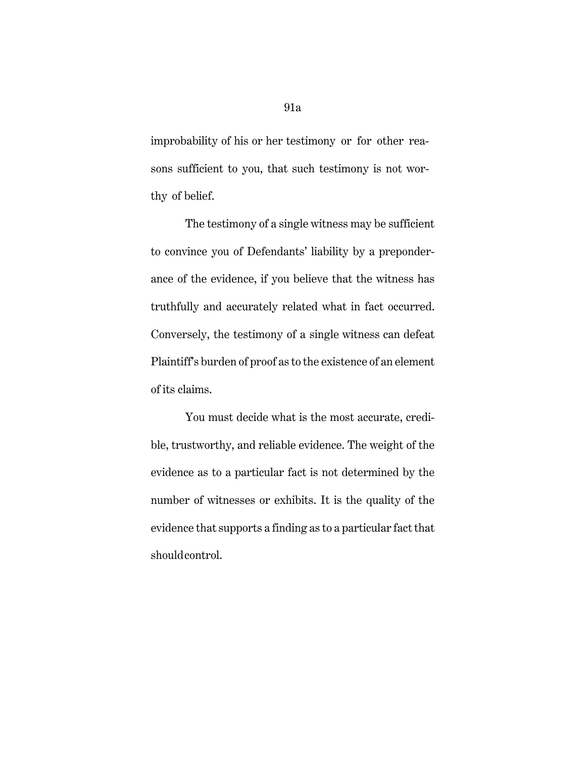improbability of his or her testimony or for other reasons sufficient to you, that such testimony is not worthy of belief.

The testimony of a single witness may be sufficient to convince you of Defendants' liability by a preponderance of the evidence, if you believe that the witness has truthfully and accurately related what in fact occurred. Conversely, the testimony of a single witness can defeat Plaintiff's burden of proof as to the existence of an element of its claims.

You must decide what is the most accurate, credible, trustworthy, and reliable evidence. The weight of the evidence as to a particular fact is not determined by the number of witnesses or exhibits. It is the quality of the evidence that supports a finding as to a particular fact that should control.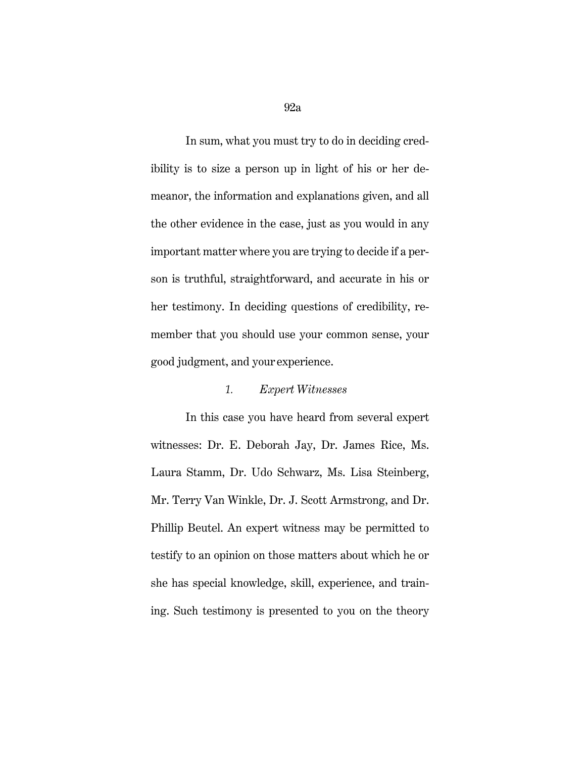In sum, what you must try to do in deciding credibility is to size a person up in light of his or her demeanor, the information and explanations given, and all the other evidence in the case, just as you would in any important matter where you are trying to decide if a person is truthful, straightforward, and accurate in his or her testimony. In deciding questions of credibility, remember that you should use your common sense, your good judgment, and your experience.

### *1. Expert Witnesses*

In this case you have heard from several expert witnesses: Dr. E. Deborah Jay, Dr. James Rice, Ms. Laura Stamm, Dr. Udo Schwarz, Ms. Lisa Steinberg, Mr. Terry Van Winkle, Dr. J. Scott Armstrong, and Dr. Phillip Beutel. An expert witness may be permitted to testify to an opinion on those matters about which he or she has special knowledge, skill, experience, and training. Such testimony is presented to you on the theory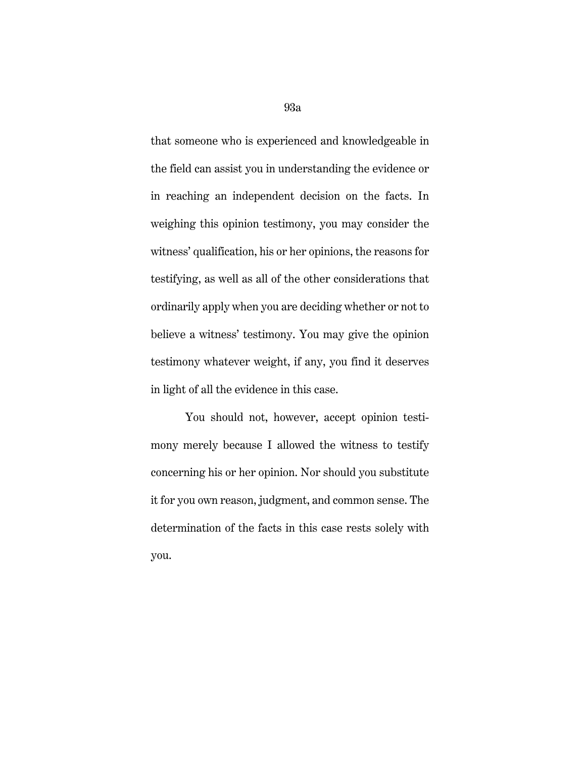that someone who is experienced and knowledgeable in the field can assist you in understanding the evidence or in reaching an independent decision on the facts. In weighing this opinion testimony, you may consider the witness' qualification, his or her opinions, the reasons for testifying, as well as all of the other considerations that ordinarily apply when you are deciding whether or not to believe a witness' testimony. You may give the opinion testimony whatever weight, if any, you find it deserves in light of all the evidence in this case.

You should not, however, accept opinion testimony merely because I allowed the witness to testify concerning his or her opinion. Nor should you substitute it for you own reason, judgment, and common sense. The determination of the facts in this case rests solely with you.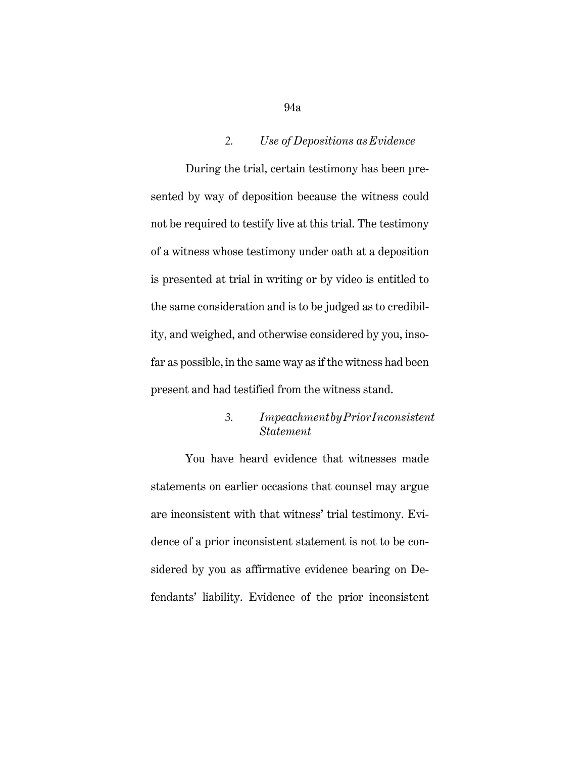#### *2. Use of Depositions as Evidence*

During the trial, certain testimony has been presented by way of deposition because the witness could not be required to testify live at this trial. The testimony of a witness whose testimony under oath at a deposition is presented at trial in writing or by video is entitled to the same consideration and is to be judged as to credibility, and weighed, and otherwise considered by you, insofar as possible, in the same way as if the witness had been present and had testified from the witness stand.

# *3. Impeachment by Prior Inconsistent Statement*

You have heard evidence that witnesses made statements on earlier occasions that counsel may argue are inconsistent with that witness' trial testimony. Evidence of a prior inconsistent statement is not to be considered by you as affirmative evidence bearing on Defendants' liability. Evidence of the prior inconsistent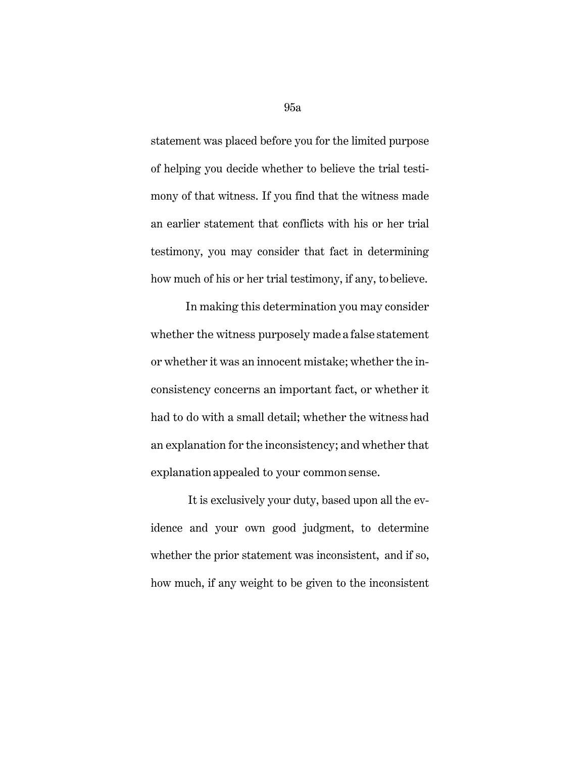statement was placed before you for the limited purpose of helping you decide whether to believe the trial testimony of that witness. If you find that the witness made an earlier statement that conflicts with his or her trial testimony, you may consider that fact in determining how much of his or her trial testimony, if any, to believe.

In making this determination you may consider whether the witness purposely made a false statement or whether it was an innocent mistake; whether the inconsistency concerns an important fact, or whether it had to do with a small detail; whether the witness had an explanation for the inconsistency; and whether that explanation appealed to your common sense.

It is exclusively your duty, based upon all the evidence and your own good judgment, to determine whether the prior statement was inconsistent, and if so, how much, if any weight to be given to the inconsistent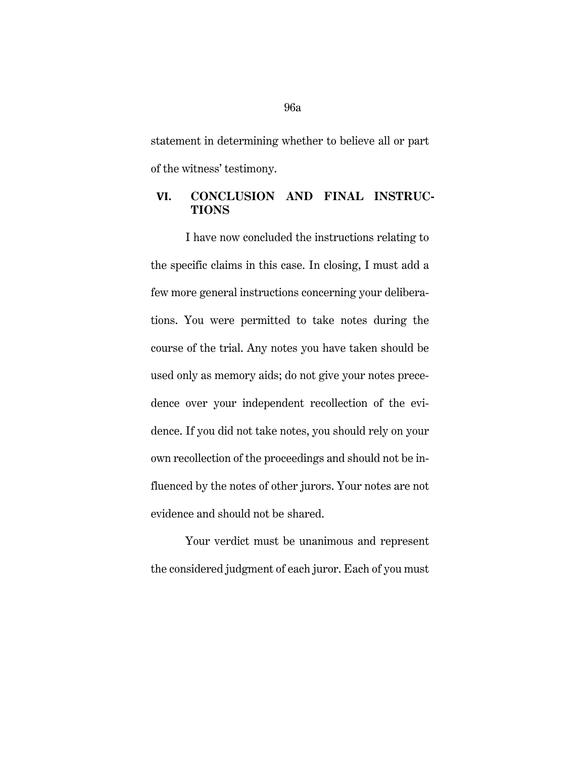statement in determining whether to believe all or part of the witness' testimony.

# **VI. CONCLUSION AND FINAL INSTRUC-TIONS**

I have now concluded the instructions relating to the specific claims in this case. In closing, I must add a few more general instructions concerning your deliberations. You were permitted to take notes during the course of the trial. Any notes you have taken should be used only as memory aids; do not give your notes precedence over your independent recollection of the evidence. If you did not take notes, you should rely on your own recollection of the proceedings and should not be influenced by the notes of other jurors. Your notes are not evidence and should not be shared.

Your verdict must be unanimous and represent the considered judgment of each juror. Each of you must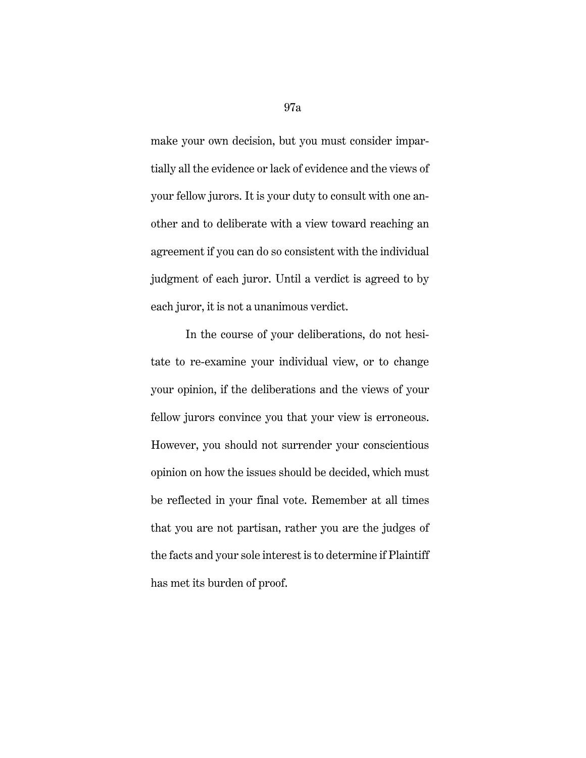make your own decision, but you must consider impartially all the evidence or lack of evidence and the views of your fellow jurors. It is your duty to consult with one another and to deliberate with a view toward reaching an agreement if you can do so consistent with the individual judgment of each juror. Until a verdict is agreed to by each juror, it is not a unanimous verdict.

In the course of your deliberations, do not hesitate to re-examine your individual view, or to change your opinion, if the deliberations and the views of your fellow jurors convince you that your view is erroneous. However, you should not surrender your conscientious opinion on how the issues should be decided, which must be reflected in your final vote. Remember at all times that you are not partisan, rather you are the judges of the facts and your sole interest is to determine if Plaintiff has met its burden of proof.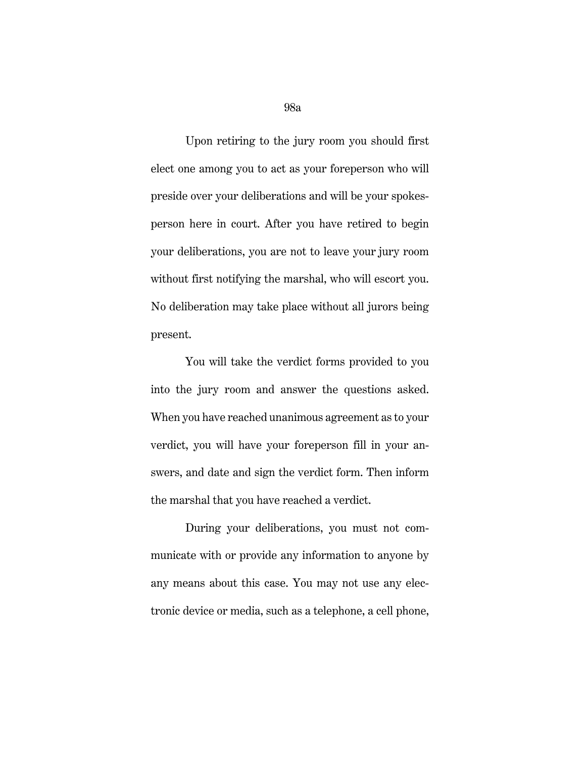Upon retiring to the jury room you should first elect one among you to act as your foreperson who will preside over your deliberations and will be your spokesperson here in court. After you have retired to begin your deliberations, you are not to leave your jury room without first notifying the marshal, who will escort you. No deliberation may take place without all jurors being present.

You will take the verdict forms provided to you into the jury room and answer the questions asked. When you have reached unanimous agreement as to your verdict, you will have your foreperson fill in your answers, and date and sign the verdict form. Then inform the marshal that you have reached a verdict.

During your deliberations, you must not communicate with or provide any information to anyone by any means about this case. You may not use any electronic device or media, such as a telephone, a cell phone,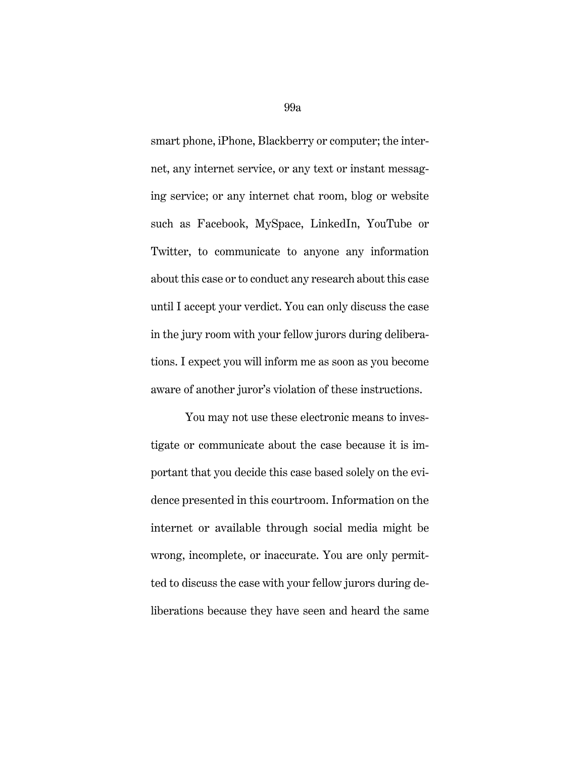smart phone, iPhone, Blackberry or computer; the internet, any internet service, or any text or instant messaging service; or any internet chat room, blog or website such as Facebook, MySpace, LinkedIn, YouTube or Twitter, to communicate to anyone any information about this case or to conduct any research about this case until I accept your verdict. You can only discuss the case in the jury room with your fellow jurors during deliberations. I expect you will inform me as soon as you become aware of another juror's violation of these instructions.

You may not use these electronic means to investigate or communicate about the case because it is important that you decide this case based solely on the evidence presented in this courtroom. Information on the internet or available through social media might be wrong, incomplete, or inaccurate. You are only permitted to discuss the case with your fellow jurors during deliberations because they have seen and heard the same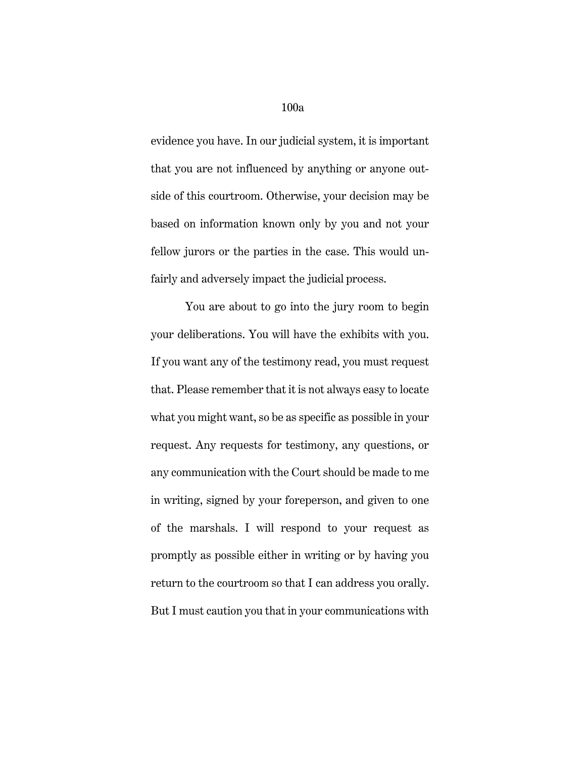evidence you have. In our judicial system, it is important that you are not influenced by anything or anyone outside of this courtroom. Otherwise, your decision may be based on information known only by you and not your fellow jurors or the parties in the case. This would unfairly and adversely impact the judicial process.

You are about to go into the jury room to begin your deliberations. You will have the exhibits with you. If you want any of the testimony read, you must request that. Please remember that it is not always easy to locate what you might want, so be as specific as possible in your request. Any requests for testimony, any questions, or any communication with the Court should be made to me in writing, signed by your foreperson, and given to one of the marshals. I will respond to your request as promptly as possible either in writing or by having you return to the courtroom so that I can address you orally. But I must caution you that in your communications with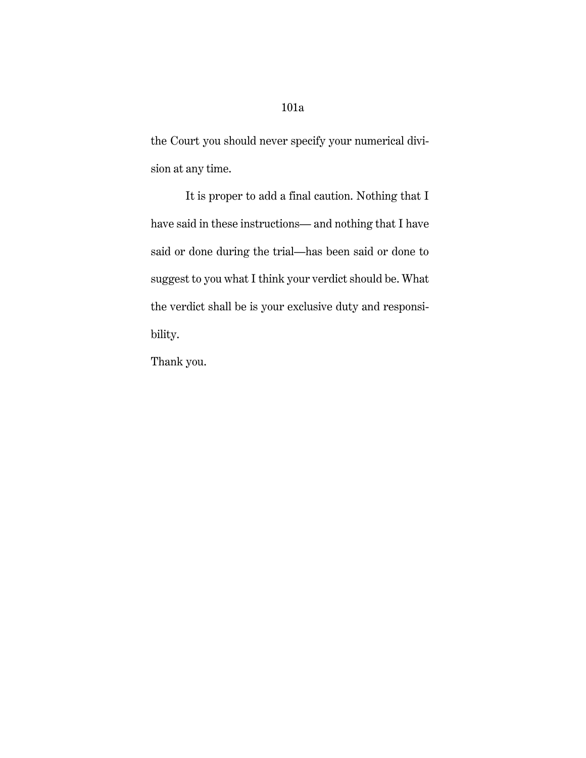the Court you should never specify your numerical division at any time.

It is proper to add a final caution. Nothing that I have said in these instructions— and nothing that I have said or done during the trial—has been said or done to suggest to you what I think your verdict should be. What the verdict shall be is your exclusive duty and responsibility.

Thank you.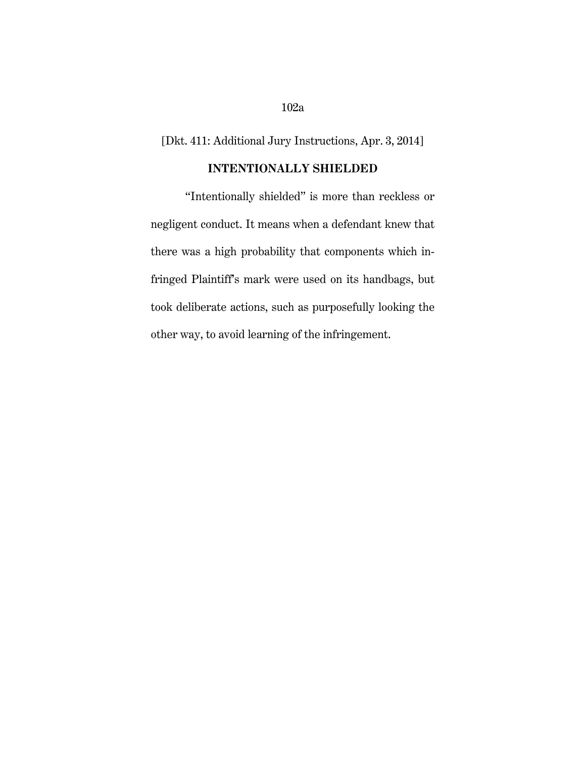[Dkt. 411: Additional Jury Instructions, Apr. 3, 2014]

## **INTENTIONALLY SHIELDED**

 "Intentionally shielded" is more than reckless or negligent conduct. It means when a defendant knew that there was a high probability that components which infringed Plaintiff's mark were used on its handbags, but took deliberate actions, such as purposefully looking the other way, to avoid learning of the infringement.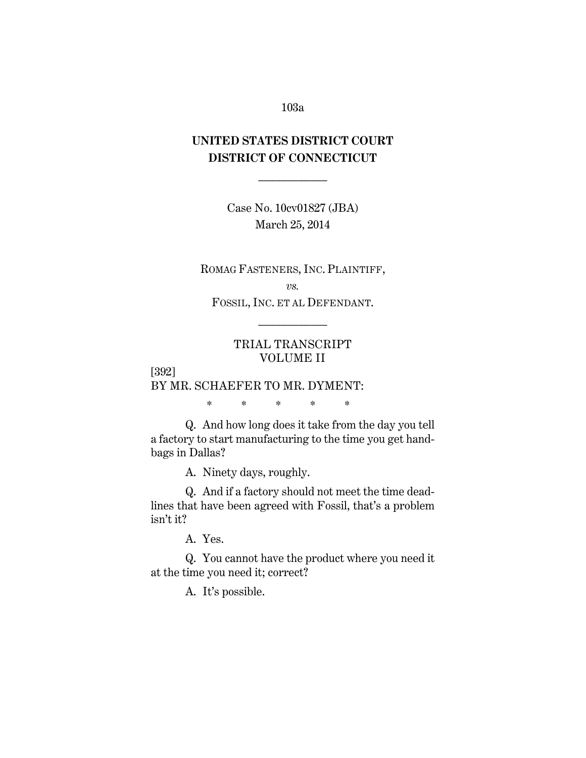# **UNITED STATES DISTRICT COURT DISTRICT OF CONNECTICUT**

 $\frac{1}{2}$ 

Case No. 10cv01827 (JBA) March 25, 2014

ROMAG FASTENERS, INC. PLAINTIFF, *vs.*

FOSSIL, INC. ET AL DEFENDANT.  $\frac{1}{2}$ 

# TRIAL TRANSCRIPT VOLUME II

[392]

BY MR. SCHAEFER TO MR. DYMENT:

\* \* \* \* \*

Q. And how long does it take from the day you tell a factory to start manufacturing to the time you get handbags in Dallas?

A. Ninety days, roughly.

 Q. And if a factory should not meet the time deadlines that have been agreed with Fossil, that's a problem isn't it?

A. Yes.

 Q. You cannot have the product where you need it at the time you need it; correct?

A. It's possible.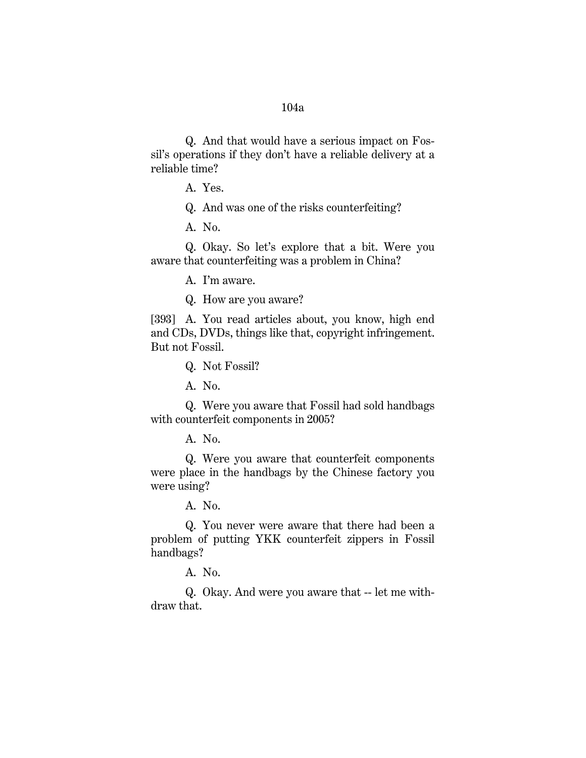Q. And that would have a serious impact on Fossil's operations if they don't have a reliable delivery at a reliable time?

A. Yes.

Q. And was one of the risks counterfeiting?

A. No.

 Q. Okay. So let's explore that a bit. Were you aware that counterfeiting was a problem in China?

A. I'm aware.

Q. How are you aware?

[393] A. You read articles about, you know, high end and CDs, DVDs, things like that, copyright infringement. But not Fossil.

Q. Not Fossil?

A. No.

 Q. Were you aware that Fossil had sold handbags with counterfeit components in 2005?

A. No.

 Q. Were you aware that counterfeit components were place in the handbags by the Chinese factory you were using?

A. No.

 Q. You never were aware that there had been a problem of putting YKK counterfeit zippers in Fossil handbags?

A. No.

 Q. Okay. And were you aware that -- let me withdraw that.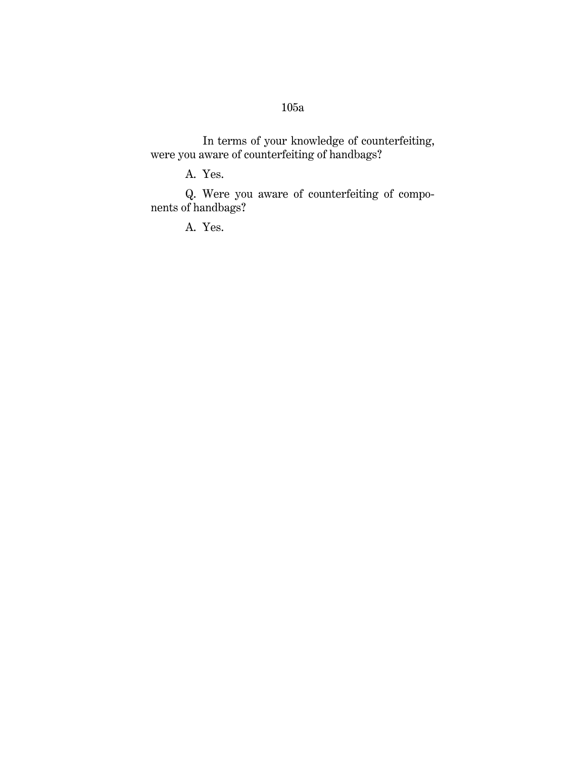In terms of your knowledge of counterfeiting, were you aware of counterfeiting of handbags?

A. Yes.

 Q. Were you aware of counterfeiting of components of handbags?

A. Yes.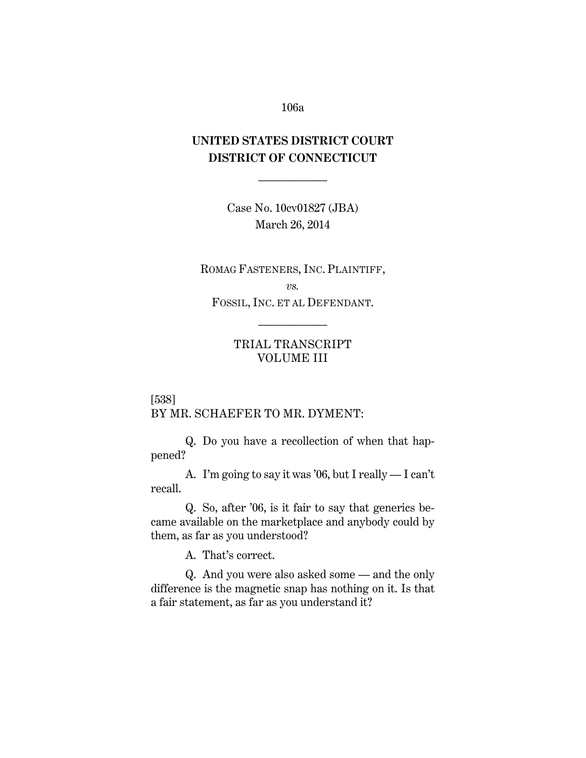# **UNITED STATES DISTRICT COURT DISTRICT OF CONNECTICUT**

 $\frac{1}{2}$ 

Case No. 10cv01827 (JBA) March 26, 2014

ROMAG FASTENERS, INC. PLAINTIFF, *vs.* FOSSIL, INC. ET AL DEFENDANT.

### TRIAL TRANSCRIPT VOLUME III

 $\frac{1}{2}$ 

[538] BY MR. SCHAEFER TO MR. DYMENT:

 Q. Do you have a recollection of when that happened?

 A. I'm going to say it was '06, but I really — I can't recall.

 Q. So, after '06, is it fair to say that generics became available on the marketplace and anybody could by them, as far as you understood?

A. That's correct.

 Q. And you were also asked some — and the only difference is the magnetic snap has nothing on it. Is that a fair statement, as far as you understand it?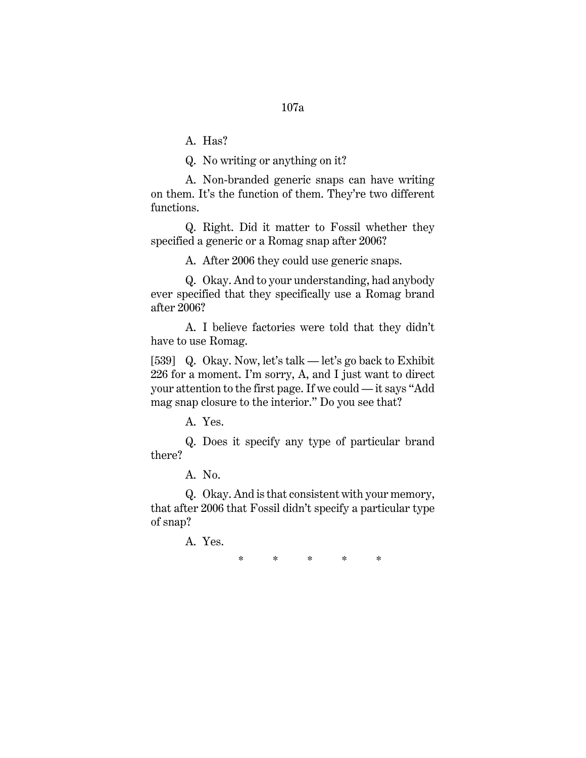A. Has?

Q. No writing or anything on it?

 A. Non-branded generic snaps can have writing on them. It's the function of them. They're two different functions.

 Q. Right. Did it matter to Fossil whether they specified a generic or a Romag snap after 2006?

A. After 2006 they could use generic snaps.

 Q. Okay. And to your understanding, had anybody ever specified that they specifically use a Romag brand after 2006?

 A. I believe factories were told that they didn't have to use Romag.

[539] Q. Okay. Now, let's talk — let's go back to Exhibit 226 for a moment. I'm sorry, A, and I just want to direct your attention to the first page. If we could — it says "Add mag snap closure to the interior." Do you see that?

A. Yes.

 Q. Does it specify any type of particular brand there?

A. No.

 Q. Okay. And is that consistent with your memory, that after 2006 that Fossil didn't specify a particular type of snap?

A. Yes.

\* \* \* \* \*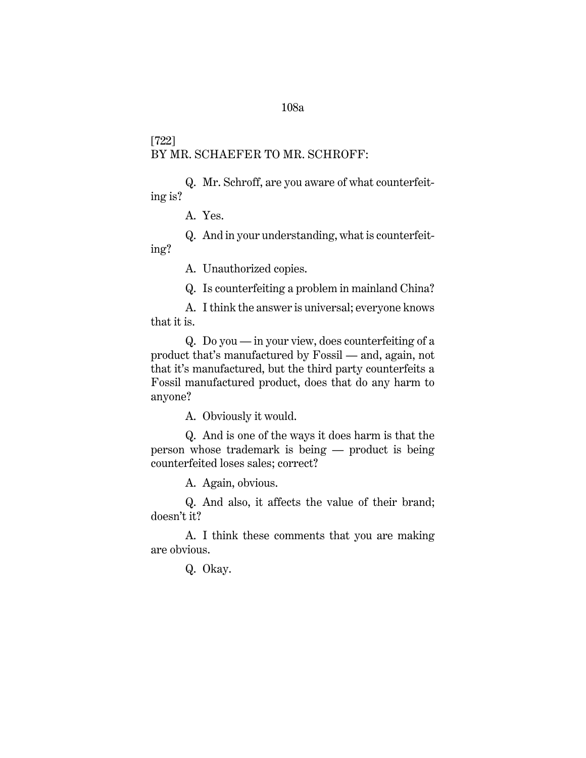## [722] BY MR. SCHAEFER TO MR. SCHROFF:

 Q. Mr. Schroff, are you aware of what counterfeiting is?

A. Yes.

 Q. And in your understanding, what is counterfeiting?

A. Unauthorized copies.

Q. Is counterfeiting a problem in mainland China?

 A. I think the answer is universal; everyone knows that it is.

 Q. Do you — in your view, does counterfeiting of a product that's manufactured by Fossil — and, again, not that it's manufactured, but the third party counterfeits a Fossil manufactured product, does that do any harm to anyone?

A. Obviously it would.

 Q. And is one of the ways it does harm is that the person whose trademark is being — product is being counterfeited loses sales; correct?

A. Again, obvious.

 Q. And also, it affects the value of their brand; doesn't it?

 A. I think these comments that you are making are obvious.

Q. Okay.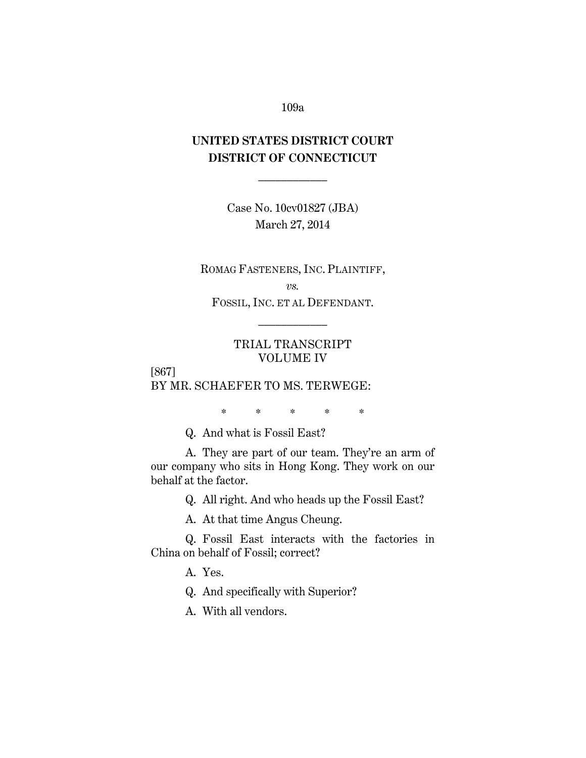# **UNITED STATES DISTRICT COURT DISTRICT OF CONNECTICUT**

 $\frac{1}{2}$ 

Case No. 10cv01827 (JBA) March 27, 2014

ROMAG FASTENERS, INC. PLAINTIFF, *vs.* FOSSIL, INC. ET AL DEFENDANT.

## TRIAL TRANSCRIPT VOLUME IV

 $\frac{1}{2}$ 

[867] BY MR. SCHAEFER TO MS. TERWEGE:

\* \* \* \* \*

Q. And what is Fossil East?

 A. They are part of our team. They're an arm of our company who sits in Hong Kong. They work on our behalf at the factor.

Q. All right. And who heads up the Fossil East?

A. At that time Angus Cheung.

 Q. Fossil East interacts with the factories in China on behalf of Fossil; correct?

A. Yes.

Q. And specifically with Superior?

A. With all vendors.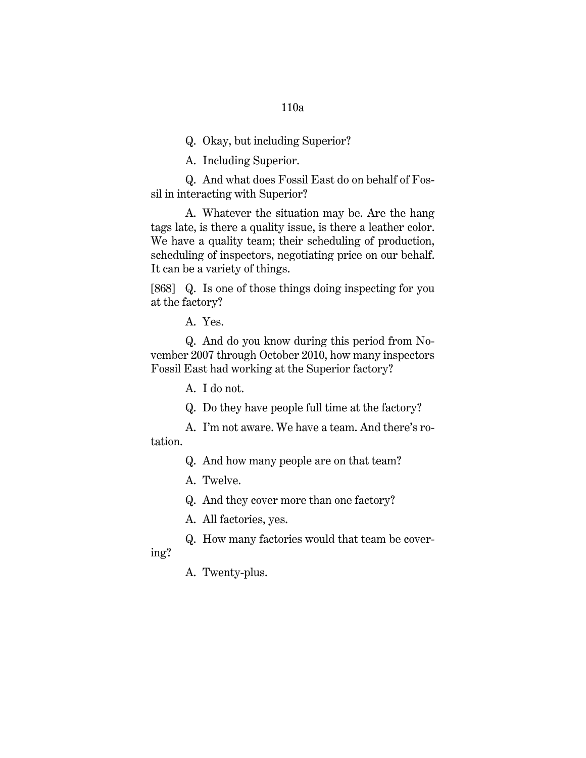Q. Okay, but including Superior?

A. Including Superior.

 Q. And what does Fossil East do on behalf of Fossil in interacting with Superior?

 A. Whatever the situation may be. Are the hang tags late, is there a quality issue, is there a leather color. We have a quality team; their scheduling of production, scheduling of inspectors, negotiating price on our behalf. It can be a variety of things.

[868] Q. Is one of those things doing inspecting for you at the factory?

A. Yes.

 Q. And do you know during this period from November 2007 through October 2010, how many inspectors Fossil East had working at the Superior factory?

A. I do not.

Q. Do they have people full time at the factory?

 A. I'm not aware. We have a team. And there's rotation.

Q. And how many people are on that team?

A. Twelve.

Q. And they cover more than one factory?

A. All factories, yes.

Q. How many factories would that team be cover-

ing?

A. Twenty-plus.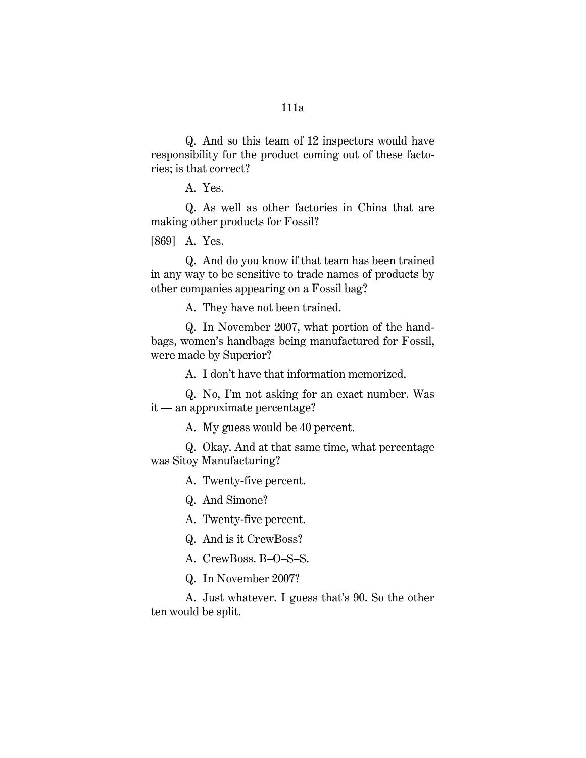Q. And so this team of 12 inspectors would have responsibility for the product coming out of these factories; is that correct?

A. Yes.

 Q. As well as other factories in China that are making other products for Fossil?

[869] A. Yes.

 Q. And do you know if that team has been trained in any way to be sensitive to trade names of products by other companies appearing on a Fossil bag?

A. They have not been trained.

 Q. In November 2007, what portion of the handbags, women's handbags being manufactured for Fossil, were made by Superior?

A. I don't have that information memorized.

 Q. No, I'm not asking for an exact number. Was it — an approximate percentage?

A. My guess would be 40 percent.

 Q. Okay. And at that same time, what percentage was Sitoy Manufacturing?

A. Twenty-five percent.

Q. And Simone?

A. Twenty-five percent.

Q. And is it CrewBoss?

A. CrewBoss. B–O–S–S.

Q. In November 2007?

 A. Just whatever. I guess that's 90. So the other ten would be split.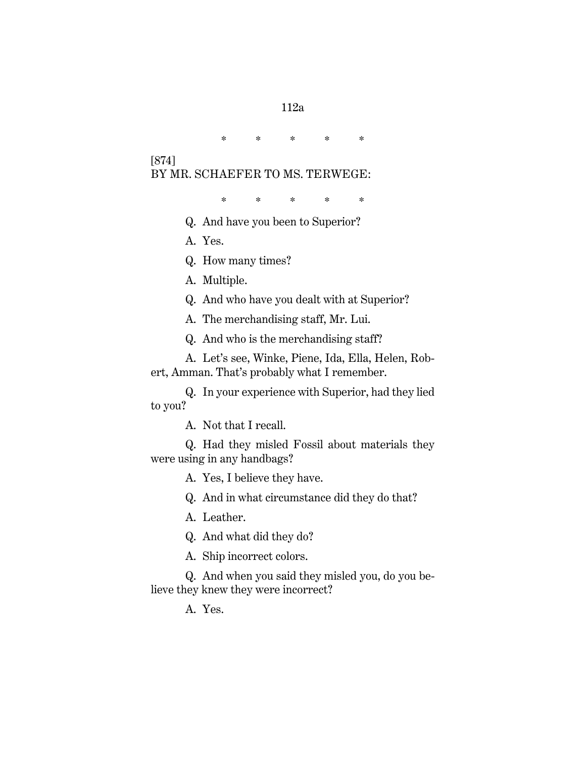\* \* \* \* \*

## [874]

BY MR. SCHAEFER TO MS. TERWEGE:

\* \* \* \* \*

Q. And have you been to Superior?

A. Yes.

Q. How many times?

A. Multiple.

Q. And who have you dealt with at Superior?

A. The merchandising staff, Mr. Lui.

Q. And who is the merchandising staff?

 A. Let's see, Winke, Piene, Ida, Ella, Helen, Robert, Amman. That's probably what I remember.

 Q. In your experience with Superior, had they lied to you?

A. Not that I recall.

 Q. Had they misled Fossil about materials they were using in any handbags?

A. Yes, I believe they have.

Q. And in what circumstance did they do that?

A. Leather.

Q. And what did they do?

A. Ship incorrect colors.

 Q. And when you said they misled you, do you believe they knew they were incorrect?

A. Yes.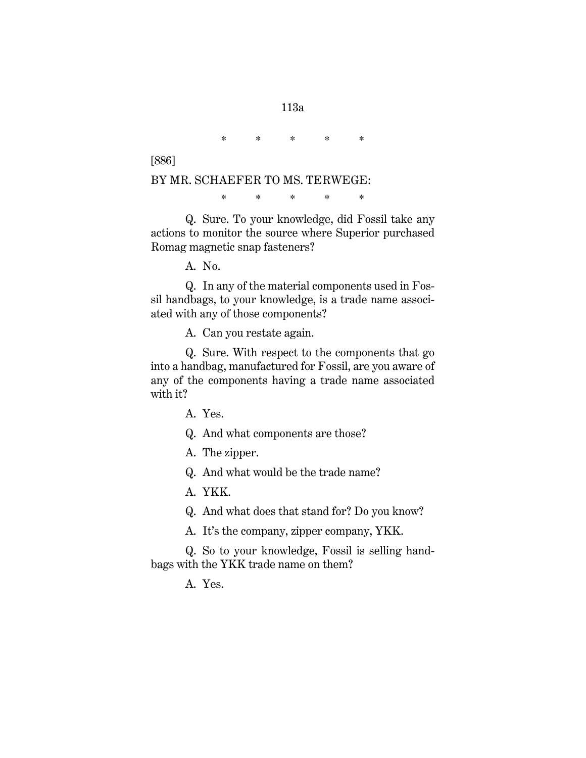\* \* \* \* \*

[886]

#### BY MR. SCHAEFER TO MS. TERWEGE:

\* \* \* \* \*

 Q. Sure. To your knowledge, did Fossil take any actions to monitor the source where Superior purchased Romag magnetic snap fasteners?

A. No.

 Q. In any of the material components used in Fossil handbags, to your knowledge, is a trade name associated with any of those components?

A. Can you restate again.

 Q. Sure. With respect to the components that go into a handbag, manufactured for Fossil, are you aware of any of the components having a trade name associated with it?

A. Yes.

Q. And what components are those?

A. The zipper.

Q. And what would be the trade name?

A. YKK.

Q. And what does that stand for? Do you know?

A. It's the company, zipper company, YKK.

 Q. So to your knowledge, Fossil is selling handbags with the YKK trade name on them?

A. Yes.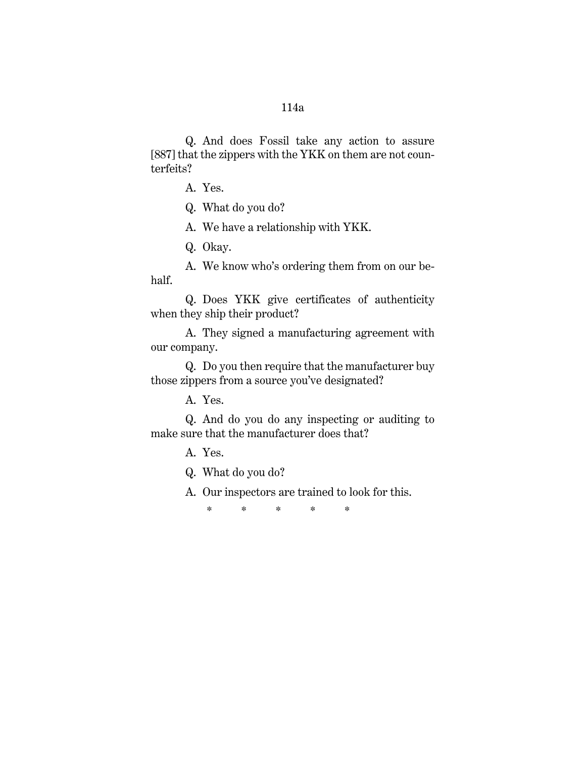Q. And does Fossil take any action to assure [887] that the zippers with the YKK on them are not counterfeits?

A. Yes.

Q. What do you do?

A. We have a relationship with YKK.

Q. Okay.

 A. We know who's ordering them from on our behalf.

 Q. Does YKK give certificates of authenticity when they ship their product?

 A. They signed a manufacturing agreement with our company.

 Q. Do you then require that the manufacturer buy those zippers from a source you've designated?

A. Yes.

 Q. And do you do any inspecting or auditing to make sure that the manufacturer does that?

A. Yes.

Q. What do you do?

A. Our inspectors are trained to look for this.

\* \* \* \* \*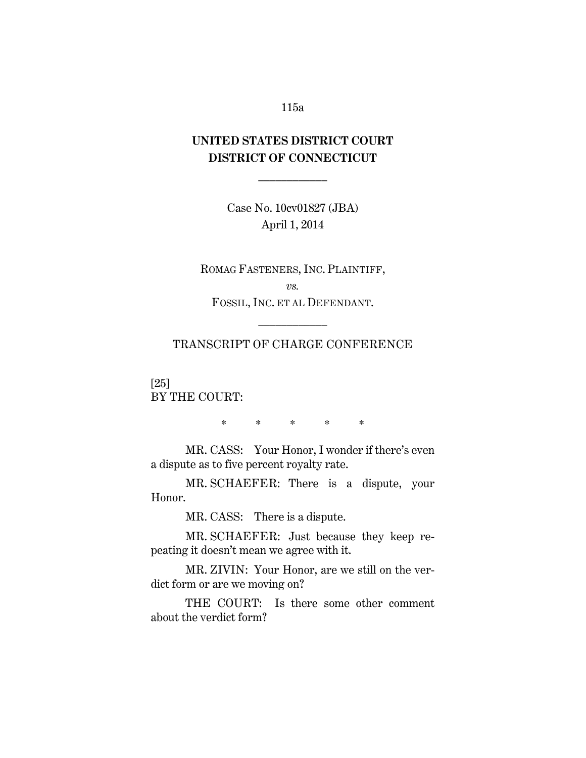# **UNITED STATES DISTRICT COURT DISTRICT OF CONNECTICUT**

 $\frac{1}{2}$ 

Case No. 10cv01827 (JBA) April 1, 2014

ROMAG FASTENERS, INC. PLAINTIFF, *vs.* FOSSIL, INC. ET AL DEFENDANT.

## TRANSCRIPT OF CHARGE CONFERENCE

 $\frac{1}{2}$ 

[25] BY THE COURT:

\* \* \* \* \*

 MR. CASS: Your Honor, I wonder if there's even a dispute as to five percent royalty rate.

 MR. SCHAEFER: There is a dispute, your Honor.

MR. CASS: There is a dispute.

 MR. SCHAEFER: Just because they keep repeating it doesn't mean we agree with it.

 MR. ZIVIN: Your Honor, are we still on the verdict form or are we moving on?

 THE COURT: Is there some other comment about the verdict form?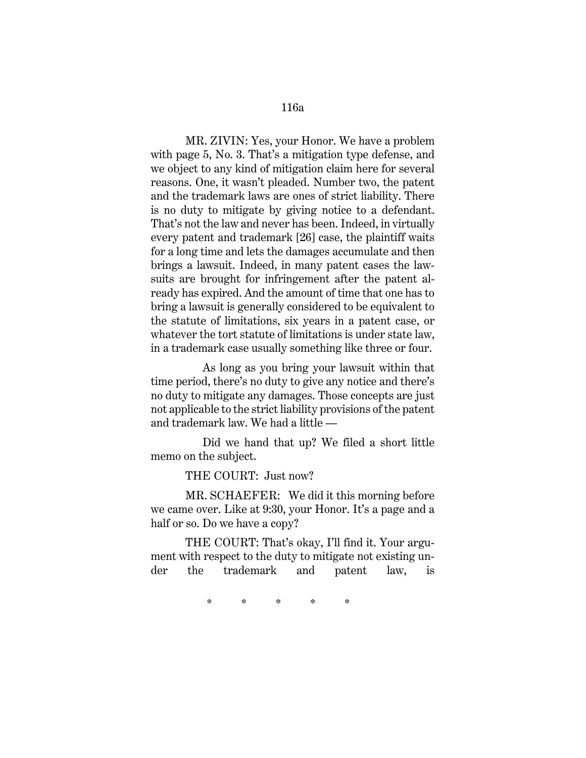MR. ZIVIN: Yes, your Honor. We have a problem with page 5, No. 3. That's a mitigation type defense, and we object to any kind of mitigation claim here for several reasons. One, it wasn't pleaded. Number two, the patent and the trademark laws are ones of strict liability. There is no duty to mitigate by giving notice to a defendant. That's not the law and never has been. Indeed, in virtually every patent and trademark [26] case, the plaintiff waits for a long time and lets the damages accumulate and then brings a lawsuit. Indeed, in many patent cases the lawsuits are brought for infringement after the patent already has expired. And the amount of time that one has to bring a lawsuit is generally considered to be equivalent to the statute of limitations, six years in a patent case, or whatever the tort statute of limitations is under state law, in a trademark case usually something like three or four.

 As long as you bring your lawsuit within that time period, there's no duty to give any notice and there's no duty to mitigate any damages. Those concepts are just not applicable to the strict liability provisions of the patent and trademark law. We had a little —

 Did we hand that up? We filed a short little memo on the subject.

THE COURT: Just now?

 MR. SCHAEFER: We did it this morning before we came over. Like at 9:30, your Honor. It's a page and a half or so. Do we have a copy?

 THE COURT: That's okay, I'll find it. Your argument with respect to the duty to mitigate not existing under the trademark and patent law, is

\* \* \* \* \*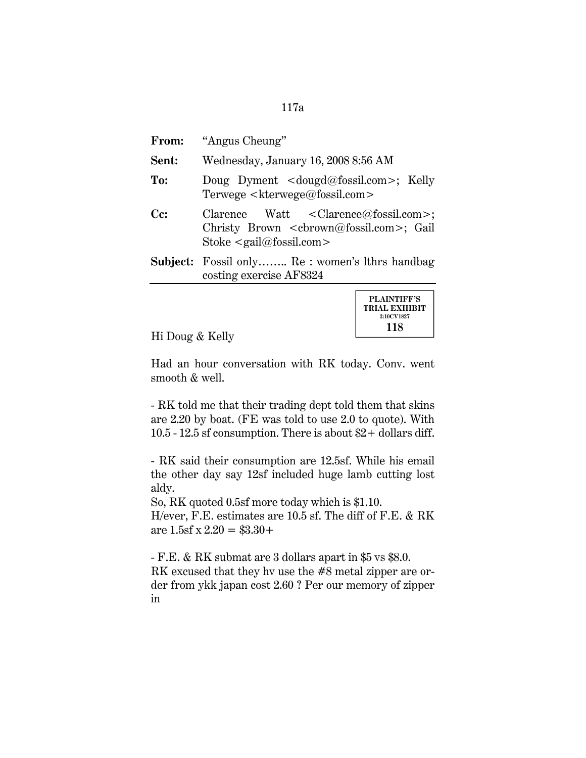| From: | "Angus Cheung"                                                                                                                                              |
|-------|-------------------------------------------------------------------------------------------------------------------------------------------------------------|
| Sent: | Wednesday, January 16, 2008 8:56 AM                                                                                                                         |
| To:   | Doug Dyment $\langle \text{dougd}\rangle$ ( $\langle \text{dossil.com} \rangle$ ; Kelly<br>$T$ erwege <kterwege@fossil.com></kterwege@fossil.com>           |
| Ce    | Clarence Watt $\langle$ Clarence@fossil.com>;<br>Christy Brown <cbrown@fossil.com>; Gail<br/>Stoke <math>\leq</math>gail@fossil.com&gt;</cbrown@fossil.com> |
|       | <b>Subject:</b> Fossil only Re : women's lthrs handbag<br>costing exercise AF8324                                                                           |

| <b>PLAINTIFF'S</b> |
|--------------------|
| TRIAL EXHIBIT      |
| 3:10CV1827         |
| 118                |

Hi Doug & Kelly

Had an hour conversation with RK today. Conv. went smooth & well.

- RK told me that their trading dept told them that skins are 2.20 by boat. (FE was told to use 2.0 to quote). With 10.5 - 12.5 sf consumption. There is about \$2+ dollars diff.

- RK said their consumption are 12.5sf. While his email the other day say 12sf included huge lamb cutting lost aldy.

So, RK quoted 0.5sf more today which is \$1.10. H/ever, F.E. estimates are 10.5 sf. The diff of F.E. & RK are  $1.5$ sf x  $2.20 = $3.30 +$ 

- F.E. & RK submat are 3 dollars apart in \$5 vs \$8.0. RK excused that they hv use the #8 metal zipper are order from ykk japan cost 2.60 ? Per our memory of zipper in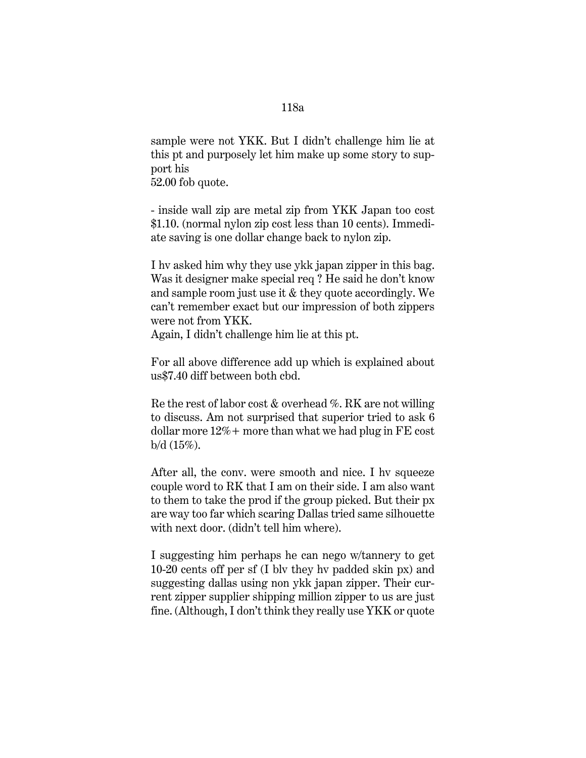sample were not YKK. But I didn't challenge him lie at this pt and purposely let him make up some story to support his 52.00 fob quote.

- inside wall zip are metal zip from YKK Japan too cost \$1.10. (normal nylon zip cost less than 10 cents). Immediate saving is one dollar change back to nylon zip.

I hv asked him why they use ykk japan zipper in this bag. Was it designer make special req ? He said he don't know and sample room just use it & they quote accordingly. We can't remember exact but our impression of both zippers were not from YKK.

Again, I didn't challenge him lie at this pt.

For all above difference add up which is explained about us\$7.40 diff between both cbd.

Re the rest of labor cost & overhead %. RK are not willing to discuss. Am not surprised that superior tried to ask 6 dollar more  $12\%$  + more than what we had plug in FE cost  $b/d (15\%).$ 

After all, the conv. were smooth and nice. I hv squeeze couple word to RK that I am on their side. I am also want to them to take the prod if the group picked. But their px are way too far which scaring Dallas tried same silhouette with next door. (didn't tell him where).

I suggesting him perhaps he can nego w/tannery to get 10-20 cents off per sf (I blv they hv padded skin px) and suggesting dallas using non ykk japan zipper. Their current zipper supplier shipping million zipper to us are just fine. (Although, I don't think they really use YKK or quote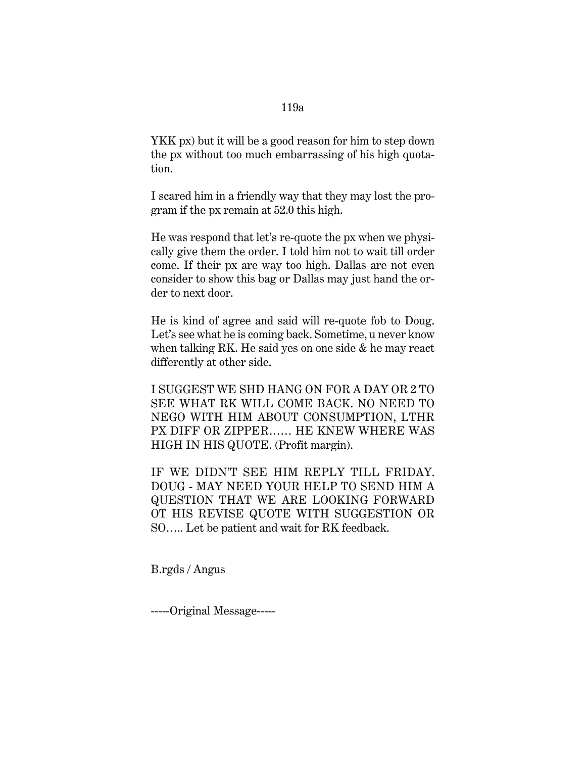YKK px) but it will be a good reason for him to step down the px without too much embarrassing of his high quotation.

I scared him in a friendly way that they may lost the program if the px remain at 52.0 this high.

He was respond that let's re-quote the px when we physically give them the order. I told him not to wait till order come. If their px are way too high. Dallas are not even consider to show this bag or Dallas may just hand the order to next door.

He is kind of agree and said will re-quote fob to Doug. Let's see what he is coming back. Sometime, u never know when talking RK. He said yes on one side & he may react differently at other side.

I SUGGEST WE SHD HANG ON FOR A DAY OR 2 TO SEE WHAT RK WILL COME BACK. NO NEED TO NEGO WITH HIM ABOUT CONSUMPTION, LTHR PX DIFF OR ZIPPER…… HE KNEW WHERE WAS HIGH IN HIS QUOTE. (Profit margin).

IF WE DIDN'T SEE HIM REPLY TILL FRIDAY. DOUG - MAY NEED YOUR HELP TO SEND HIM A QUESTION THAT WE ARE LOOKING FORWARD OT HIS REVISE QUOTE WITH SUGGESTION OR SO….. Let be patient and wait for RK feedback.

B.rgds / Angus

-----Original Message-----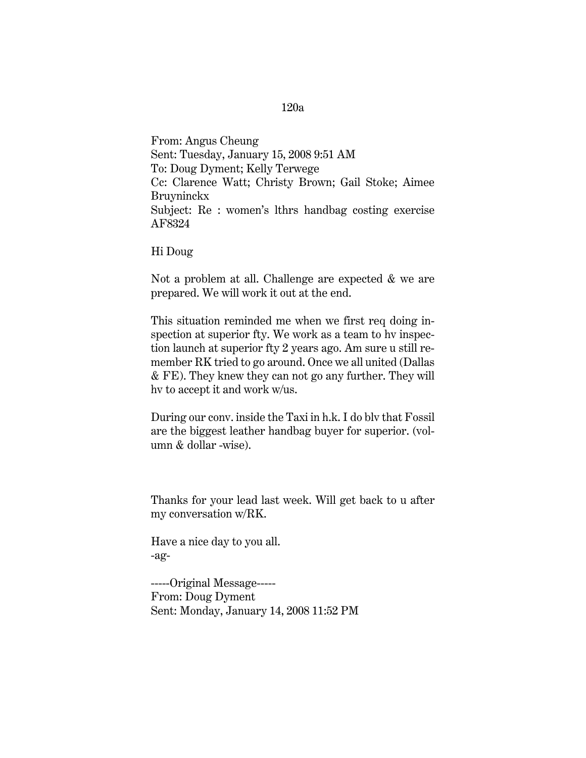From: Angus Cheung Sent: Tuesday, January 15, 2008 9:51 AM To: Doug Dyment; Kelly Terwege Cc: Clarence Watt; Christy Brown; Gail Stoke; Aimee Bruyninckx Subject: Re : women's lthrs handbag costing exercise AF8324

Hi Doug

Not a problem at all. Challenge are expected & we are prepared. We will work it out at the end.

This situation reminded me when we first req doing inspection at superior fty. We work as a team to hv inspection launch at superior fty 2 years ago. Am sure u still remember RK tried to go around. Once we all united (Dallas & FE). They knew they can not go any further. They will hv to accept it and work w/us.

During our conv. inside the Taxi in h.k. I do blv that Fossil are the biggest leather handbag buyer for superior. (volumn & dollar -wise).

Thanks for your lead last week. Will get back to u after my conversation w/RK.

Have a nice day to you all. -ag-

-----Original Message----- From: Doug Dyment Sent: Monday, January 14, 2008 11:52 PM

#### 120a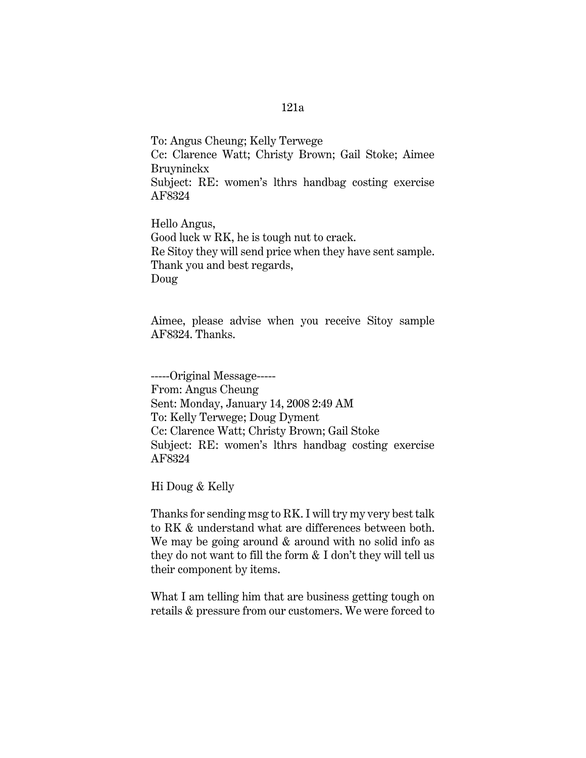To: Angus Cheung; Kelly Terwege Cc: Clarence Watt; Christy Brown; Gail Stoke; Aimee Bruyninckx Subject: RE: women's lthrs handbag costing exercise AF8324

Hello Angus, Good luck w RK, he is tough nut to crack. Re Sitoy they will send price when they have sent sample. Thank you and best regards, Doug

Aimee, please advise when you receive Sitoy sample AF8324. Thanks.

-----Original Message----- From: Angus Cheung Sent: Monday, January 14, 2008 2:49 AM To: Kelly Terwege; Doug Dyment Cc: Clarence Watt; Christy Brown; Gail Stoke Subject: RE: women's lthrs handbag costing exercise AF8324

Hi Doug & Kelly

Thanks for sending msg to RK. I will try my very best talk to RK & understand what are differences between both. We may be going around & around with no solid info as they do not want to fill the form & I don't they will tell us their component by items.

What I am telling him that are business getting tough on retails & pressure from our customers. We were forced to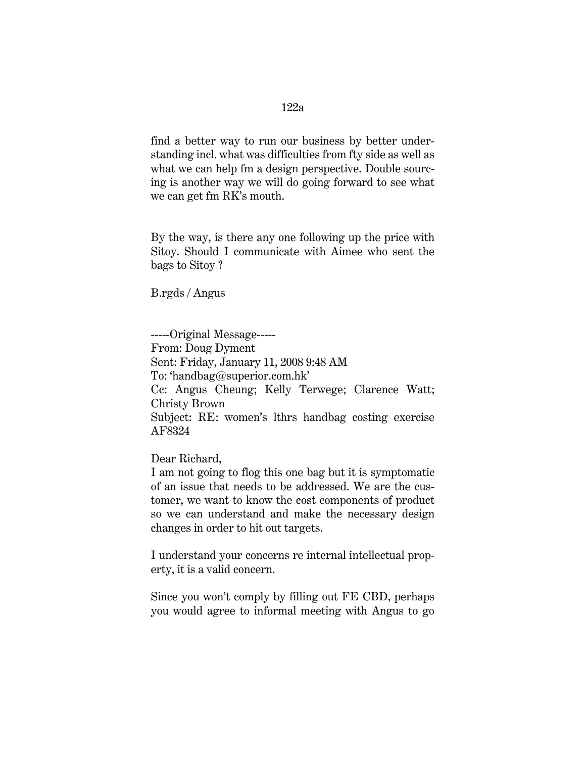find a better way to run our business by better understanding incl. what was difficulties from fty side as well as what we can help fm a design perspective. Double sourcing is another way we will do going forward to see what we can get fm RK's mouth.

By the way, is there any one following up the price with Sitoy. Should I communicate with Aimee who sent the bags to Sitoy ?

B.rgds / Angus

-----Original Message----- From: Doug Dyment Sent: Friday, January 11, 2008 9:48 AM To: 'handbag@superior.com.hk' Cc: Angus Cheung; Kelly Terwege; Clarence Watt; Christy Brown Subject: RE: women's lthrs handbag costing exercise AF8324

Dear Richard,

I am not going to flog this one bag but it is symptomatic of an issue that needs to be addressed. We are the customer, we want to know the cost components of product so we can understand and make the necessary design changes in order to hit out targets.

I understand your concerns re internal intellectual property, it is a valid concern.

Since you won't comply by filling out FE CBD, perhaps you would agree to informal meeting with Angus to go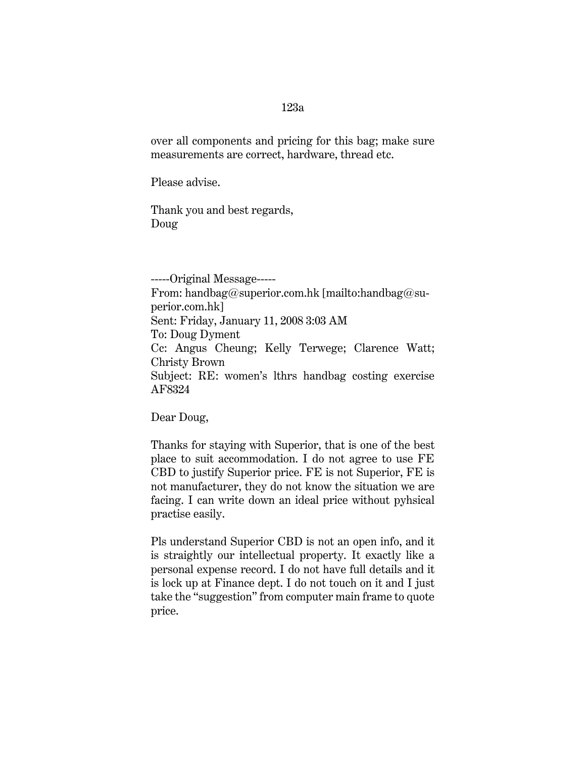over all components and pricing for this bag; make sure measurements are correct, hardware, thread etc.

Please advise.

Thank you and best regards, Doug

-----Original Message----- From: handbag@superior.com.hk [mailto:handbag@superior.com.hk] Sent: Friday, January 11, 2008 3:03 AM To: Doug Dyment Cc: Angus Cheung; Kelly Terwege; Clarence Watt; Christy Brown Subject: RE: women's lthrs handbag costing exercise AF8324

Dear Doug,

Thanks for staying with Superior, that is one of the best place to suit accommodation. I do not agree to use FE CBD to justify Superior price. FE is not Superior, FE is not manufacturer, they do not know the situation we are facing. I can write down an ideal price without pyhsical practise easily.

Pls understand Superior CBD is not an open info, and it is straightly our intellectual property. It exactly like a personal expense record. I do not have full details and it is lock up at Finance dept. I do not touch on it and I just take the "suggestion" from computer main frame to quote price.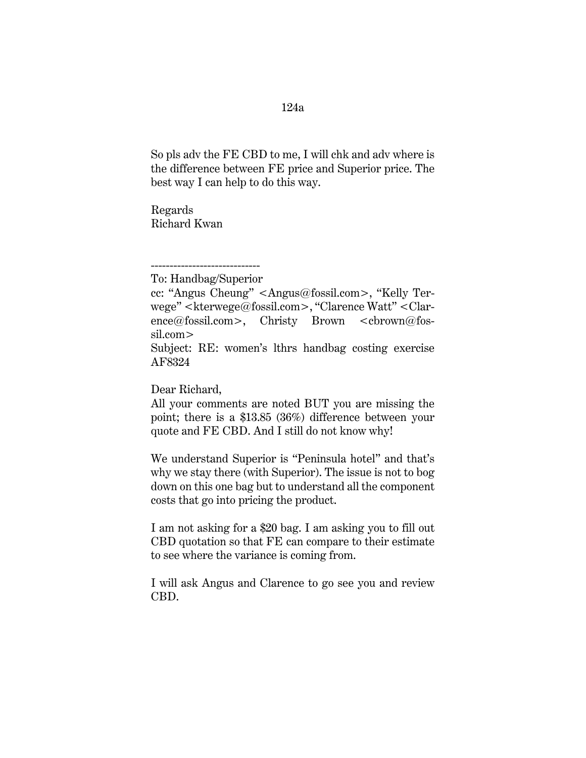So pls adv the FE CBD to me, I will chk and adv where is the difference between FE price and Superior price. The best way I can help to do this way.

Regards Richard Kwan

----------------------------- To: Handbag/Superior

cc: "Angus Cheung" <Angus@fossil.com>, "Kelly Terwege" <kterwege@fossil.com>, "Clarence Watt" <Clarence@fossil.com>, Christy Brown <cbrown@fossil.com>

Subject: RE: women's lthrs handbag costing exercise AF8324

Dear Richard,

All your comments are noted BUT you are missing the point; there is a \$13.85 (36%) difference between your quote and FE CBD. And I still do not know why!

We understand Superior is "Peninsula hotel" and that's why we stay there (with Superior). The issue is not to bog down on this one bag but to understand all the component costs that go into pricing the product.

I am not asking for a \$20 bag. I am asking you to fill out CBD quotation so that FE can compare to their estimate to see where the variance is coming from.

I will ask Angus and Clarence to go see you and review CBD.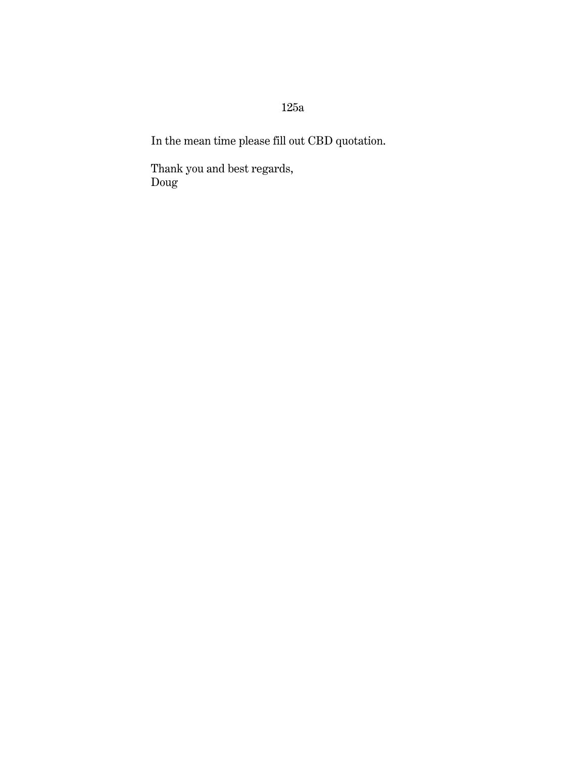In the mean time please fill out CBD quotation.

Thank you and best regards, Doug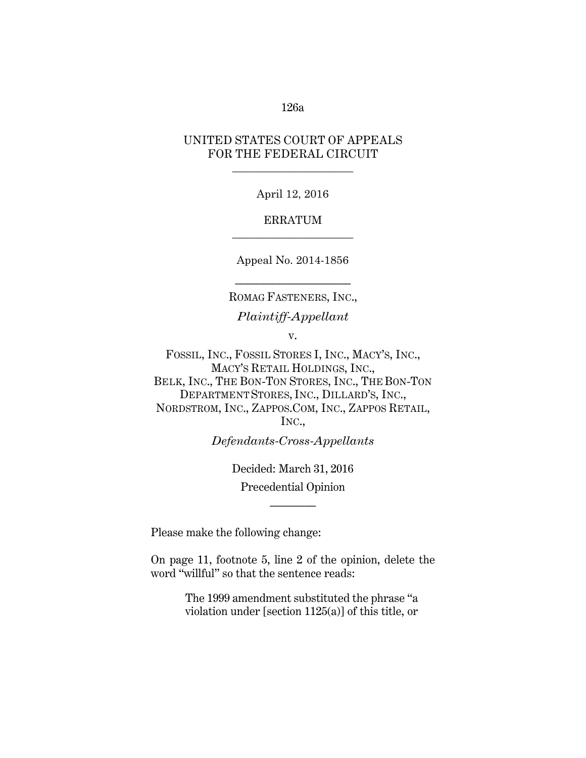## UNITED STATES COURT OF APPEALS FOR THE FEDERAL CIRCUIT

**\_\_\_\_\_\_\_\_\_\_\_\_\_\_\_\_\_\_\_\_\_\_**

April 12, 2016

#### ERRATUM **\_\_\_\_\_\_\_\_\_\_\_\_\_\_\_\_\_\_\_\_\_\_**

Appeal No. 2014-1856 **\_\_\_\_\_\_\_\_\_\_\_\_\_\_\_\_\_\_\_\_\_**

ROMAG FASTENERS, INC., *Plaintiff-Appellant*

v.

FOSSIL, INC., FOSSIL STORES I, INC., MACY'S, INC., MACY'S RETAIL HOLDINGS, INC., BELK, INC., THE BON-TON STORES, INC., THE BON-TON DEPARTMENT STORES, INC., DILLARD'S, INC., NORDSTROM, INC., ZAPPOS.COM, INC., ZAPPOS RETAIL, INC.,

*Defendants-Cross-Appellants*

Decided: March 31, 2016 Precedential Opinion

————

Please make the following change:

On page 11, footnote 5, line 2 of the opinion, delete the word "willful" so that the sentence reads:

> The 1999 amendment substituted the phrase "a violation under [section 1125(a)] of this title, or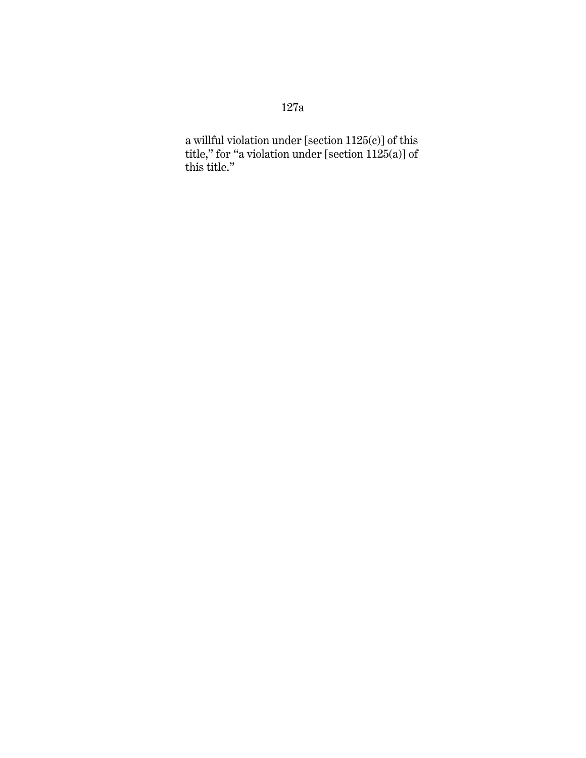a willful violation under [section 1125(c)] of this title," for "a violation under [section 1125(a)] of this title."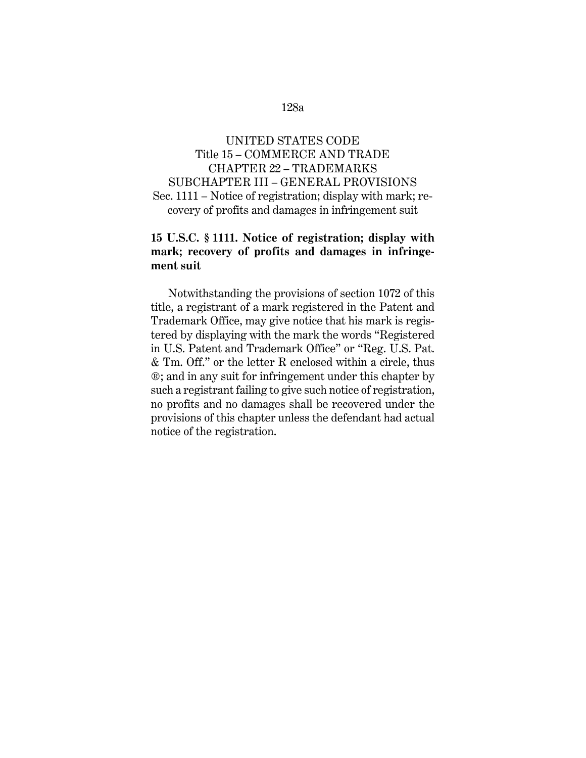## UNITED STATES CODE Title 15 – COMMERCE AND TRADE CHAPTER 22 – TRADEMARKS SUBCHAPTER III – GENERAL PROVISIONS Sec. 1111 – Notice of registration; display with mark; recovery of profits and damages in infringement suit

## **15 U.S.C. § 1111. Notice of registration; display with mark; recovery of profits and damages in infringement suit**

Notwithstanding the provisions of section 1072 of this title, a registrant of a mark registered in the Patent and Trademark Office, may give notice that his mark is registered by displaying with the mark the words "Registered in U.S. Patent and Trademark Office" or "Reg. U.S. Pat. & Tm. Off." or the letter R enclosed within a circle, thus ®; and in any suit for infringement under this chapter by such a registrant failing to give such notice of registration, no profits and no damages shall be recovered under the provisions of this chapter unless the defendant had actual notice of the registration.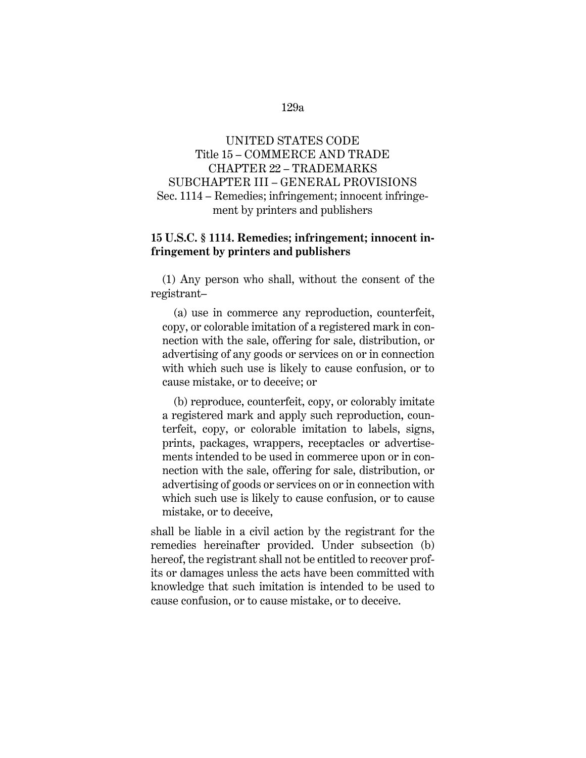## UNITED STATES CODE Title 15 – COMMERCE AND TRADE CHAPTER 22 – TRADEMARKS SUBCHAPTER III – GENERAL PROVISIONS Sec. 1114 – Remedies; infringement; innocent infringement by printers and publishers

#### **15 U.S.C. § 1114. Remedies; infringement; innocent infringement by printers and publishers**

(1) Any person who shall, without the consent of the registrant–

(a) use in commerce any reproduction, counterfeit, copy, or colorable imitation of a registered mark in connection with the sale, offering for sale, distribution, or advertising of any goods or services on or in connection with which such use is likely to cause confusion, or to cause mistake, or to deceive; or

(b) reproduce, counterfeit, copy, or colorably imitate a registered mark and apply such reproduction, counterfeit, copy, or colorable imitation to labels, signs, prints, packages, wrappers, receptacles or advertisements intended to be used in commerce upon or in connection with the sale, offering for sale, distribution, or advertising of goods or services on or in connection with which such use is likely to cause confusion, or to cause mistake, or to deceive,

shall be liable in a civil action by the registrant for the remedies hereinafter provided. Under subsection (b) hereof, the registrant shall not be entitled to recover profits or damages unless the acts have been committed with knowledge that such imitation is intended to be used to cause confusion, or to cause mistake, or to deceive.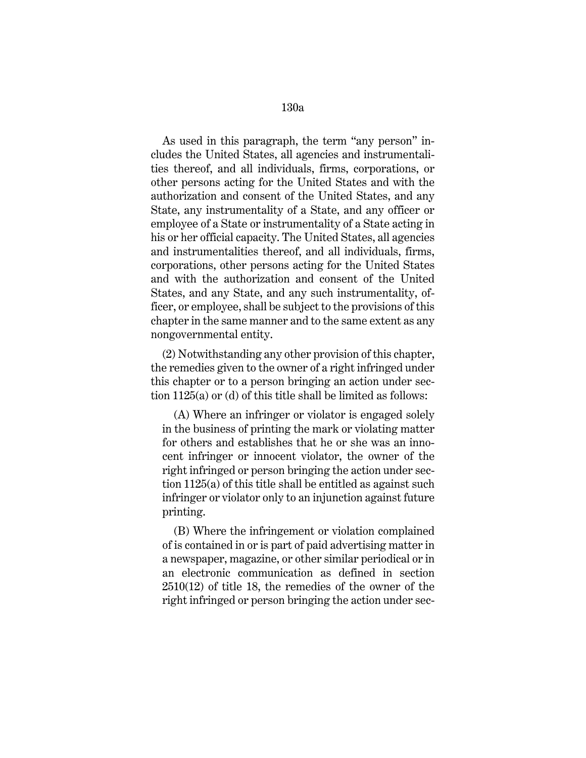As used in this paragraph, the term "any person" includes the United States, all agencies and instrumentalities thereof, and all individuals, firms, corporations, or other persons acting for the United States and with the authorization and consent of the United States, and any State, any instrumentality of a State, and any officer or employee of a State or instrumentality of a State acting in his or her official capacity. The United States, all agencies and instrumentalities thereof, and all individuals, firms, corporations, other persons acting for the United States and with the authorization and consent of the United States, and any State, and any such instrumentality, officer, or employee, shall be subject to the provisions of this chapter in the same manner and to the same extent as any nongovernmental entity.

(2) Notwithstanding any other provision of this chapter, the remedies given to the owner of a right infringed under this chapter or to a person bringing an action under section 1125(a) or (d) of this title shall be limited as follows:

(A) Where an infringer or violator is engaged solely in the business of printing the mark or violating matter for others and establishes that he or she was an innocent infringer or innocent violator, the owner of the right infringed or person bringing the action under section 1125(a) of this title shall be entitled as against such infringer or violator only to an injunction against future printing.

(B) Where the infringement or violation complained of is contained in or is part of paid advertising matter in a newspaper, magazine, or other similar periodical or in an electronic communication as defined in section 2510(12) of title 18, the remedies of the owner of the right infringed or person bringing the action under sec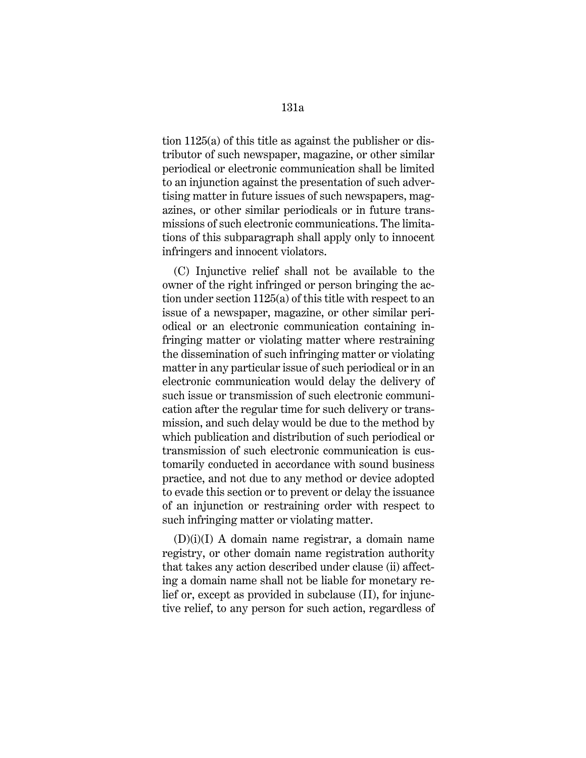tion 1125(a) of this title as against the publisher or distributor of such newspaper, magazine, or other similar periodical or electronic communication shall be limited to an injunction against the presentation of such advertising matter in future issues of such newspapers, magazines, or other similar periodicals or in future transmissions of such electronic communications. The limitations of this subparagraph shall apply only to innocent infringers and innocent violators.

(C) Injunctive relief shall not be available to the owner of the right infringed or person bringing the action under section 1125(a) of this title with respect to an issue of a newspaper, magazine, or other similar periodical or an electronic communication containing infringing matter or violating matter where restraining the dissemination of such infringing matter or violating matter in any particular issue of such periodical or in an electronic communication would delay the delivery of such issue or transmission of such electronic communication after the regular time for such delivery or transmission, and such delay would be due to the method by which publication and distribution of such periodical or transmission of such electronic communication is customarily conducted in accordance with sound business practice, and not due to any method or device adopted to evade this section or to prevent or delay the issuance of an injunction or restraining order with respect to such infringing matter or violating matter.

(D)(i)(I) A domain name registrar, a domain name registry, or other domain name registration authority that takes any action described under clause (ii) affecting a domain name shall not be liable for monetary relief or, except as provided in subclause (II), for injunctive relief, to any person for such action, regardless of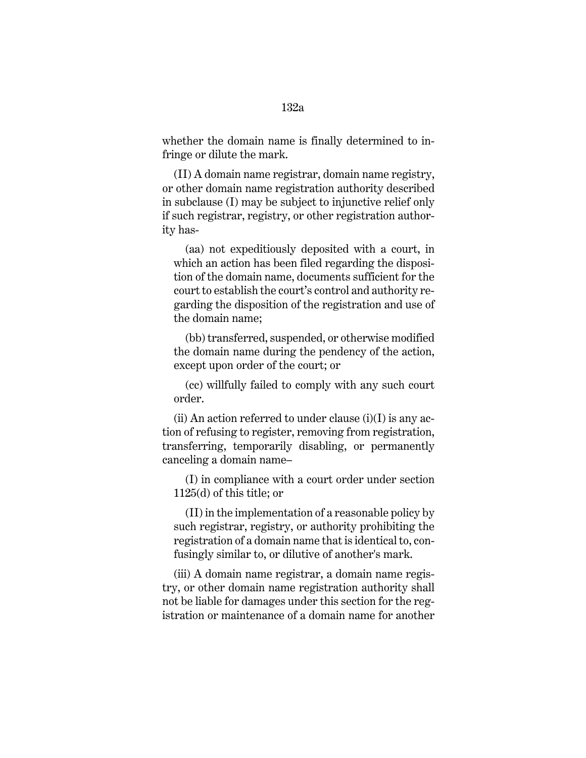whether the domain name is finally determined to infringe or dilute the mark.

(II) A domain name registrar, domain name registry, or other domain name registration authority described in subclause (I) may be subject to injunctive relief only if such registrar, registry, or other registration authority has-

(aa) not expeditiously deposited with a court, in which an action has been filed regarding the disposition of the domain name, documents sufficient for the court to establish the court's control and authority regarding the disposition of the registration and use of the domain name;

(bb) transferred, suspended, or otherwise modified the domain name during the pendency of the action, except upon order of the court; or

(cc) willfully failed to comply with any such court order.

(ii) An action referred to under clause  $(i)(I)$  is any action of refusing to register, removing from registration, transferring, temporarily disabling, or permanently canceling a domain name–

(I) in compliance with a court order under section 1125(d) of this title; or

(II) in the implementation of a reasonable policy by such registrar, registry, or authority prohibiting the registration of a domain name that is identical to, confusingly similar to, or dilutive of another's mark.

(iii) A domain name registrar, a domain name registry, or other domain name registration authority shall not be liable for damages under this section for the registration or maintenance of a domain name for another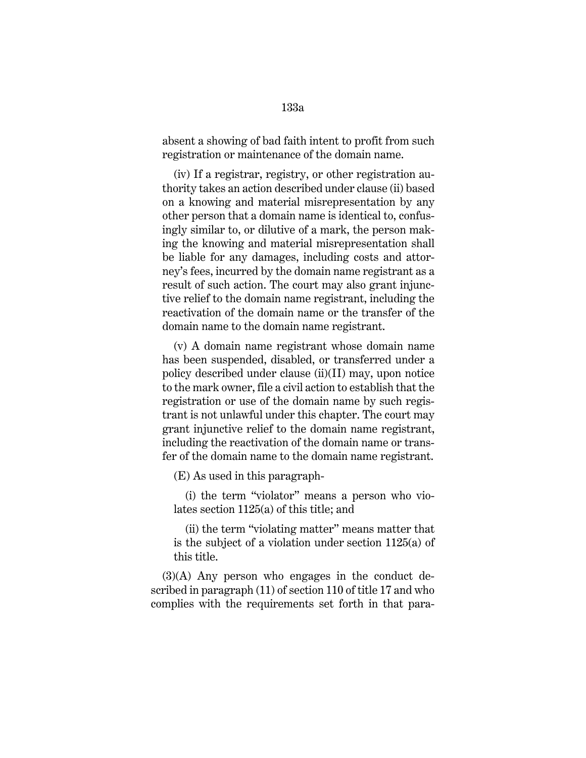#### absent a showing of bad faith intent to profit from such registration or maintenance of the domain name.

(iv) If a registrar, registry, or other registration authority takes an action described under clause (ii) based on a knowing and material misrepresentation by any other person that a domain name is identical to, confusingly similar to, or dilutive of a mark, the person making the knowing and material misrepresentation shall be liable for any damages, including costs and attorney's fees, incurred by the domain name registrant as a result of such action. The court may also grant injunctive relief to the domain name registrant, including the reactivation of the domain name or the transfer of the domain name to the domain name registrant.

(v) A domain name registrant whose domain name has been suspended, disabled, or transferred under a policy described under clause (ii)(II) may, upon notice to the mark owner, file a civil action to establish that the registration or use of the domain name by such registrant is not unlawful under this chapter. The court may grant injunctive relief to the domain name registrant, including the reactivation of the domain name or transfer of the domain name to the domain name registrant.

(E) As used in this paragraph-

(i) the term "violator" means a person who violates section 1125(a) of this title; and

(ii) the term "violating matter" means matter that is the subject of a violation under section 1125(a) of this title.

(3)(A) Any person who engages in the conduct described in paragraph (11) of section 110 of title 17 and who complies with the requirements set forth in that para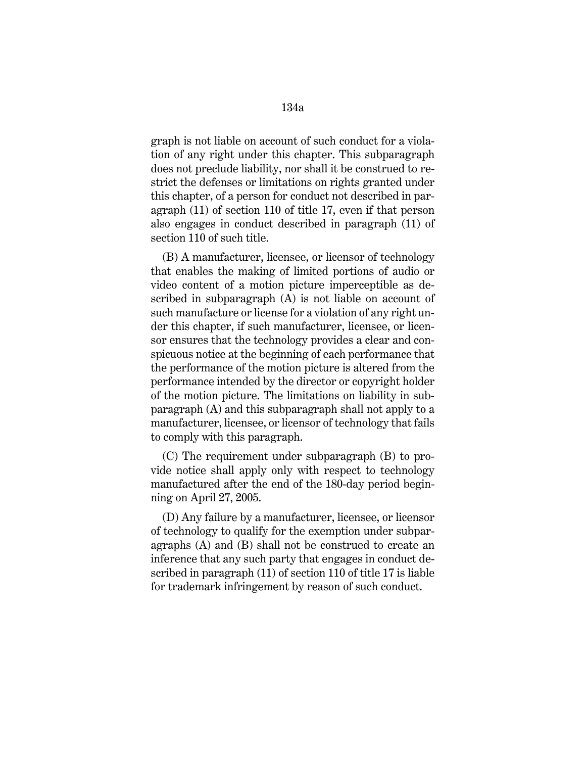graph is not liable on account of such conduct for a violation of any right under this chapter. This subparagraph does not preclude liability, nor shall it be construed to restrict the defenses or limitations on rights granted under this chapter, of a person for conduct not described in paragraph (11) of section 110 of title 17, even if that person also engages in conduct described in paragraph (11) of section 110 of such title.

(B) A manufacturer, licensee, or licensor of technology that enables the making of limited portions of audio or video content of a motion picture imperceptible as described in subparagraph (A) is not liable on account of such manufacture or license for a violation of any right under this chapter, if such manufacturer, licensee, or licensor ensures that the technology provides a clear and conspicuous notice at the beginning of each performance that the performance of the motion picture is altered from the performance intended by the director or copyright holder of the motion picture. The limitations on liability in subparagraph (A) and this subparagraph shall not apply to a manufacturer, licensee, or licensor of technology that fails to comply with this paragraph.

(C) The requirement under subparagraph (B) to provide notice shall apply only with respect to technology manufactured after the end of the 180-day period beginning on April 27, 2005.

(D) Any failure by a manufacturer, licensee, or licensor of technology to qualify for the exemption under subparagraphs (A) and (B) shall not be construed to create an inference that any such party that engages in conduct described in paragraph (11) of section 110 of title 17 is liable for trademark infringement by reason of such conduct.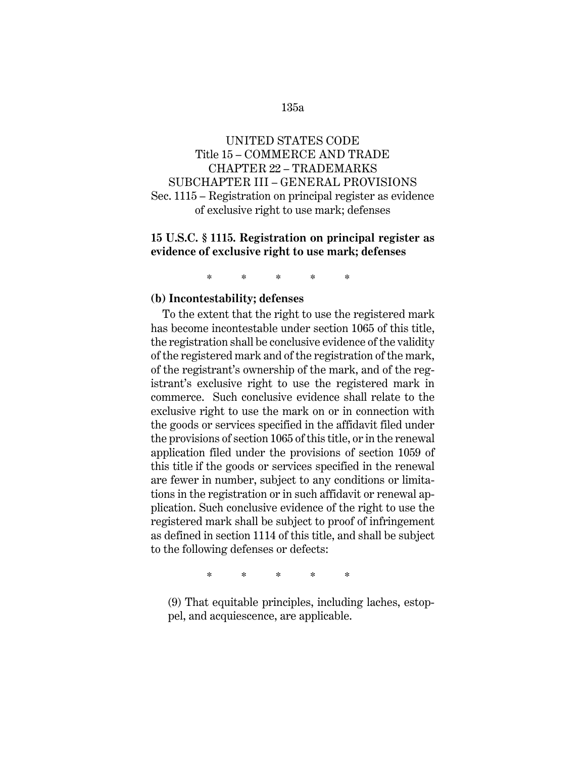## UNITED STATES CODE Title 15 – COMMERCE AND TRADE CHAPTER 22 – TRADEMARKS SUBCHAPTER III – GENERAL PROVISIONS Sec. 1115 – Registration on principal register as evidence of exclusive right to use mark; defenses

#### **15 U.S.C. § 1115. Registration on principal register as evidence of exclusive right to use mark; defenses**

\* \* \* \* \*

#### **(b) Incontestability; defenses**

To the extent that the right to use the registered mark has become incontestable under section 1065 of this title, the registration shall be conclusive evidence of the validity of the registered mark and of the registration of the mark, of the registrant's ownership of the mark, and of the registrant's exclusive right to use the registered mark in commerce. Such conclusive evidence shall relate to the exclusive right to use the mark on or in connection with the goods or services specified in the affidavit filed under the provisions of section 1065 of this title, or in the renewal application filed under the provisions of section 1059 of this title if the goods or services specified in the renewal are fewer in number, subject to any conditions or limitations in the registration or in such affidavit or renewal application. Such conclusive evidence of the right to use the registered mark shall be subject to proof of infringement as defined in section 1114 of this title, and shall be subject to the following defenses or defects:

\* \* \* \* \*

(9) That equitable principles, including laches, estoppel, and acquiescence, are applicable.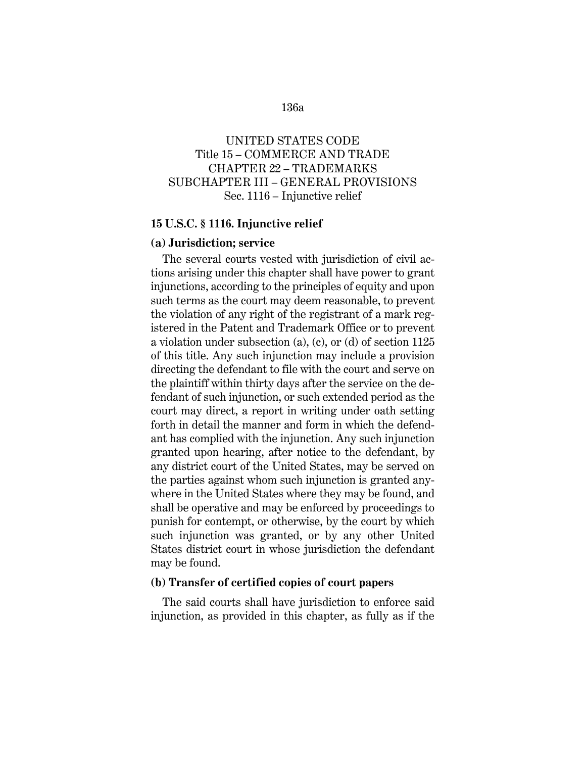## UNITED STATES CODE Title 15 – COMMERCE AND TRADE CHAPTER 22 – TRADEMARKS SUBCHAPTER III – GENERAL PROVISIONS Sec. 1116 – Injunctive relief

#### **15 U.S.C. § 1116. Injunctive relief**

#### **(a) Jurisdiction; service**

The several courts vested with jurisdiction of civil actions arising under this chapter shall have power to grant injunctions, according to the principles of equity and upon such terms as the court may deem reasonable, to prevent the violation of any right of the registrant of a mark registered in the Patent and Trademark Office or to prevent a violation under subsection (a), (c), or (d) of section 1125 of this title. Any such injunction may include a provision directing the defendant to file with the court and serve on the plaintiff within thirty days after the service on the defendant of such injunction, or such extended period as the court may direct, a report in writing under oath setting forth in detail the manner and form in which the defendant has complied with the injunction. Any such injunction granted upon hearing, after notice to the defendant, by any district court of the United States, may be served on the parties against whom such injunction is granted anywhere in the United States where they may be found, and shall be operative and may be enforced by proceedings to punish for contempt, or otherwise, by the court by which such injunction was granted, or by any other United States district court in whose jurisdiction the defendant may be found.

#### **(b) Transfer of certified copies of court papers**

The said courts shall have jurisdiction to enforce said injunction, as provided in this chapter, as fully as if the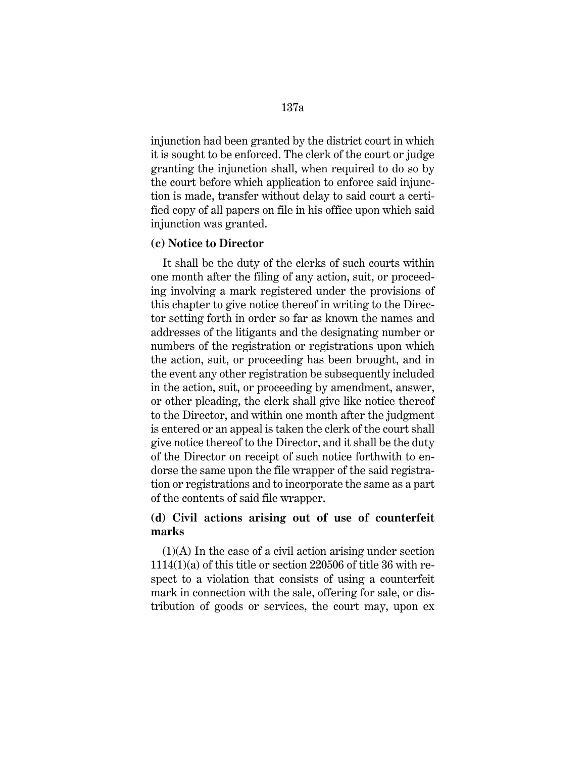injunction had been granted by the district court in which it is sought to be enforced. The clerk of the court or judge granting the injunction shall, when required to do so by the court before which application to enforce said injunction is made, transfer without delay to said court a certified copy of all papers on file in his office upon which said injunction was granted.

#### **(c) Notice to Director**

It shall be the duty of the clerks of such courts within one month after the filing of any action, suit, or proceeding involving a mark registered under the provisions of this chapter to give notice thereof in writing to the Director setting forth in order so far as known the names and addresses of the litigants and the designating number or numbers of the registration or registrations upon which the action, suit, or proceeding has been brought, and in the event any other registration be subsequently included in the action, suit, or proceeding by amendment, answer, or other pleading, the clerk shall give like notice thereof to the Director, and within one month after the judgment is entered or an appeal is taken the clerk of the court shall give notice thereof to the Director, and it shall be the duty of the Director on receipt of such notice forthwith to endorse the same upon the file wrapper of the said registration or registrations and to incorporate the same as a part of the contents of said file wrapper.

## **(d) Civil actions arising out of use of counterfeit marks**

(1)(A) In the case of a civil action arising under section 1114(1)(a) of this title or section 220506 of title 36 with respect to a violation that consists of using a counterfeit mark in connection with the sale, offering for sale, or distribution of goods or services, the court may, upon ex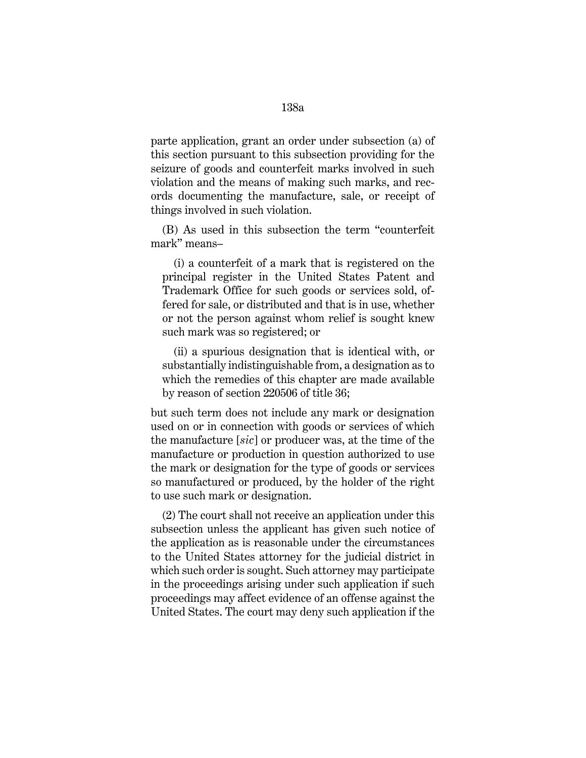parte application, grant an order under subsection (a) of this section pursuant to this subsection providing for the seizure of goods and counterfeit marks involved in such violation and the means of making such marks, and records documenting the manufacture, sale, or receipt of things involved in such violation.

(B) As used in this subsection the term "counterfeit mark" means–

(i) a counterfeit of a mark that is registered on the principal register in the United States Patent and Trademark Office for such goods or services sold, offered for sale, or distributed and that is in use, whether or not the person against whom relief is sought knew such mark was so registered; or

(ii) a spurious designation that is identical with, or substantially indistinguishable from, a designation as to which the remedies of this chapter are made available by reason of section 220506 of title 36;

but such term does not include any mark or designation used on or in connection with goods or services of which the manufacture [*sic*] or producer was, at the time of the manufacture or production in question authorized to use the mark or designation for the type of goods or services so manufactured or produced, by the holder of the right to use such mark or designation.

(2) The court shall not receive an application under this subsection unless the applicant has given such notice of the application as is reasonable under the circumstances to the United States attorney for the judicial district in which such order is sought. Such attorney may participate in the proceedings arising under such application if such proceedings may affect evidence of an offense against the United States. The court may deny such application if the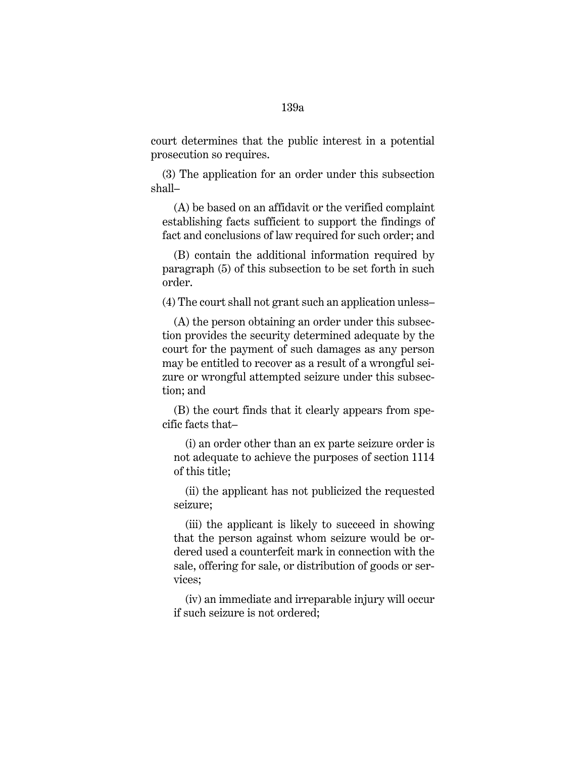court determines that the public interest in a potential prosecution so requires.

(3) The application for an order under this subsection shall–

(A) be based on an affidavit or the verified complaint establishing facts sufficient to support the findings of fact and conclusions of law required for such order; and

(B) contain the additional information required by paragraph (5) of this subsection to be set forth in such order.

(4) The court shall not grant such an application unless–

(A) the person obtaining an order under this subsection provides the security determined adequate by the court for the payment of such damages as any person may be entitled to recover as a result of a wrongful seizure or wrongful attempted seizure under this subsection; and

(B) the court finds that it clearly appears from specific facts that–

(i) an order other than an ex parte seizure order is not adequate to achieve the purposes of section 1114 of this title;

(ii) the applicant has not publicized the requested seizure;

(iii) the applicant is likely to succeed in showing that the person against whom seizure would be ordered used a counterfeit mark in connection with the sale, offering for sale, or distribution of goods or services;

(iv) an immediate and irreparable injury will occur if such seizure is not ordered;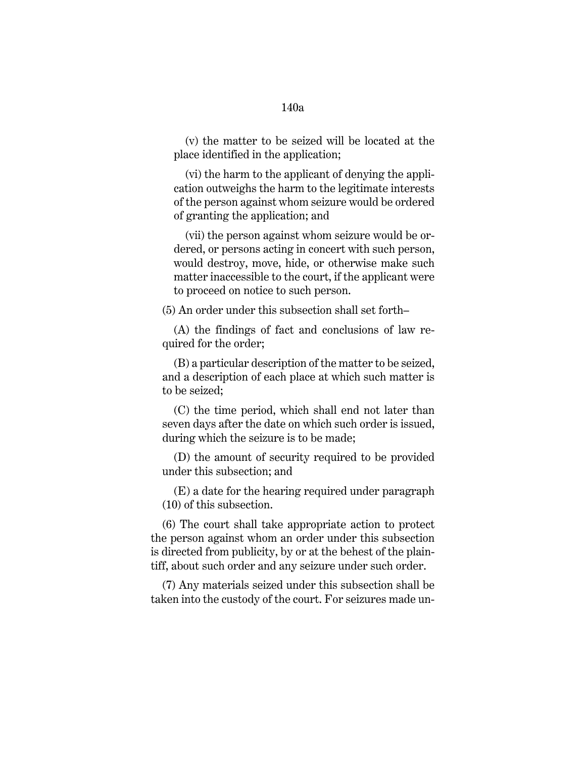(v) the matter to be seized will be located at the place identified in the application;

(vi) the harm to the applicant of denying the application outweighs the harm to the legitimate interests of the person against whom seizure would be ordered of granting the application; and

(vii) the person against whom seizure would be ordered, or persons acting in concert with such person, would destroy, move, hide, or otherwise make such matter inaccessible to the court, if the applicant were to proceed on notice to such person.

(5) An order under this subsection shall set forth–

(A) the findings of fact and conclusions of law required for the order;

(B) a particular description of the matter to be seized, and a description of each place at which such matter is to be seized;

(C) the time period, which shall end not later than seven days after the date on which such order is issued, during which the seizure is to be made;

(D) the amount of security required to be provided under this subsection; and

(E) a date for the hearing required under paragraph (10) of this subsection.

(6) The court shall take appropriate action to protect the person against whom an order under this subsection is directed from publicity, by or at the behest of the plaintiff, about such order and any seizure under such order.

(7) Any materials seized under this subsection shall be taken into the custody of the court. For seizures made un-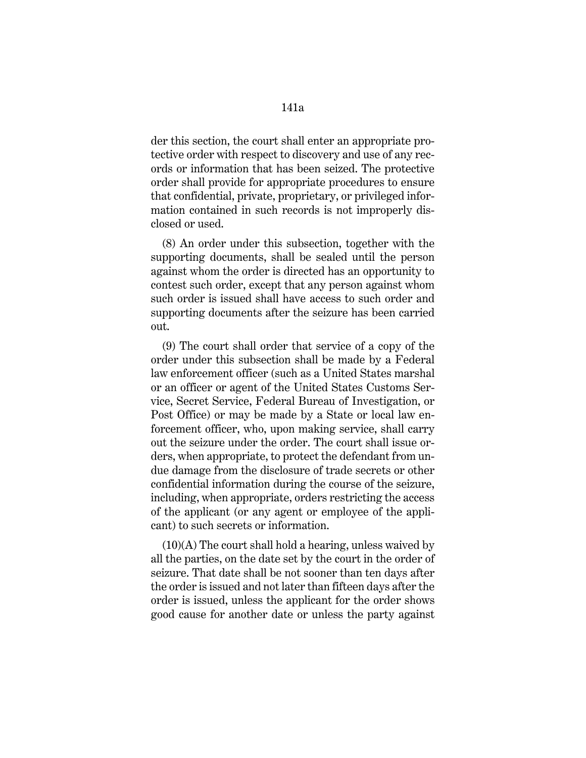der this section, the court shall enter an appropriate protective order with respect to discovery and use of any records or information that has been seized. The protective order shall provide for appropriate procedures to ensure that confidential, private, proprietary, or privileged information contained in such records is not improperly disclosed or used.

(8) An order under this subsection, together with the supporting documents, shall be sealed until the person against whom the order is directed has an opportunity to contest such order, except that any person against whom such order is issued shall have access to such order and supporting documents after the seizure has been carried out.

(9) The court shall order that service of a copy of the order under this subsection shall be made by a Federal law enforcement officer (such as a United States marshal or an officer or agent of the United States Customs Service, Secret Service, Federal Bureau of Investigation, or Post Office) or may be made by a State or local law enforcement officer, who, upon making service, shall carry out the seizure under the order. The court shall issue orders, when appropriate, to protect the defendant from undue damage from the disclosure of trade secrets or other confidential information during the course of the seizure, including, when appropriate, orders restricting the access of the applicant (or any agent or employee of the applicant) to such secrets or information.

(10)(A) The court shall hold a hearing, unless waived by all the parties, on the date set by the court in the order of seizure. That date shall be not sooner than ten days after the order is issued and not later than fifteen days after the order is issued, unless the applicant for the order shows good cause for another date or unless the party against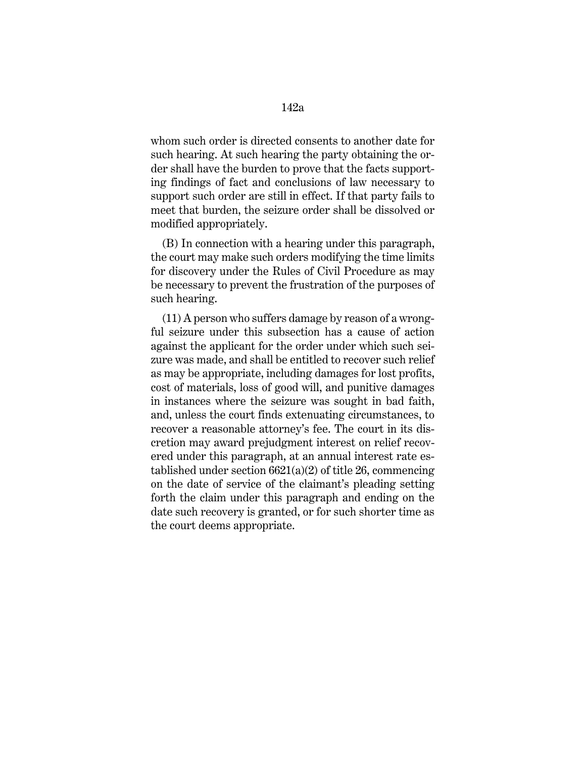whom such order is directed consents to another date for such hearing. At such hearing the party obtaining the order shall have the burden to prove that the facts supporting findings of fact and conclusions of law necessary to support such order are still in effect. If that party fails to meet that burden, the seizure order shall be dissolved or modified appropriately.

(B) In connection with a hearing under this paragraph, the court may make such orders modifying the time limits for discovery under the Rules of Civil Procedure as may be necessary to prevent the frustration of the purposes of such hearing.

(11) A person who suffers damage by reason of a wrongful seizure under this subsection has a cause of action against the applicant for the order under which such seizure was made, and shall be entitled to recover such relief as may be appropriate, including damages for lost profits, cost of materials, loss of good will, and punitive damages in instances where the seizure was sought in bad faith, and, unless the court finds extenuating circumstances, to recover a reasonable attorney's fee. The court in its discretion may award prejudgment interest on relief recovered under this paragraph, at an annual interest rate established under section 6621(a)(2) of title 26, commencing on the date of service of the claimant's pleading setting forth the claim under this paragraph and ending on the date such recovery is granted, or for such shorter time as the court deems appropriate.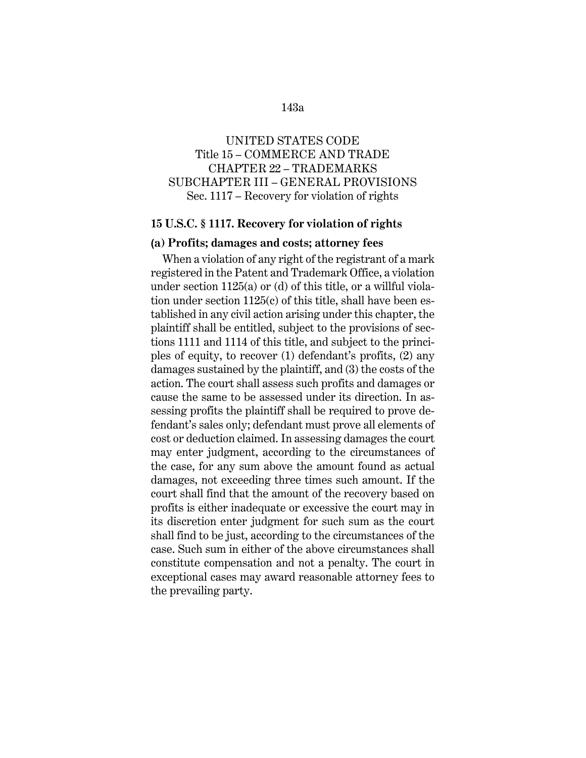# UNITED STATES CODE Title 15 – COMMERCE AND TRADE CHAPTER 22 – TRADEMARKS SUBCHAPTER III – GENERAL PROVISIONS Sec. 1117 – Recovery for violation of rights

## **15 U.S.C. § 1117. Recovery for violation of rights**

#### **(a) Profits; damages and costs; attorney fees**

When a violation of any right of the registrant of a mark registered in the Patent and Trademark Office, a violation under section 1125(a) or (d) of this title, or a willful violation under section 1125(c) of this title, shall have been established in any civil action arising under this chapter, the plaintiff shall be entitled, subject to the provisions of sections 1111 and 1114 of this title, and subject to the principles of equity, to recover (1) defendant's profits, (2) any damages sustained by the plaintiff, and (3) the costs of the action. The court shall assess such profits and damages or cause the same to be assessed under its direction. In assessing profits the plaintiff shall be required to prove defendant's sales only; defendant must prove all elements of cost or deduction claimed. In assessing damages the court may enter judgment, according to the circumstances of the case, for any sum above the amount found as actual damages, not exceeding three times such amount. If the court shall find that the amount of the recovery based on profits is either inadequate or excessive the court may in its discretion enter judgment for such sum as the court shall find to be just, according to the circumstances of the case. Such sum in either of the above circumstances shall constitute compensation and not a penalty. The court in exceptional cases may award reasonable attorney fees to the prevailing party.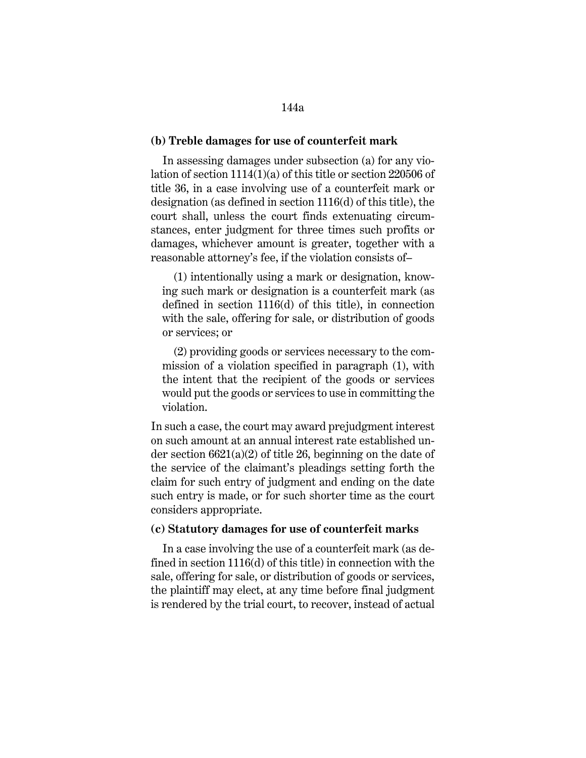#### **(b) Treble damages for use of counterfeit mark**

In assessing damages under subsection (a) for any violation of section 1114(1)(a) of this title or section 220506 of title 36, in a case involving use of a counterfeit mark or designation (as defined in section 1116(d) of this title), the court shall, unless the court finds extenuating circumstances, enter judgment for three times such profits or damages, whichever amount is greater, together with a reasonable attorney's fee, if the violation consists of–

(1) intentionally using a mark or designation, knowing such mark or designation is a counterfeit mark (as defined in section 1116(d) of this title), in connection with the sale, offering for sale, or distribution of goods or services; or

(2) providing goods or services necessary to the commission of a violation specified in paragraph (1), with the intent that the recipient of the goods or services would put the goods or services to use in committing the violation.

In such a case, the court may award prejudgment interest on such amount at an annual interest rate established under section  $6621(a)(2)$  of title 26, beginning on the date of the service of the claimant's pleadings setting forth the claim for such entry of judgment and ending on the date such entry is made, or for such shorter time as the court considers appropriate.

#### **(c) Statutory damages for use of counterfeit marks**

In a case involving the use of a counterfeit mark (as defined in section 1116(d) of this title) in connection with the sale, offering for sale, or distribution of goods or services, the plaintiff may elect, at any time before final judgment is rendered by the trial court, to recover, instead of actual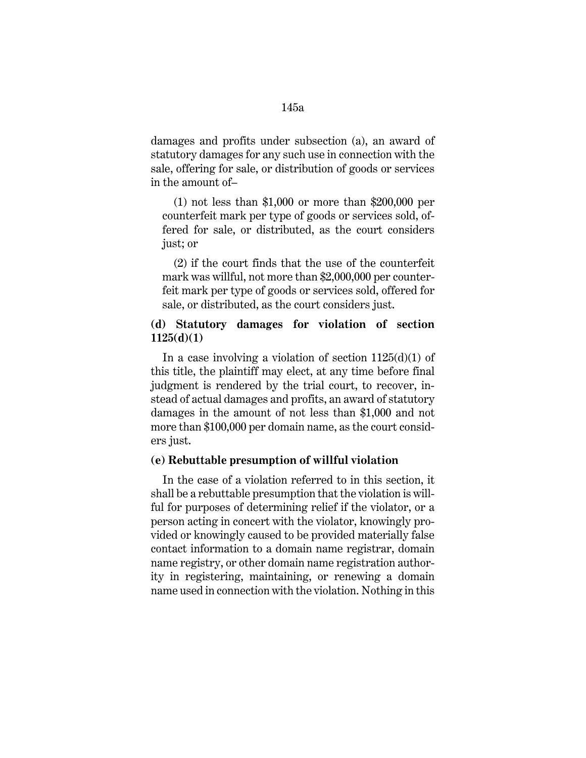damages and profits under subsection (a), an award of statutory damages for any such use in connection with the sale, offering for sale, or distribution of goods or services in the amount of–

(1) not less than \$1,000 or more than \$200,000 per counterfeit mark per type of goods or services sold, offered for sale, or distributed, as the court considers just; or

(2) if the court finds that the use of the counterfeit mark was willful, not more than \$2,000,000 per counterfeit mark per type of goods or services sold, offered for sale, or distributed, as the court considers just.

## **(d) Statutory damages for violation of section 1125(d)(1)**

In a case involving a violation of section  $1125(d)(1)$  of this title, the plaintiff may elect, at any time before final judgment is rendered by the trial court, to recover, instead of actual damages and profits, an award of statutory damages in the amount of not less than \$1,000 and not more than \$100,000 per domain name, as the court considers just.

## **(e) Rebuttable presumption of willful violation**

In the case of a violation referred to in this section, it shall be a rebuttable presumption that the violation is willful for purposes of determining relief if the violator, or a person acting in concert with the violator, knowingly provided or knowingly caused to be provided materially false contact information to a domain name registrar, domain name registry, or other domain name registration authority in registering, maintaining, or renewing a domain name used in connection with the violation. Nothing in this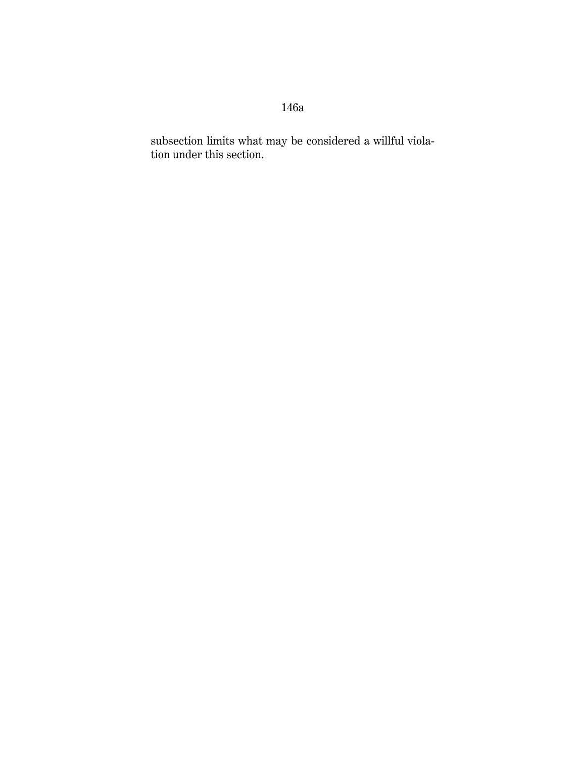subsection limits what may be considered a willful violation under this section.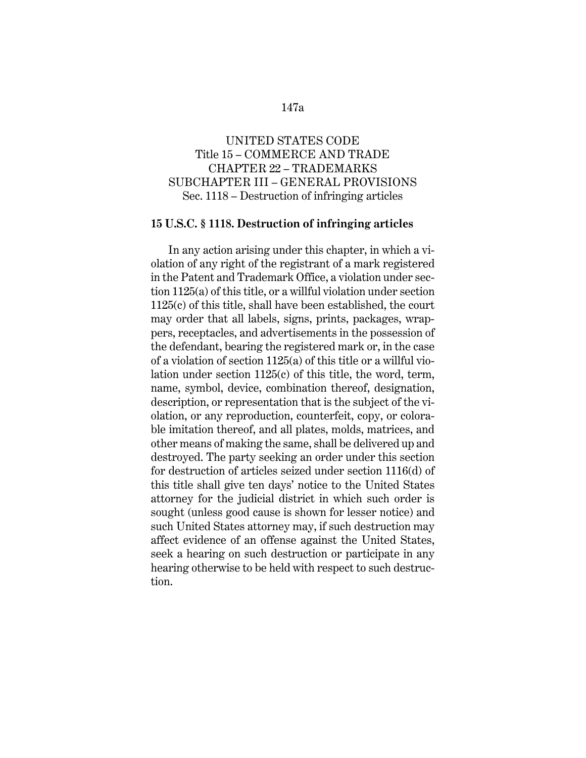# UNITED STATES CODE Title 15 – COMMERCE AND TRADE CHAPTER 22 – TRADEMARKS SUBCHAPTER III – GENERAL PROVISIONS Sec. 1118 – Destruction of infringing articles

#### **15 U.S.C. § 1118. Destruction of infringing articles**

In any action arising under this chapter, in which a violation of any right of the registrant of a mark registered in the Patent and Trademark Office, a violation under section 1125(a) of this title, or a willful violation under section 1125(c) of this title, shall have been established, the court may order that all labels, signs, prints, packages, wrappers, receptacles, and advertisements in the possession of the defendant, bearing the registered mark or, in the case of a violation of section 1125(a) of this title or a willful violation under section 1125(c) of this title, the word, term, name, symbol, device, combination thereof, designation, description, or representation that is the subject of the violation, or any reproduction, counterfeit, copy, or colorable imitation thereof, and all plates, molds, matrices, and other means of making the same, shall be delivered up and destroyed. The party seeking an order under this section for destruction of articles seized under section 1116(d) of this title shall give ten days' notice to the United States attorney for the judicial district in which such order is sought (unless good cause is shown for lesser notice) and such United States attorney may, if such destruction may affect evidence of an offense against the United States, seek a hearing on such destruction or participate in any hearing otherwise to be held with respect to such destruction.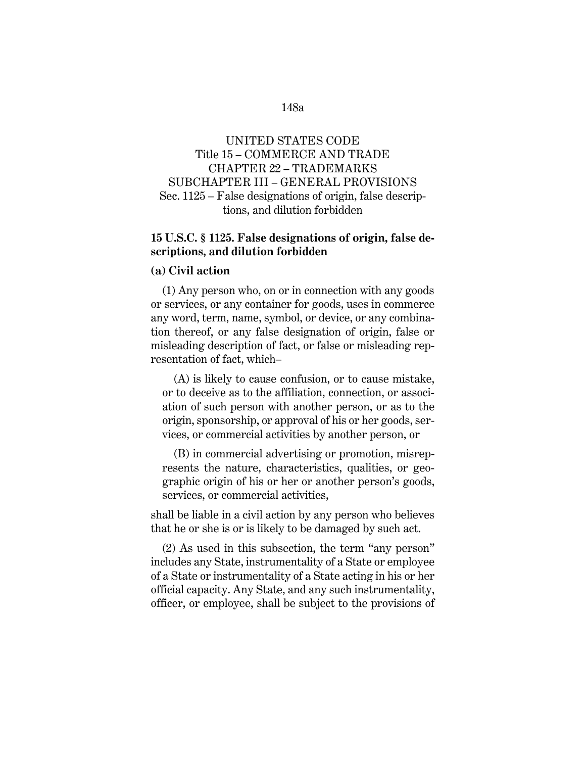# UNITED STATES CODE Title 15 – COMMERCE AND TRADE CHAPTER 22 – TRADEMARKS SUBCHAPTER III – GENERAL PROVISIONS Sec. 1125 – False designations of origin, false descriptions, and dilution forbidden

#### **15 U.S.C. § 1125. False designations of origin, false descriptions, and dilution forbidden**

#### **(a) Civil action**

(1) Any person who, on or in connection with any goods or services, or any container for goods, uses in commerce any word, term, name, symbol, or device, or any combination thereof, or any false designation of origin, false or misleading description of fact, or false or misleading representation of fact, which–

(A) is likely to cause confusion, or to cause mistake, or to deceive as to the affiliation, connection, or association of such person with another person, or as to the origin, sponsorship, or approval of his or her goods, services, or commercial activities by another person, or

(B) in commercial advertising or promotion, misrepresents the nature, characteristics, qualities, or geographic origin of his or her or another person's goods, services, or commercial activities,

shall be liable in a civil action by any person who believes that he or she is or is likely to be damaged by such act.

(2) As used in this subsection, the term "any person" includes any State, instrumentality of a State or employee of a State or instrumentality of a State acting in his or her official capacity. Any State, and any such instrumentality, officer, or employee, shall be subject to the provisions of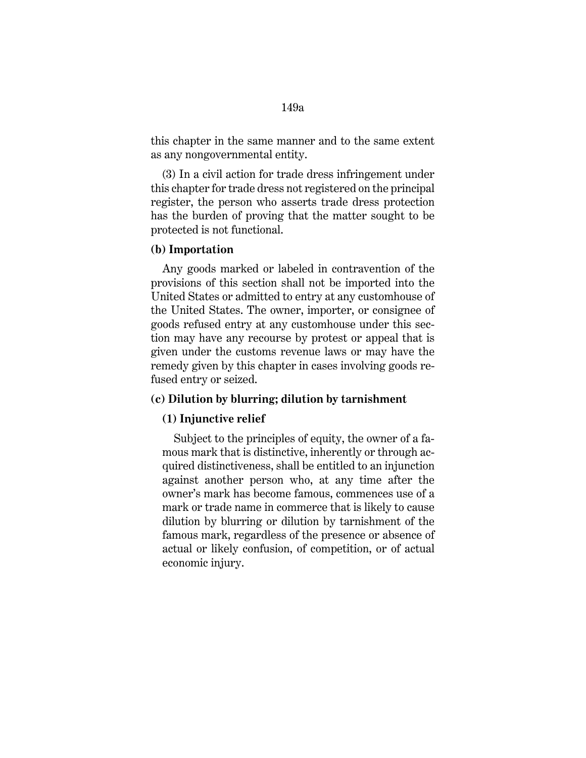## this chapter in the same manner and to the same extent as any nongovernmental entity.

(3) In a civil action for trade dress infringement under this chapter for trade dress not registered on the principal register, the person who asserts trade dress protection has the burden of proving that the matter sought to be protected is not functional.

## **(b) Importation**

Any goods marked or labeled in contravention of the provisions of this section shall not be imported into the United States or admitted to entry at any customhouse of the United States. The owner, importer, or consignee of goods refused entry at any customhouse under this section may have any recourse by protest or appeal that is given under the customs revenue laws or may have the remedy given by this chapter in cases involving goods refused entry or seized.

## **(c) Dilution by blurring; dilution by tarnishment**

#### **(1) Injunctive relief**

Subject to the principles of equity, the owner of a famous mark that is distinctive, inherently or through acquired distinctiveness, shall be entitled to an injunction against another person who, at any time after the owner's mark has become famous, commences use of a mark or trade name in commerce that is likely to cause dilution by blurring or dilution by tarnishment of the famous mark, regardless of the presence or absence of actual or likely confusion, of competition, or of actual economic injury.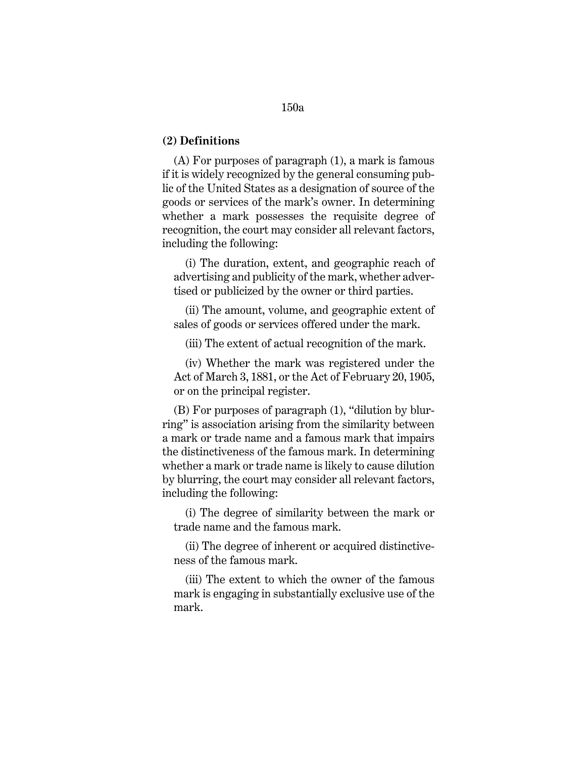#### **(2) Definitions**

(A) For purposes of paragraph (1), a mark is famous if it is widely recognized by the general consuming public of the United States as a designation of source of the goods or services of the mark's owner. In determining whether a mark possesses the requisite degree of recognition, the court may consider all relevant factors, including the following:

(i) The duration, extent, and geographic reach of advertising and publicity of the mark, whether advertised or publicized by the owner or third parties.

(ii) The amount, volume, and geographic extent of sales of goods or services offered under the mark.

(iii) The extent of actual recognition of the mark.

(iv) Whether the mark was registered under the Act of March 3, 1881, or the Act of February 20, 1905, or on the principal register.

(B) For purposes of paragraph (1), "dilution by blurring" is association arising from the similarity between a mark or trade name and a famous mark that impairs the distinctiveness of the famous mark. In determining whether a mark or trade name is likely to cause dilution by blurring, the court may consider all relevant factors, including the following:

(i) The degree of similarity between the mark or trade name and the famous mark.

(ii) The degree of inherent or acquired distinctiveness of the famous mark.

(iii) The extent to which the owner of the famous mark is engaging in substantially exclusive use of the mark.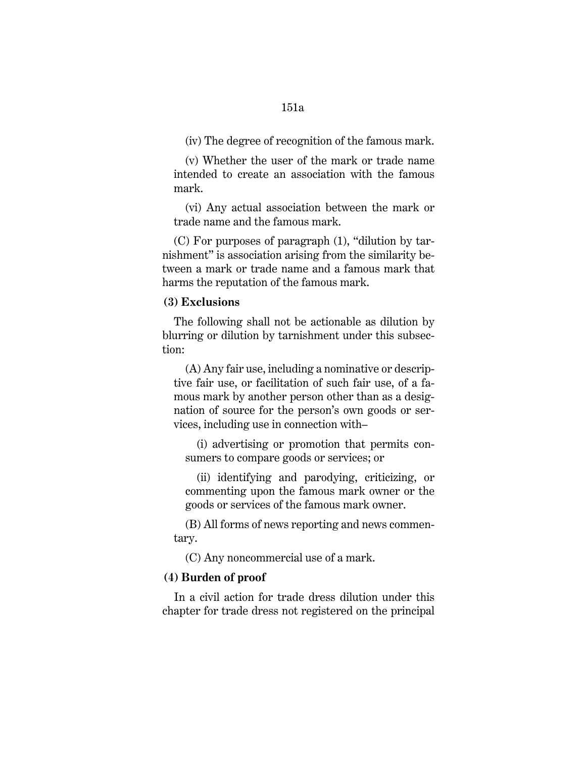(iv) The degree of recognition of the famous mark.

(v) Whether the user of the mark or trade name intended to create an association with the famous mark.

(vi) Any actual association between the mark or trade name and the famous mark.

(C) For purposes of paragraph (1), "dilution by tarnishment" is association arising from the similarity between a mark or trade name and a famous mark that harms the reputation of the famous mark.

#### **(3) Exclusions**

The following shall not be actionable as dilution by blurring or dilution by tarnishment under this subsection:

(A) Any fair use, including a nominative or descriptive fair use, or facilitation of such fair use, of a famous mark by another person other than as a designation of source for the person's own goods or services, including use in connection with–

(i) advertising or promotion that permits consumers to compare goods or services; or

(ii) identifying and parodying, criticizing, or commenting upon the famous mark owner or the goods or services of the famous mark owner.

(B) All forms of news reporting and news commentary.

(C) Any noncommercial use of a mark.

#### **(4) Burden of proof**

In a civil action for trade dress dilution under this chapter for trade dress not registered on the principal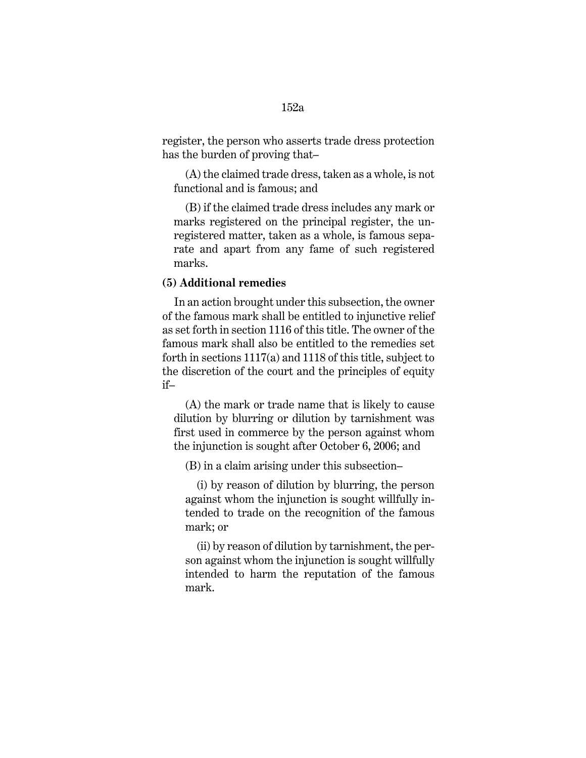## register, the person who asserts trade dress protection has the burden of proving that–

(A) the claimed trade dress, taken as a whole, is not functional and is famous; and

(B) if the claimed trade dress includes any mark or marks registered on the principal register, the unregistered matter, taken as a whole, is famous separate and apart from any fame of such registered marks.

#### **(5) Additional remedies**

In an action brought under this subsection, the owner of the famous mark shall be entitled to injunctive relief as set forth in section 1116 of this title. The owner of the famous mark shall also be entitled to the remedies set forth in sections 1117(a) and 1118 of this title, subject to the discretion of the court and the principles of equity if–

(A) the mark or trade name that is likely to cause dilution by blurring or dilution by tarnishment was first used in commerce by the person against whom the injunction is sought after October 6, 2006; and

(B) in a claim arising under this subsection–

(i) by reason of dilution by blurring, the person against whom the injunction is sought willfully intended to trade on the recognition of the famous mark; or

(ii) by reason of dilution by tarnishment, the person against whom the injunction is sought willfully intended to harm the reputation of the famous mark.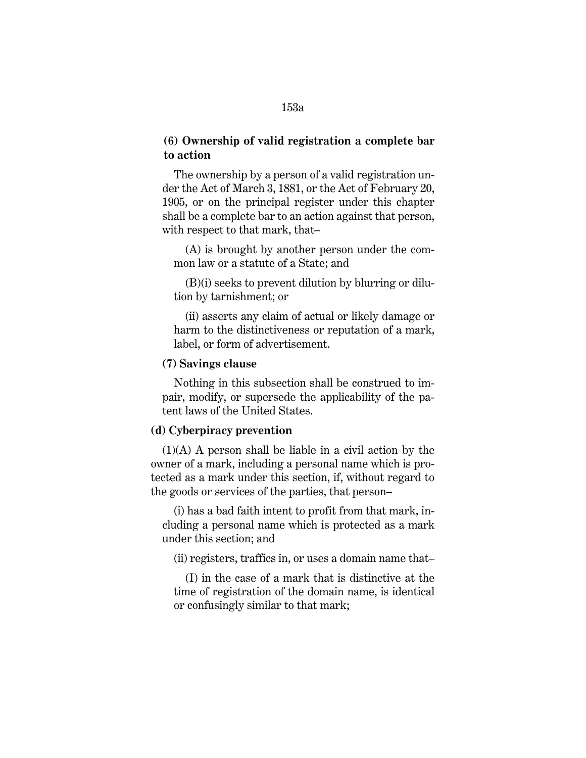## **(6) Ownership of valid registration a complete bar to action**

The ownership by a person of a valid registration under the Act of March 3, 1881, or the Act of February 20, 1905, or on the principal register under this chapter shall be a complete bar to an action against that person, with respect to that mark, that–

(A) is brought by another person under the common law or a statute of a State; and

(B)(i) seeks to prevent dilution by blurring or dilution by tarnishment; or

(ii) asserts any claim of actual or likely damage or harm to the distinctiveness or reputation of a mark, label, or form of advertisement.

#### **(7) Savings clause**

Nothing in this subsection shall be construed to impair, modify, or supersede the applicability of the patent laws of the United States.

#### **(d) Cyberpiracy prevention**

(1)(A) A person shall be liable in a civil action by the owner of a mark, including a personal name which is protected as a mark under this section, if, without regard to the goods or services of the parties, that person–

(i) has a bad faith intent to profit from that mark, including a personal name which is protected as a mark under this section; and

(ii) registers, traffics in, or uses a domain name that–

(I) in the case of a mark that is distinctive at the time of registration of the domain name, is identical or confusingly similar to that mark;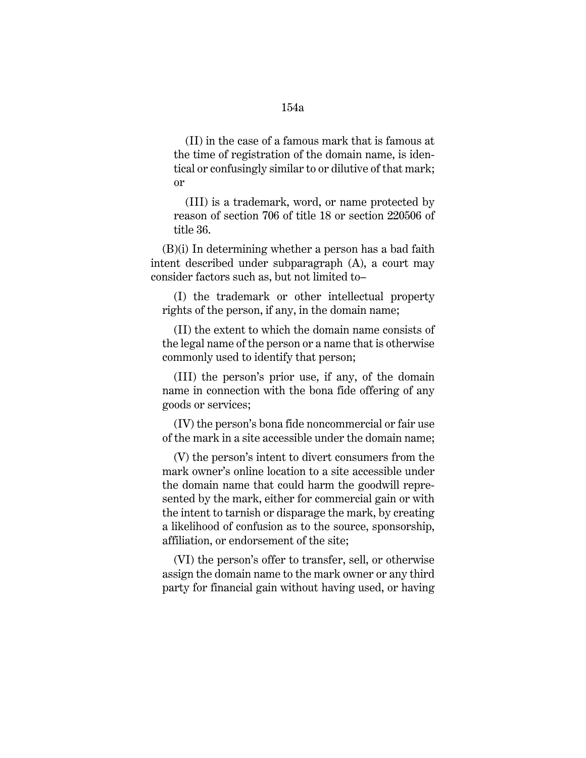(II) in the case of a famous mark that is famous at the time of registration of the domain name, is identical or confusingly similar to or dilutive of that mark; or

(III) is a trademark, word, or name protected by reason of section 706 of title 18 or section 220506 of title 36.

(B)(i) In determining whether a person has a bad faith intent described under subparagraph (A), a court may consider factors such as, but not limited to–

(I) the trademark or other intellectual property rights of the person, if any, in the domain name;

(II) the extent to which the domain name consists of the legal name of the person or a name that is otherwise commonly used to identify that person;

(III) the person's prior use, if any, of the domain name in connection with the bona fide offering of any goods or services;

(IV) the person's bona fide noncommercial or fair use of the mark in a site accessible under the domain name;

(V) the person's intent to divert consumers from the mark owner's online location to a site accessible under the domain name that could harm the goodwill represented by the mark, either for commercial gain or with the intent to tarnish or disparage the mark, by creating a likelihood of confusion as to the source, sponsorship, affiliation, or endorsement of the site;

(VI) the person's offer to transfer, sell, or otherwise assign the domain name to the mark owner or any third party for financial gain without having used, or having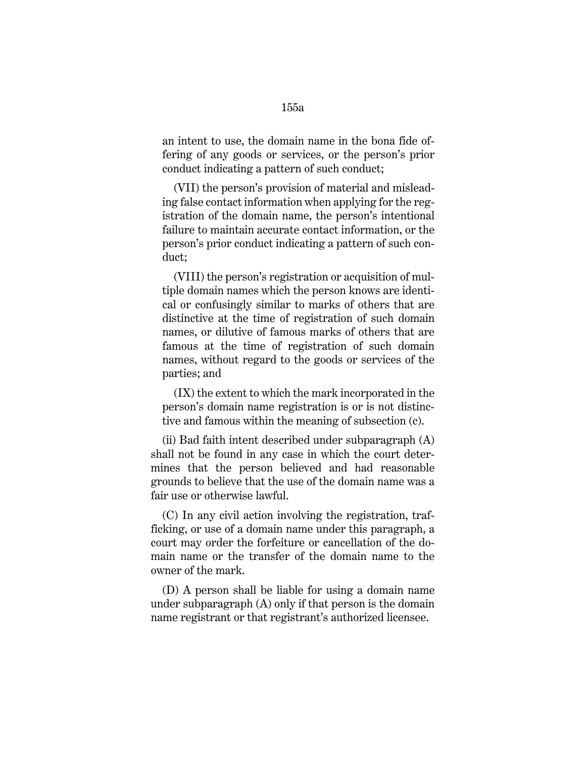an intent to use, the domain name in the bona fide offering of any goods or services, or the person's prior conduct indicating a pattern of such conduct;

(VII) the person's provision of material and misleading false contact information when applying for the registration of the domain name, the person's intentional failure to maintain accurate contact information, or the person's prior conduct indicating a pattern of such conduct;

(VIII) the person's registration or acquisition of multiple domain names which the person knows are identical or confusingly similar to marks of others that are distinctive at the time of registration of such domain names, or dilutive of famous marks of others that are famous at the time of registration of such domain names, without regard to the goods or services of the parties; and

(IX) the extent to which the mark incorporated in the person's domain name registration is or is not distinctive and famous within the meaning of subsection (c).

(ii) Bad faith intent described under subparagraph (A) shall not be found in any case in which the court determines that the person believed and had reasonable grounds to believe that the use of the domain name was a fair use or otherwise lawful.

(C) In any civil action involving the registration, trafficking, or use of a domain name under this paragraph, a court may order the forfeiture or cancellation of the domain name or the transfer of the domain name to the owner of the mark.

(D) A person shall be liable for using a domain name under subparagraph (A) only if that person is the domain name registrant or that registrant's authorized licensee.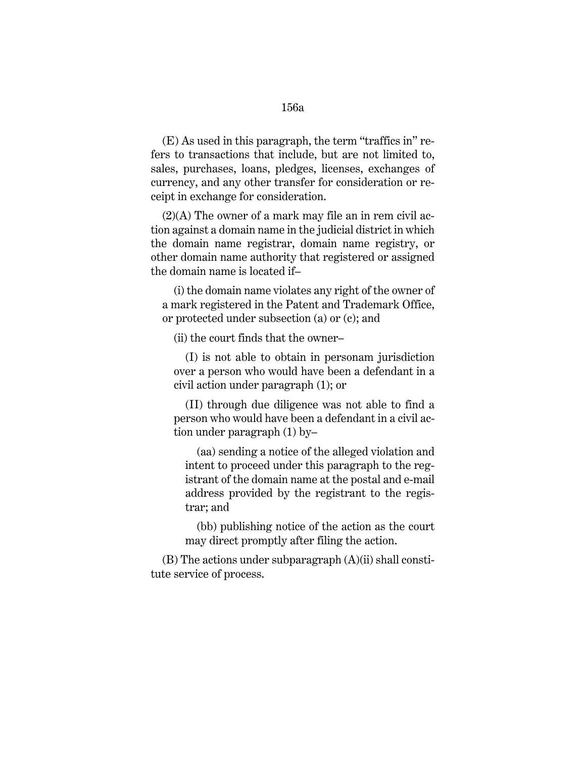(E) As used in this paragraph, the term "traffics in" refers to transactions that include, but are not limited to, sales, purchases, loans, pledges, licenses, exchanges of currency, and any other transfer for consideration or receipt in exchange for consideration.

 $(2)(A)$  The owner of a mark may file an in rem civil action against a domain name in the judicial district in which the domain name registrar, domain name registry, or other domain name authority that registered or assigned the domain name is located if–

(i) the domain name violates any right of the owner of a mark registered in the Patent and Trademark Office, or protected under subsection (a) or (c); and

(ii) the court finds that the owner–

(I) is not able to obtain in personam jurisdiction over a person who would have been a defendant in a civil action under paragraph (1); or

(II) through due diligence was not able to find a person who would have been a defendant in a civil action under paragraph (1) by–

(aa) sending a notice of the alleged violation and intent to proceed under this paragraph to the registrant of the domain name at the postal and e-mail address provided by the registrant to the registrar; and

(bb) publishing notice of the action as the court may direct promptly after filing the action.

(B) The actions under subparagraph (A)(ii) shall constitute service of process.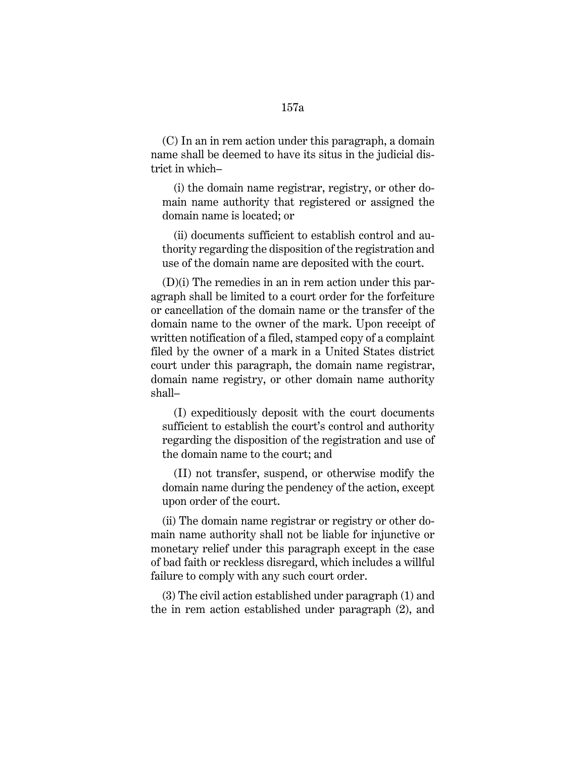(C) In an in rem action under this paragraph, a domain name shall be deemed to have its situs in the judicial district in which–

(i) the domain name registrar, registry, or other domain name authority that registered or assigned the domain name is located; or

(ii) documents sufficient to establish control and authority regarding the disposition of the registration and use of the domain name are deposited with the court.

(D)(i) The remedies in an in rem action under this paragraph shall be limited to a court order for the forfeiture or cancellation of the domain name or the transfer of the domain name to the owner of the mark. Upon receipt of written notification of a filed, stamped copy of a complaint filed by the owner of a mark in a United States district court under this paragraph, the domain name registrar, domain name registry, or other domain name authority shall–

(I) expeditiously deposit with the court documents sufficient to establish the court's control and authority regarding the disposition of the registration and use of the domain name to the court; and

(II) not transfer, suspend, or otherwise modify the domain name during the pendency of the action, except upon order of the court.

(ii) The domain name registrar or registry or other domain name authority shall not be liable for injunctive or monetary relief under this paragraph except in the case of bad faith or reckless disregard, which includes a willful failure to comply with any such court order.

(3) The civil action established under paragraph (1) and the in rem action established under paragraph (2), and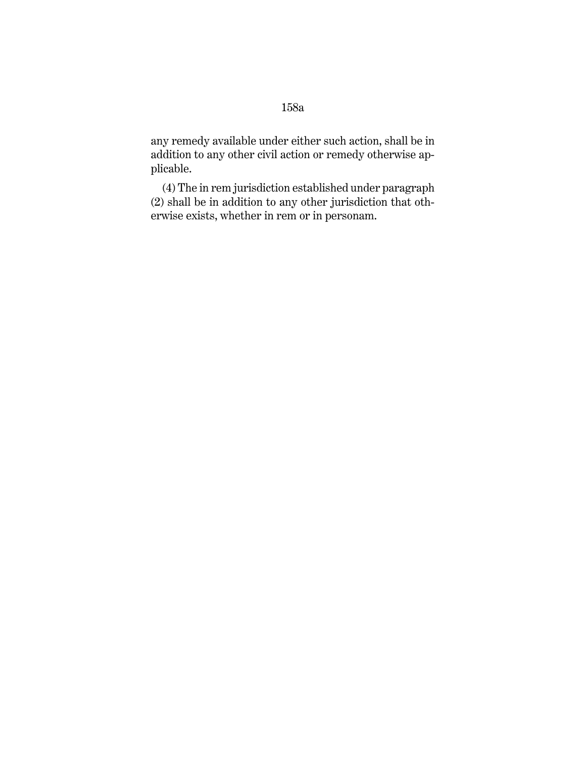any remedy available under either such action, shall be in addition to any other civil action or remedy otherwise applicable.

(4) The in rem jurisdiction established under paragraph (2) shall be in addition to any other jurisdiction that otherwise exists, whether in rem or in personam.